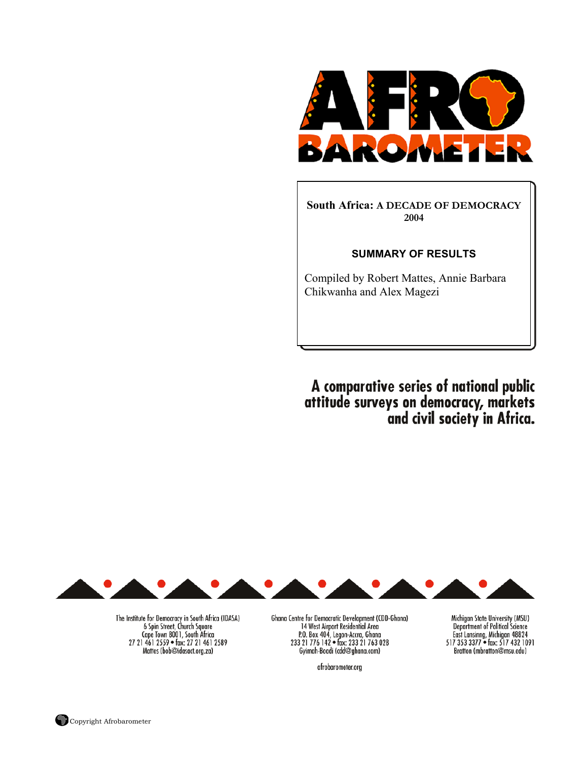

**South Africa: A DECADE OF DEMOCRACY 2004** 

#### **SUMMARY OF RESULTS**

Compiled by Robert Mattes, Annie Barbara Chikwanha and Alex Magezi

A comparative series of national public<br>attitude surveys on democracy, markets<br>and civil society in Africa.



The Institute for Democracy in South Africa (IDASA)<br>6 Spin Street, Church Square<br>5 Cape Town 8001, South Africa 27 21 461 2559 • fax: 27 21 461 2589 Mattes (bob@idasact.org.za)

Ghana Centre for Democratic Development (CDD-Ghana) 14 West Airport Residential Area<br>
P.O. Box 404, Legon-Accra, Ghana<br>
233 21 776 142 • fax: 233 21 763 028 Gyimah-Boadi (cdd@ghana.com)

afrobarometer.org

Michigan State University (MSU) Department of Political Science<br>East Lansinng, Michigan 48824<br>517 353 3377 • fax: 517 432 1091 Bratton (mbratton@msu.edu)

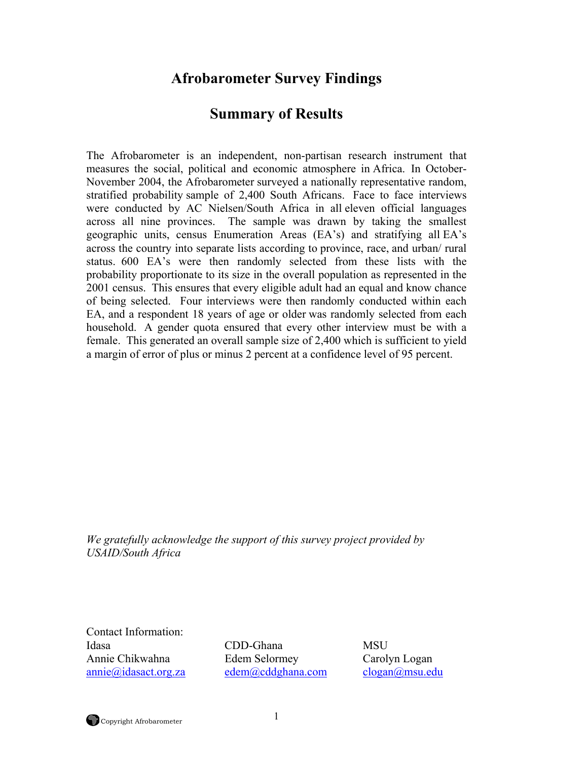# **Afrobarometer Survey Findings**

# **Summary of Results**

The Afrobarometer is an independent, non-partisan research instrument that measures the social, political and economic atmosphere in Africa. In October-November 2004, the Afrobarometer surveyed a nationally representative random, stratified probability sample of 2,400 South Africans. Face to face interviews were conducted by AC Nielsen/South Africa in all eleven official languages across all nine provinces. The sample was drawn by taking the smallest geographic units, census Enumeration Areas (EA's) and stratifying all EA's across the country into separate lists according to province, race, and urban/ rural status. 600 EA's were then randomly selected from these lists with the probability proportionate to its size in the overall population as represented in the 2001 census. This ensures that every eligible adult had an equal and know chance of being selected. Four interviews were then randomly conducted within each EA, and a respondent 18 years of age or older was randomly selected from each household. A gender quota ensured that every other interview must be with a female. This generated an overall sample size of 2,400 which is sufficient to yield a margin of error of plus or minus 2 percent at a confidence level of 95 percent.

*We gratefully acknowledge the support of this survey project provided by USAID/South Africa* 

Contact Information:

Idasa CDD-Ghana MSU Annie Chikwahna Edem Selormey Carolyn Logan annie@idasact.org.za edem@cddghana.com clogan@msu.edu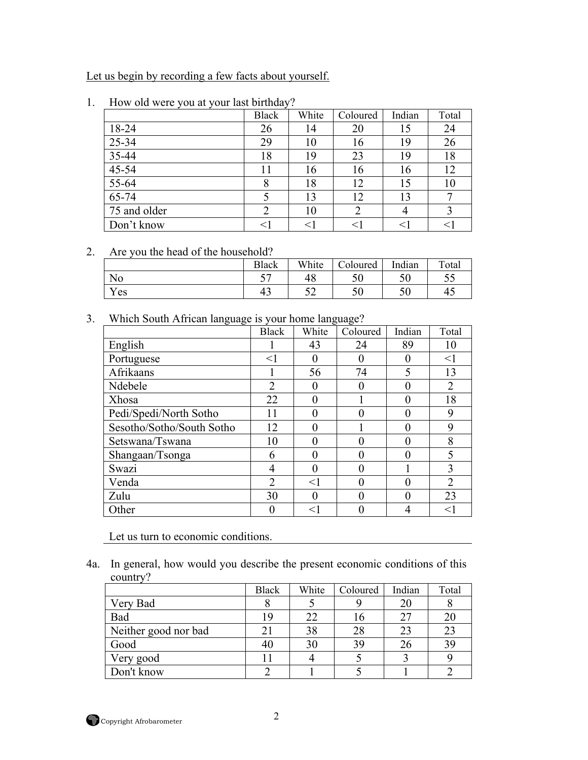Let us begin by recording a few facts about yourself.

|              | <b>Black</b> | White | Coloured | Indian | Total |
|--------------|--------------|-------|----------|--------|-------|
| 18-24        | 26           | 14    | 20       | 15     | 24    |
| 25-34        | 29           | 10    | 16       | 19     | 26    |
| 35-44        | 18           | 19    | 23       | 19     | 18    |
| 45-54        |              | 16    | 16       | 16     | 12    |
| 55-64        |              | 18    | 12       | 15     | 10    |
| 65-74        |              | 13    | 12       | 13     |       |
| 75 and older |              | 10    | 2        |        |       |
| Don't know   |              | <1    |          |        | <1    |

1. How old were you at your last birthday?

#### 2. Are you the head of the household?

|                  | <b>Black</b> | White                               | Coloured  | Indian | Total      |
|------------------|--------------|-------------------------------------|-----------|--------|------------|
| N0               | $ -$<br>ັ    | $\overline{A}$ $\overline{C}$<br>48 | ΓΛ<br>υU  | ◡◡     | - -<br>ں ر |
| <b>T</b><br>Y es | $\sim$<br>40 | ے ب                                 | - 0<br>υU | ◡◡     | 43         |

### 3. Which South African language is your home language?

|                           | <b>Black</b>   | White | Coloured | Indian | Total          |
|---------------------------|----------------|-------|----------|--------|----------------|
| English                   |                | 43    | 24       | 89     | 10             |
| Portuguese                | $<$ 1          |       |          |        | $<$ 1          |
| Afrikaans                 |                | 56    | 74       | 5      | 13             |
| Ndebele                   | 2              |       |          |        | $\overline{2}$ |
| Xhosa                     | 22             |       |          |        | 18             |
| Pedi/Spedi/North Sotho    | 11             | 0     |          | 0      | 9              |
| Sesotho/Sotho/South Sotho | 12             |       |          |        | 9              |
| Setswana/Tswana           | 10             |       |          |        | 8              |
| Shangaan/Tsonga           | 6              |       |          |        | 5              |
| Swazi                     | 4              |       |          |        | 3              |
| Venda                     | $\mathfrak{D}$ | $<$ 1 |          |        | $\overline{2}$ |
| Zulu                      | 30             |       |          |        | 23             |
| Other                     |                | <1    |          |        | $<$ $\mid$     |

Let us turn to economic conditions.

4a. In general, how would you describe the present economic conditions of this country?

|                      | <b>Black</b> | White | Coloured | Indian | Total |
|----------------------|--------------|-------|----------|--------|-------|
| Very Bad             |              |       |          |        |       |
| Bad                  | 19           |       | Iб       |        | 20    |
| Neither good nor bad | 21           | 38    | 28       | 23     | 23    |
| Good                 | 40           | 30    | 39       |        | 39    |
| Very good            |              |       |          |        |       |
| Don't know           |              |       |          |        |       |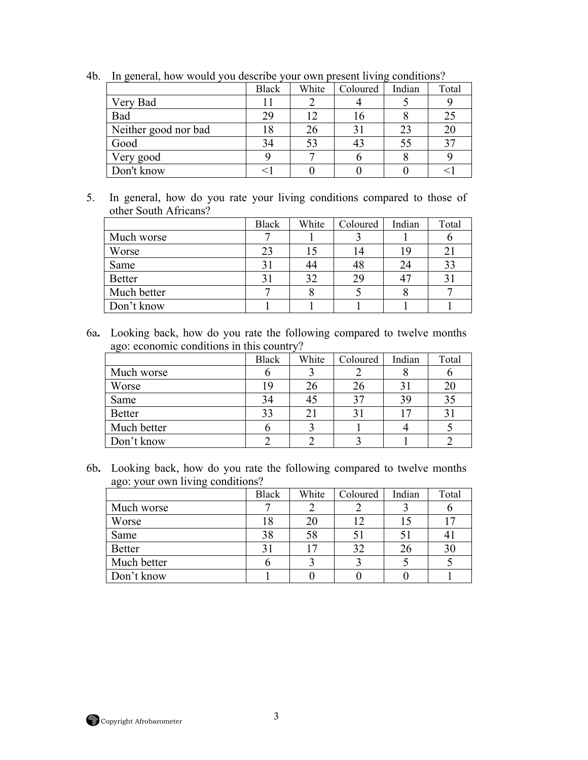|                      | <b>Black</b> | White | Coloured | Indian | Total |
|----------------------|--------------|-------|----------|--------|-------|
| Very Bad             |              |       |          |        |       |
| Bad                  | 29           |       |          |        | 25    |
| Neither good nor bad |              |       |          |        | 20    |
| Good                 | 34           |       | 43       |        |       |
| Very good            |              |       |          |        |       |
| Don't know           |              |       |          |        |       |

4b. In general, how would you describe your own present living conditions?

5. In general, how do you rate your living conditions compared to those of other South Africans?

|               | <b>Black</b> | White | Coloured | Indian | Total       |
|---------------|--------------|-------|----------|--------|-------------|
| Much worse    |              |       |          |        |             |
| Worse         | 23           |       | 14       |        | $2^{\cdot}$ |
| Same          | 31           |       | 48       | 24     | 33          |
| <b>Better</b> |              | 32    | 29       |        | $3^{\circ}$ |
| Much better   |              |       |          |        |             |
| Don't know    |              |       |          |        |             |

6a**.** Looking back, how do you rate the following compared to twelve months ago: economic conditions in this country?

|               | <b>Black</b> | White | Coloured | Indian | Total |
|---------------|--------------|-------|----------|--------|-------|
| Much worse    |              |       |          |        |       |
| Worse         | 19           | 26    | 26       |        | 20    |
| Same          | 34           |       | 37       |        | 35    |
| <b>Better</b> | 33           | 2     |          |        | 31    |
| Much better   |              |       |          |        |       |
| Don't know    |              |       |          |        |       |

6b**.** Looking back, how do you rate the following compared to twelve months ago: your own living conditions?

|               | <b>Black</b> | White | Coloured | Indian | Total |
|---------------|--------------|-------|----------|--------|-------|
| Much worse    |              |       |          |        |       |
| Worse         | 18           | 20    | 12       |        | 17    |
| Same          | 38           | 58    |          |        |       |
| <b>Better</b> |              |       | 32       |        | 30    |
| Much better   |              |       |          |        |       |
| Don't know    |              |       |          |        |       |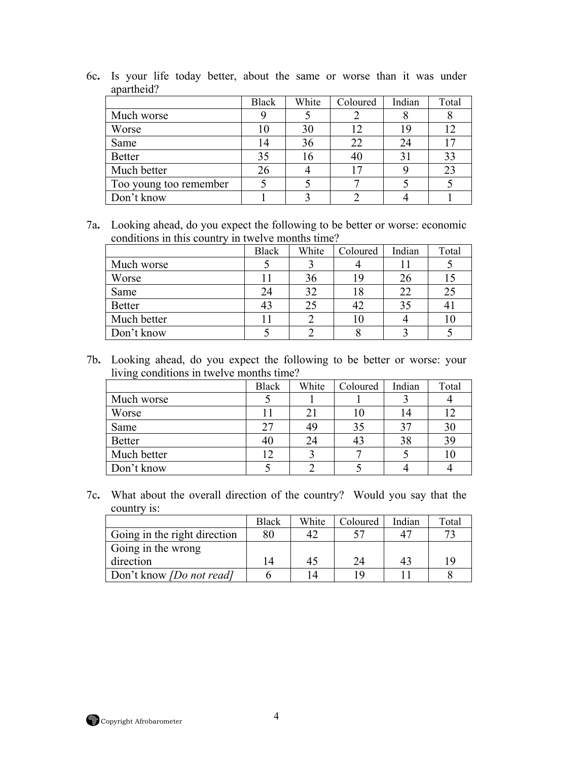|                        | <b>Black</b> | White | Coloured | Indian | Total |
|------------------------|--------------|-------|----------|--------|-------|
| Much worse             |              |       |          |        |       |
| Worse                  |              | 30    | 12       | 19     |       |
| Same                   |              | 36    | 22       | 24     |       |
| <b>Better</b>          | 35           | 16    | 40       |        | 33    |
| Much better            |              |       | 17       |        | 23    |
| Too young too remember |              |       |          |        |       |
| Don't know             |              |       |          |        |       |

6c**.** Is your life today better, about the same or worse than it was under apartheid?

7a**.** Looking ahead, do you expect the following to be better or worse: economic conditions in this country in twelve months time?

|               | <b>Black</b> | White | Coloured | Indian | Total |
|---------------|--------------|-------|----------|--------|-------|
| Much worse    |              |       |          |        |       |
| Worse         |              | 36    | 19       |        |       |
| Same          | 24           | 32    | 18       | 22     | 25    |
| <b>Better</b> | 43           | 25    | 42       | 35     | 41    |
| Much better   |              |       | 10       |        | 10    |
| Don't know    |              |       |          |        |       |

7b**.** Looking ahead, do you expect the following to be better or worse: your living conditions in twelve months time?

|               | <b>Black</b> | White | Coloured | Indian | Total |
|---------------|--------------|-------|----------|--------|-------|
| Much worse    |              |       |          |        |       |
| Worse         |              |       |          |        | 17    |
| Same          | 27           |       | 35       |        | 30    |
| <b>Better</b> | 40           | 24    | 43       |        | 39    |
| Much better   |              |       |          |        | 10    |
| Don't know    |              |       |          |        |       |

7c**.** What about the overall direction of the country? Would you say that the country is:

|                                 | <b>Black</b> | White | Coloured | Indian | Total |
|---------------------------------|--------------|-------|----------|--------|-------|
| Going in the right direction    | 80           |       |          |        | 72    |
| Going in the wrong              |              |       |          |        |       |
| direction                       | 14           | 45    | 24       |        | 19    |
| Don't know <i>[Do not read]</i> |              |       | 1 Q      |        |       |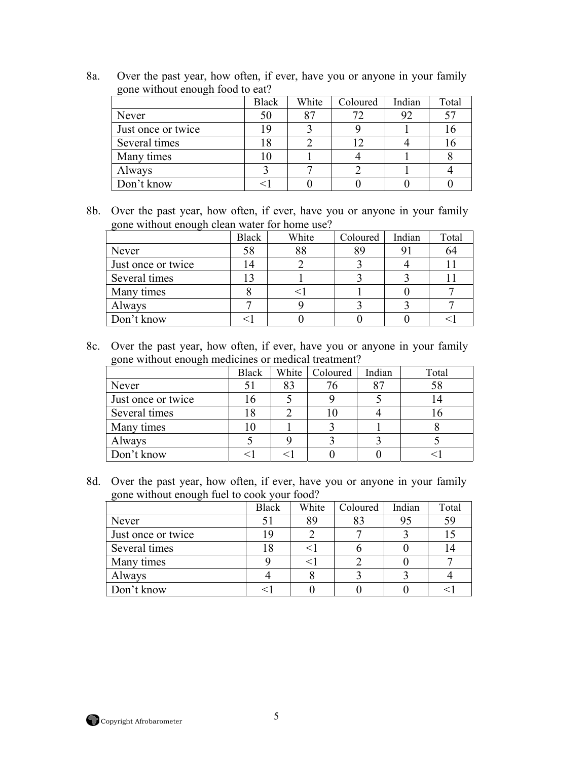8a. Over the past year, how often, if ever, have you or anyone in your family gone without enough food to eat?

|                    | <b>Black</b> | White | Coloured | Indian | Total |
|--------------------|--------------|-------|----------|--------|-------|
| Never              | 50           | 87    | 72       | 92     | 57    |
| Just once or twice | ۱۵           |       |          |        |       |
| Several times      |              |       | ר ו      |        |       |
| Many times         |              |       |          |        |       |
| Always             |              |       |          |        |       |
| Don't know         |              |       |          |        |       |

8b. Over the past year, how often, if ever, have you or anyone in your family gone without enough clean water for home use?

|                    | <b>Black</b> | White | Coloured | Indian | Total |
|--------------------|--------------|-------|----------|--------|-------|
| Never              | 58           | 88    | 89       |        | 64    |
| Just once or twice | 14           |       |          |        |       |
| Several times      |              |       |          |        |       |
| Many times         |              |       |          |        |       |
| Always             |              |       |          |        |       |
| Don't know         |              |       |          |        |       |

8c. Over the past year, how often, if ever, have you or anyone in your family gone without enough medicines or medical treatment?

| $\tilde{}$         | <b>Black</b> |    | White   Coloured | Indian | Total |
|--------------------|--------------|----|------------------|--------|-------|
| Never              |              | 83 |                  |        |       |
| Just once or twice | 16           |    |                  |        |       |
| Several times      |              |    |                  |        |       |
| Many times         |              |    |                  |        |       |
| Always             |              |    |                  |        |       |
| Don't know         |              |    |                  |        |       |

8d. Over the past year, how often, if ever, have you or anyone in your family gone without enough fuel to cook your food?

|                    | <b>Black</b> | White | Coloured | Indian | Total |
|--------------------|--------------|-------|----------|--------|-------|
| Never              |              | 89    | 83       | 95     | 59    |
| Just once or twice | 19           |       |          |        |       |
| Several times      |              |       |          |        |       |
| Many times         |              |       |          |        |       |
| Always             |              |       |          |        |       |
| Don't know         |              |       |          |        |       |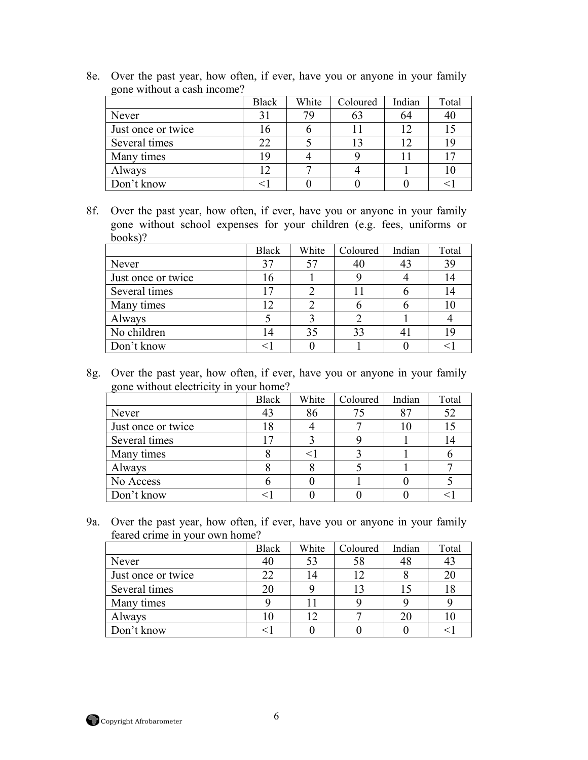|                    | <b>Black</b> | White | Coloured | Indian | Total |
|--------------------|--------------|-------|----------|--------|-------|
| Never              |              | 79    | 63       | 64     | 40    |
| Just once or twice | .6           |       |          |        |       |
| Several times      | 22           |       |          |        |       |
| Many times         | Q            |       |          |        |       |
| Always             | ◯            |       |          |        |       |
| Don't know         |              |       |          |        |       |

8e. Over the past year, how often, if ever, have you or anyone in your family gone without a cash income?

8f. Over the past year, how often, if ever, have you or anyone in your family gone without school expenses for your children (e.g. fees, uniforms or books)?

|                    | <b>Black</b> | White | Coloured | Indian | Total |
|--------------------|--------------|-------|----------|--------|-------|
| Never              | 37           |       | 40       |        | 39    |
| Just once or twice | 16           |       |          |        | 14    |
| Several times      |              |       |          |        | 14    |
| Many times         | ר ו          |       |          |        | 10    |
| Always             |              |       |          |        |       |
| No children        | 14           | 35    | 33       |        | 19    |
| Don't know         |              |       |          |        |       |

8g. Over the past year, how often, if ever, have you or anyone in your family gone without electricity in your home?

|                    | <b>Black</b> | White | Coloured | Indian | Total |
|--------------------|--------------|-------|----------|--------|-------|
| Never              | 43           | 86    | 75       |        | 52    |
| Just once or twice | 18           |       |          |        |       |
| Several times      | 17           |       |          |        | 14    |
| Many times         |              |       |          |        |       |
| Always             |              |       |          |        |       |
| No Access          |              |       |          |        |       |
| Don't know         |              |       |          |        |       |

9a. Over the past year, how often, if ever, have you or anyone in your family feared crime in your own home?

|                    | <b>Black</b> | White | Coloured | Indian | Total |
|--------------------|--------------|-------|----------|--------|-------|
| Never              | 40           | 53    | 58       |        | 43    |
| Just once or twice | 22           | 14    | 12       |        | 20    |
| Several times      | 20           |       |          |        | 18    |
| Many times         |              |       |          |        |       |
| Always             | l0           |       |          |        | 10    |
| Don't know         |              |       |          |        |       |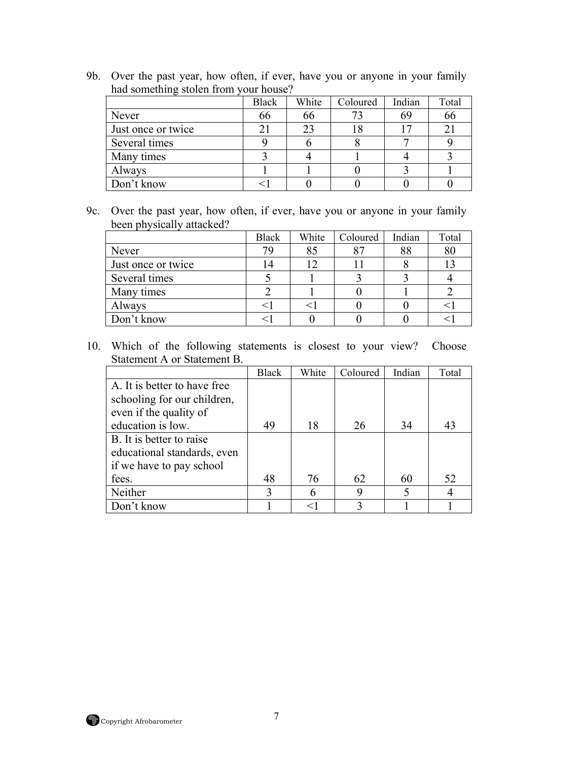9b. Over the past year, how often, if ever, have you or anyone in your family had something stolen from your house?

|                    | <b>Black</b> | White | Coloured | Indian | Total |
|--------------------|--------------|-------|----------|--------|-------|
| Never              | 66           | 66    | 73       | 69     | 66    |
| Just once or twice |              | 23    | 18       |        | 21    |
| Several times      |              |       |          |        |       |
| Many times         |              |       |          |        |       |
| Always             |              |       |          |        |       |
| Don't know         |              |       |          |        |       |

9c. Over the past year, how often, if ever, have you or anyone in your family been physically attacked?

|                    | <b>Black</b> | White | Coloured | Indian | Total |
|--------------------|--------------|-------|----------|--------|-------|
| Never              | 79           | 85    | 87       | 88     | 80    |
| Just once or twice |              |       |          |        |       |
| Several times      |              |       |          |        |       |
| Many times         |              |       |          |        |       |
| Always             |              |       |          |        |       |
| Don't know         |              |       |          |        |       |

|                               | <b>Black</b> | White | Coloured | Indian | Total |
|-------------------------------|--------------|-------|----------|--------|-------|
| A. It is better to have free. |              |       |          |        |       |
| schooling for our children,   |              |       |          |        |       |
| even if the quality of        |              |       |          |        |       |
| education is low.             | 49           | 18    | 26       | 34     | 43    |
| B. It is better to raise      |              |       |          |        |       |
| educational standards, even   |              |       |          |        |       |
| if we have to pay school      |              |       |          |        |       |
| fees.                         | 48           | 76    | 62       | 60     | 52    |
| Neither                       |              |       | 9        |        |       |
| Don't know                    |              |       |          |        |       |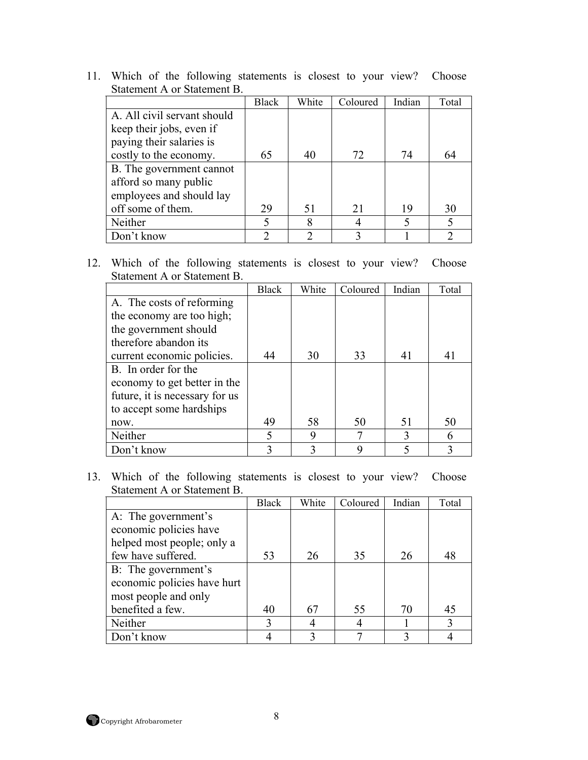|                             | <b>Black</b> | White | Coloured | Indian | Total |
|-----------------------------|--------------|-------|----------|--------|-------|
| A. All civil servant should |              |       |          |        |       |
| keep their jobs, even if    |              |       |          |        |       |
| paying their salaries is    |              |       |          |        |       |
| costly to the economy.      | 65           | 40    | 72       | 74     | 64    |
| B. The government cannot    |              |       |          |        |       |
| afford so many public       |              |       |          |        |       |
| employees and should lay    |              |       |          |        |       |
| off some of them.           | 29           | 51    | 21       | 19     | 30    |
| Neither                     | 5            | 8     |          |        |       |
| Don't know                  | າ            | ി     |          |        |       |

12. Which of the following statements is closest to your view? Choose Statement A or Statement B.

|                                | <b>Black</b> | White | Coloured | Indian | Total |
|--------------------------------|--------------|-------|----------|--------|-------|
| A. The costs of reforming      |              |       |          |        |       |
| the economy are too high;      |              |       |          |        |       |
| the government should          |              |       |          |        |       |
| therefore abandon its          |              |       |          |        |       |
| current economic policies.     | 44           | 30    | 33       | 41     | 41    |
| B. In order for the            |              |       |          |        |       |
| economy to get better in the   |              |       |          |        |       |
| future, it is necessary for us |              |       |          |        |       |
| to accept some hardships       |              |       |          |        |       |
| now.                           | 49           | 58    | 50       | 51     | 50    |
| Neither                        | 5            | 9     |          |        | 6     |
| Don't know                     | 3            |       | q        |        |       |

|                             | <b>Black</b> | White | Coloured | Indian | Total |
|-----------------------------|--------------|-------|----------|--------|-------|
| A: The government's         |              |       |          |        |       |
| economic policies have      |              |       |          |        |       |
| helped most people; only a  |              |       |          |        |       |
| few have suffered.          | 53           | 26    | 35       | 26     | 48    |
| B: The government's         |              |       |          |        |       |
| economic policies have hurt |              |       |          |        |       |
| most people and only        |              |       |          |        |       |
| benefited a few.            | 40           | 67    | 55       | 70     | 45    |
| Neither                     | 3            |       |          |        | 3     |
| Don't know                  |              |       |          |        |       |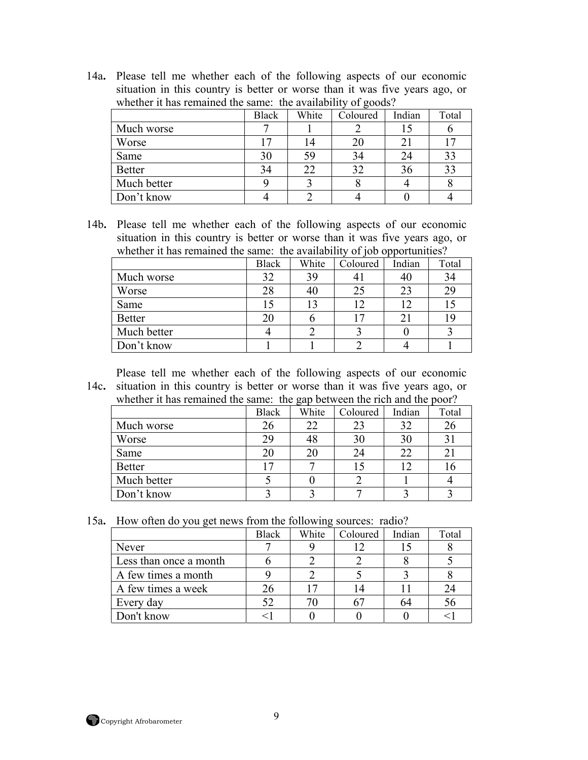14a**.** Please tell me whether each of the following aspects of our economic situation in this country is better or worse than it was five years ago, or whether it has remained the same: the availability of goods?

|               | Black | White | Coloured | Indian | Total |
|---------------|-------|-------|----------|--------|-------|
| Much worse    |       |       |          |        |       |
| Worse         |       | 14    | 20       |        |       |
| Same          | 30    | 59    | 34       | 24     | 33    |
| <b>Better</b> | 34    | 22    | 32       | 36     | 33    |
| Much better   |       |       |          |        |       |
| Don't know    |       |       |          |        |       |

14b**.** Please tell me whether each of the following aspects of our economic situation in this country is better or worse than it was five years ago, or whether it has remained the same: the availability of job opportunities?

|               | <b>Black</b> | White | Coloured       | Indian | Total |
|---------------|--------------|-------|----------------|--------|-------|
| Much worse    | 32           | 39    | 4 <sub>1</sub> |        | 34    |
| Worse         | 28           | 40    | 25             | 23     | 29    |
| Same          | 15           | 13    | 12             |        |       |
| <b>Better</b> | 20           |       | 17             |        | 19    |
| Much better   |              |       |                |        |       |
| Don't know    |              |       |                |        |       |

14c**.**  situation in this country is better or worse than it was five years ago, or Please tell me whether each of the following aspects of our economic

|  | $\tau$ . Shudubn in this country is better or worse than it was five years ago, o |  |
|--|-----------------------------------------------------------------------------------|--|
|  | whether it has remained the same: the gap between the rich and the poor?          |  |

|               | <b>Black</b> | White | Coloured | Indian | Total            |
|---------------|--------------|-------|----------|--------|------------------|
| Much worse    | 26           | 22    | 23       | 32     | 26               |
| Worse         | 29           | 48    | 30       | 30     | 31               |
| Same          | 20           | 20    | 24       | 22     | $\overline{2}$ ) |
| <b>Better</b> | 17           |       |          |        | 10               |
| Much better   |              |       |          |        |                  |
| Don't know    |              |       |          |        |                  |

15a**.** How often do you get news from the following sources: radio?

|                        | <b>Black</b> | White | Coloured | Indian | Total |
|------------------------|--------------|-------|----------|--------|-------|
| Never                  |              |       |          |        |       |
| Less than once a month |              |       |          |        |       |
| A few times a month    |              |       |          |        |       |
| A few times a week     | 26           |       | 14       |        | 24    |
| Every day              | 52           |       |          |        | 56    |
| Don't know             |              |       |          |        |       |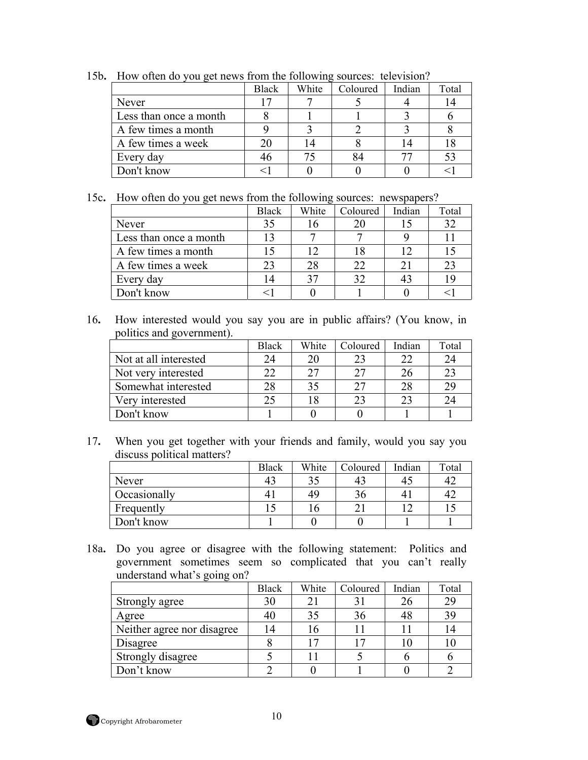|                        | Black | White | Coloured | Indian | Total |
|------------------------|-------|-------|----------|--------|-------|
| Never                  |       |       |          |        |       |
| Less than once a month |       |       |          |        |       |
| A few times a month    |       |       |          |        |       |
| A few times a week     |       |       |          |        |       |
| Every day              |       |       | 84       |        | 53    |
| Don't know             |       |       |          |        |       |

15b**.** How often do you get news from the following sources: television?

15c**.** How often do you get news from the following sources: newspapers?

|                        | <b>Black</b> | White | Coloured | Indian | Total |
|------------------------|--------------|-------|----------|--------|-------|
| Never                  | 35           |       | 20       |        | 32    |
| Less than once a month |              |       |          |        |       |
| A few times a month    |              |       |          |        |       |
| A few times a week     | 23           | 28    | 22       |        | 23    |
| Every day              | 14           | 35    | 32       |        | 19    |
| Don't know             |              |       |          |        |       |

16**.** How interested would you say you are in public affairs? (You know, in politics and government).

|                       | Black | White | Coloured | Indian | Total |
|-----------------------|-------|-------|----------|--------|-------|
| Not at all interested | 24    |       | 23       |        | 24    |
| Not very interested   |       |       | フフ       |        | 23    |
| Somewhat interested   | 28    |       | 27       |        | 29    |
| Very interested       | 25    |       | 23       |        | 24    |
| Don't know            |       |       |          |        |       |

17**.** When you get together with your friends and family, would you say you discuss political matters?

|              | <b>Black</b>   | White | Coloured | Indian | Total |
|--------------|----------------|-------|----------|--------|-------|
| Never        | 43             |       | 43       |        | 42    |
| Occasionally | 4 <sub>1</sub> | 49    | 36       |        | 42    |
| Frequently   |                |       |          |        |       |
| Don't know   |                |       |          |        |       |

18a**.** Do you agree or disagree with the following statement: Politics and government sometimes seem so complicated that you can't really understand what's going on?

|                            | <b>Black</b> | White | Coloured | Indian | Total |
|----------------------------|--------------|-------|----------|--------|-------|
| Strongly agree             | 30           |       |          | 26     | 29    |
| Agree                      | 40           |       | 36       |        | 39    |
| Neither agree nor disagree | 14           |       |          |        |       |
| Disagree                   |              |       |          |        |       |
| Strongly disagree          |              |       |          |        |       |
| Don't know                 |              |       |          |        |       |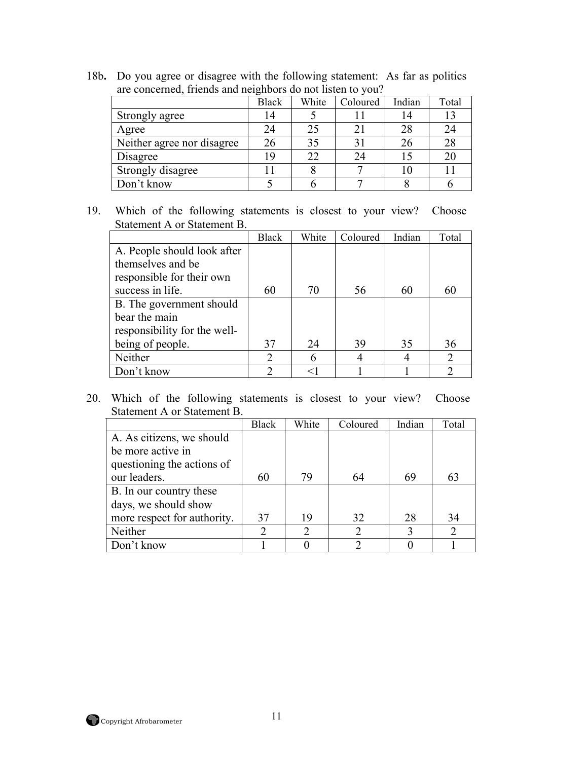18b**.** Do you agree or disagree with the following statement: As far as politics are concerned, friends and neighbors do not listen to you?

|                            | <b>Black</b> | White | Coloured | Indian | Total |
|----------------------------|--------------|-------|----------|--------|-------|
| Strongly agree             | 14           |       |          |        | 13    |
| Agree                      | 24           |       | 21       | 28     | 24    |
| Neither agree nor disagree | 26           | 35    |          | 26     | 28    |
| Disagree                   | 19           | 22    | 24       |        | 20    |
| Strongly disagree          |              |       |          |        |       |
| Don't know                 |              |       |          |        |       |

19. Which of the following statements is closest to your view? Choose Statement A or Statement B.

|                              | <b>Black</b>   | White | Coloured | Indian | Total          |
|------------------------------|----------------|-------|----------|--------|----------------|
| A. People should look after  |                |       |          |        |                |
| themselves and be            |                |       |          |        |                |
| responsible for their own    |                |       |          |        |                |
| success in life.             | 60             | 70    | 56       | 60     | 60             |
| B. The government should     |                |       |          |        |                |
| bear the main                |                |       |          |        |                |
| responsibility for the well- |                |       |          |        |                |
| being of people.             | 37             | 24    | 39       | 35     | 36             |
| Neither                      | $\overline{2}$ |       |          |        | $\overline{2}$ |
| Don't know                   | ∍              |       |          |        | ာ              |

|                             | <b>Black</b> | White | Coloured | Indian | Total                       |
|-----------------------------|--------------|-------|----------|--------|-----------------------------|
| A. As citizens, we should   |              |       |          |        |                             |
| be more active in           |              |       |          |        |                             |
| questioning the actions of  |              |       |          |        |                             |
| our leaders.                | 60           | 79    | 64       | 69     | 63                          |
| B. In our country these     |              |       |          |        |                             |
| days, we should show        |              |       |          |        |                             |
| more respect for authority. | 37           | 19    | 32       | 28     | 34                          |
| Neither                     |              | ∍     | ∍        |        | $\mathcal{D}_{\mathcal{L}}$ |
| Don't know                  |              |       |          |        |                             |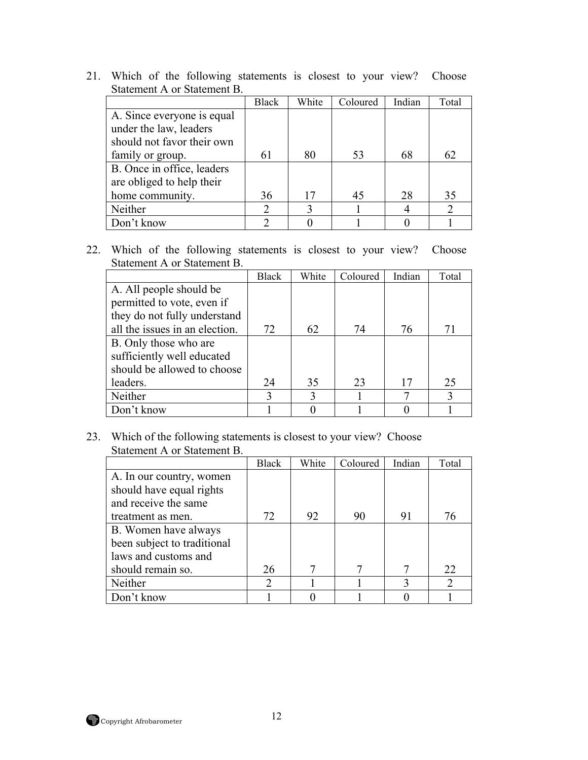|                            | <b>Black</b> | White | Coloured | Indian | Total |
|----------------------------|--------------|-------|----------|--------|-------|
| A. Since everyone is equal |              |       |          |        |       |
| under the law, leaders     |              |       |          |        |       |
| should not favor their own |              |       |          |        |       |
| family or group.           | 61           | 80    | 53       | 68     | 62    |
| B. Once in office, leaders |              |       |          |        |       |
| are obliged to help their  |              |       |          |        |       |
| home community.            | 36           | 17    | 45       | 28     | 35    |
| Neither                    |              |       |          |        | റ     |
| Don't know                 |              |       |          |        |       |

22. Which of the following statements is closest to your view? Choose Statement A or Statement B.

|                                | Black | White | Coloured | Indian | Total |
|--------------------------------|-------|-------|----------|--------|-------|
| A. All people should be        |       |       |          |        |       |
| permitted to vote, even if     |       |       |          |        |       |
| they do not fully understand   |       |       |          |        |       |
| all the issues in an election. | 72    | 62    | 74       | 76     | 71    |
| B. Only those who are          |       |       |          |        |       |
| sufficiently well educated     |       |       |          |        |       |
| should be allowed to choose    |       |       |          |        |       |
| leaders.                       | 24    | 35    | 23       | 17     | 25    |
| Neither                        | 3     |       |          |        | 3     |
| Don't know                     |       |       |          |        |       |

|                             | Black          | White | Coloured | Indian | Total                       |
|-----------------------------|----------------|-------|----------|--------|-----------------------------|
| A. In our country, women    |                |       |          |        |                             |
| should have equal rights    |                |       |          |        |                             |
| and receive the same        |                |       |          |        |                             |
| treatment as men.           | 72             | 92    | 90       | 91     | 76                          |
| B. Women have always        |                |       |          |        |                             |
| been subject to traditional |                |       |          |        |                             |
| laws and customs and        |                |       |          |        |                             |
| should remain so.           | 26             |       | 7        |        | 22                          |
| Neither                     | $\mathfrak{D}$ |       |          |        | $\mathcal{D}_{\mathcal{L}}$ |
| Don't know                  |                |       |          |        |                             |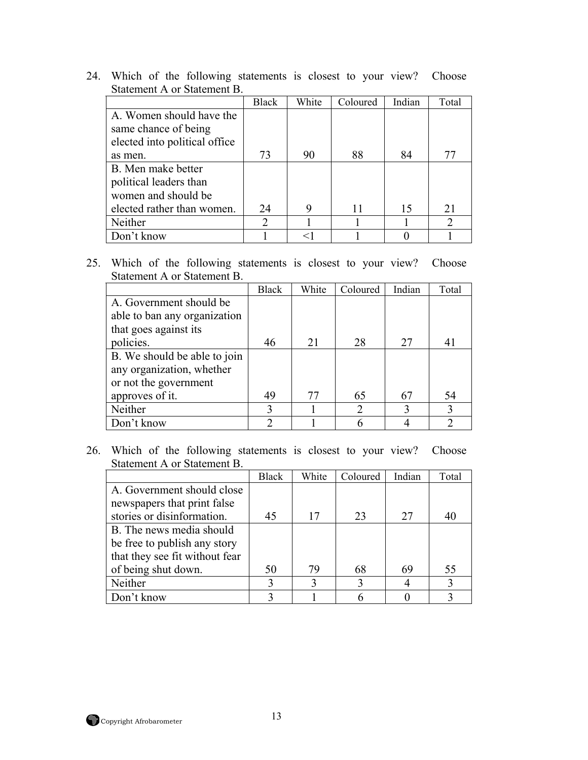|                               | <b>Black</b> | White | Coloured | Indian | Total          |
|-------------------------------|--------------|-------|----------|--------|----------------|
| A. Women should have the      |              |       |          |        |                |
| same chance of being          |              |       |          |        |                |
| elected into political office |              |       |          |        |                |
| as men.                       | 73           | 90    | 88       | 84     | 77             |
| B. Men make better            |              |       |          |        |                |
| political leaders than        |              |       |          |        |                |
| women and should be           |              |       |          |        |                |
| elected rather than women.    | 24           | 9     | 11       | 15     | 21             |
| Neither                       |              |       |          |        | $\mathfrak{D}$ |
| Don't know                    |              | $<$ 1 |          |        |                |

25. Which of the following statements is closest to your view? Choose Statement A or Statement B.

|                              | Black | White | Coloured       | Indian | Total            |
|------------------------------|-------|-------|----------------|--------|------------------|
| A. Government should be      |       |       |                |        |                  |
| able to ban any organization |       |       |                |        |                  |
| that goes against its        |       |       |                |        |                  |
| policies.                    | 46    | 21    | 28             | 27     | 41               |
| B. We should be able to join |       |       |                |        |                  |
| any organization, whether    |       |       |                |        |                  |
| or not the government        |       |       |                |        |                  |
| approves of it.              | 49    | 77    | 65             | 67     | 54               |
| Neither                      | 3     |       | $\overline{2}$ |        | 3                |
| Don't know                   | ∍     |       |                |        | $\sum_{i=1}^{n}$ |

|                                | <b>Black</b> | White | Coloured | Indian | Total |
|--------------------------------|--------------|-------|----------|--------|-------|
| A. Government should close     |              |       |          |        |       |
| newspapers that print false    |              |       |          |        |       |
| stories or disinformation.     | 45           | 17    | 23       | 27     | 40    |
| B. The news media should       |              |       |          |        |       |
| be free to publish any story   |              |       |          |        |       |
| that they see fit without fear |              |       |          |        |       |
| of being shut down.            | 50           | 79    | 68       | 69     | 55    |
| Neither                        | $\mathbf 3$  |       |          |        |       |
| Don't know                     |              |       |          |        |       |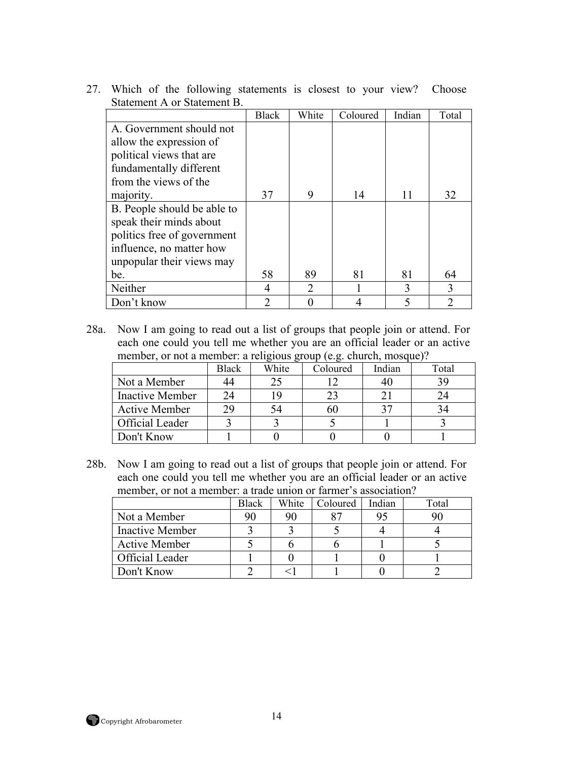|                             | <b>Black</b> | White                       | Coloured | Indian | Total          |
|-----------------------------|--------------|-----------------------------|----------|--------|----------------|
| A. Government should not    |              |                             |          |        |                |
| allow the expression of     |              |                             |          |        |                |
| political views that are    |              |                             |          |        |                |
| fundamentally different     |              |                             |          |        |                |
| from the views of the       |              |                             |          |        |                |
| majority.                   | 37           | 9                           | 14       | 11     | 32             |
| B. People should be able to |              |                             |          |        |                |
| speak their minds about     |              |                             |          |        |                |
| politics free of government |              |                             |          |        |                |
| influence, no matter how    |              |                             |          |        |                |
| unpopular their views may   |              |                             |          |        |                |
| be.                         | 58           | 89                          | 81       | 81     | 64             |
| Neither                     | 4            | $\mathcal{D}_{\mathcal{L}}$ |          | 3      | 3              |
| Don't know                  | 2            |                             |          |        | $\mathfrak{D}$ |

28a. Now I am going to read out a list of groups that people join or attend. For each one could you tell me whether you are an official leader or an active member, or not a member: a religious group (e.g. church, mosque)?

|                        | <b>Black</b> | White | Coloured | Indian | Total |
|------------------------|--------------|-------|----------|--------|-------|
| Not a Member           | 44           |       |          |        |       |
| <b>Inactive Member</b> | 24           |       | 23       |        |       |
| <b>Active Member</b>   | 29           |       | 60       |        |       |
| Official Leader        |              |       |          |        |       |
| Don't Know             |              |       |          |        |       |

28b. Now I am going to read out a list of groups that people join or attend. For each one could you tell me whether you are an official leader or an active member, or not a member: a trade union or farmer's association?

|                        | Black | White | Coloured | Indian | Total |
|------------------------|-------|-------|----------|--------|-------|
| Not a Member           | 90    | 90    |          | 95     |       |
| <b>Inactive Member</b> |       |       |          |        |       |
| <b>Active Member</b>   |       |       |          |        |       |
| Official Leader        |       |       |          |        |       |
| Don't Know             |       |       |          |        |       |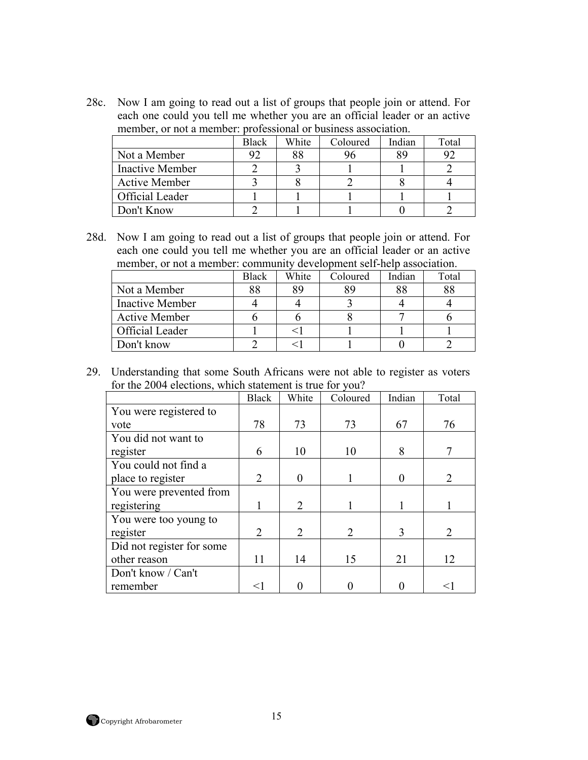28c. Now I am going to read out a list of groups that people join or attend. For each one could you tell me whether you are an official leader or an active member, or not a member: professional or business association.

|                        | <b>Black</b> | White | Coloured | Indian | Total |
|------------------------|--------------|-------|----------|--------|-------|
| Not a Member           |              | 88    |          | gç     |       |
| Inactive Member        |              |       |          |        |       |
| <b>Active Member</b>   |              |       |          |        |       |
| <b>Official Leader</b> |              |       |          |        |       |
| Don't Know             |              |       |          |        |       |

28d. Now I am going to read out a list of groups that people join or attend. For each one could you tell me whether you are an official leader or an active member, or not a member: community development self-help association.

|                        | <b>Black</b> | White | Coloured | Indian | Total |
|------------------------|--------------|-------|----------|--------|-------|
| Not a Member           | Q Q          | 89    | 89       | 88     | 88    |
| <b>Inactive Member</b> |              |       |          |        |       |
| <b>Active Member</b>   |              |       |          |        |       |
| Official Leader        |              |       |          |        |       |
| Don't know             |              |       |          |        |       |

29. Understanding that some South Africans were not able to register as voters for the 2004 elections, which statement is true for you?

|                           | Black          | White          | Coloured | Indian | Total                       |
|---------------------------|----------------|----------------|----------|--------|-----------------------------|
| You were registered to    |                |                |          |        |                             |
| vote                      | 78             | 73             | 73       | 67     | 76                          |
| You did not want to       |                |                |          |        |                             |
| register                  | 6              | 10             | 10       | 8      |                             |
| You could not find a      |                |                |          |        |                             |
| place to register         | $\overline{2}$ | $\Omega$       |          |        | $\mathcal{D}_{\mathcal{L}}$ |
| You were prevented from   |                |                |          |        |                             |
| registering               |                | $\overline{2}$ |          |        |                             |
| You were too young to     |                |                |          |        |                             |
| register                  | $\overline{2}$ | $\overline{2}$ | 2        | 3      | $\mathcal{D}_{\mathcal{L}}$ |
| Did not register for some |                |                |          |        |                             |
| other reason              | 11             | 14             | 15       | 21     | 12                          |
| Don't know / Can't        |                |                |          |        |                             |
| remember                  | $<$ 1          |                |          |        | <1                          |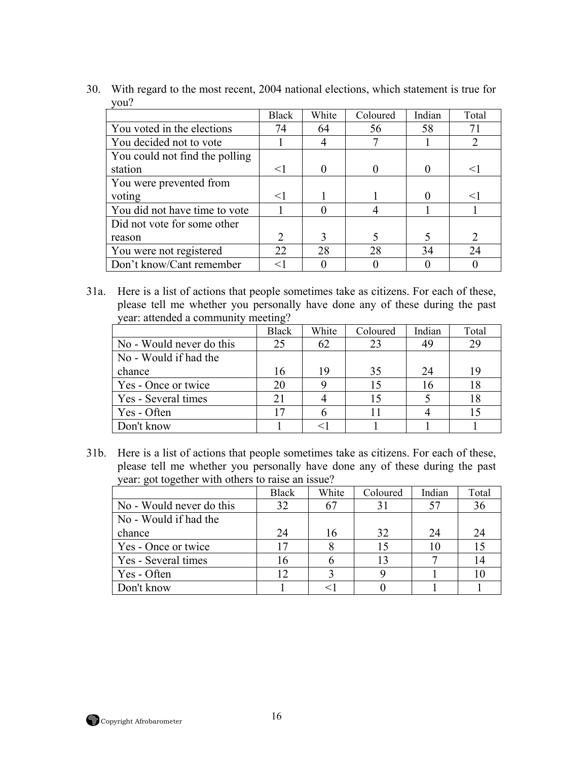- | Black | White | Coloured | Indian | Total You voted in the elections  $\begin{array}{|c|c|c|c|c|c|c|c|c|} \hline 74 & 64 & 56 & 58 & 71 \ \hline \end{array}$ You decided not to vote  $\begin{array}{|c|c|c|c|c|c|c|c|c|} \hline 1 & 4 & 7 & 1 & 2 \ \hline \end{array}$ You could not find the polling station  $\vert$  <1 | 0 | 0 | 0 | <1 You were prevented from voting  $|<1$  | 1 | 1 | 0 |  $<1$ You did not have time to vote  $\begin{array}{|c|c|c|c|c|c|} \hline 1 & 0 & 4 & 1 & 1 \ \hline \end{array}$ Did not vote for some other reason 2 3  $5 \times 2$ You were not registered 22 28 28 34 24 Don't know/Cant remember  $\vert$  <1  $\vert$  0  $\vert$  0  $\vert$  0  $\vert$  0  $\vert$  0
- 30. With regard to the most recent, 2004 national elections, which statement is true for you?

31a. Here is a list of actions that people sometimes take as citizens. For each of these, please tell me whether you personally have done any of these during the past year: attended a community meeting?

|                          | <b>Black</b> | White | Coloured | Indian | Total |
|--------------------------|--------------|-------|----------|--------|-------|
| No - Would never do this | 25           | 62    | 23       | 49     | 29    |
| No - Would if had the    |              |       |          |        |       |
| chance                   | 16           | 19    | 35       | 24     | 19    |
| Yes - Once or twice      | 20           |       | 15       | 16     | 18    |
| Yes - Several times      | 21           |       |          |        | 18    |
| Yes - Often              |              |       |          |        |       |
| Don't know               |              |       |          |        |       |

31b. Here is a list of actions that people sometimes take as citizens. For each of these, please tell me whether you personally have done any of these during the past year: got together with others to raise an issue?

|                          | <b>Black</b> | White | Coloured | Indian | Total |
|--------------------------|--------------|-------|----------|--------|-------|
| No - Would never do this | 32           |       |          | 57     | 36    |
| No - Would if had the    |              |       |          |        |       |
| chance                   | 24           | 16    | 32       | 24     | 24    |
| Yes - Once or twice      | 17           |       | 15       |        |       |
| Yes - Several times      | 16           |       | 13       |        | 14    |
| Yes - Often              | 12           |       |          |        |       |
| Don't know               |              |       |          |        |       |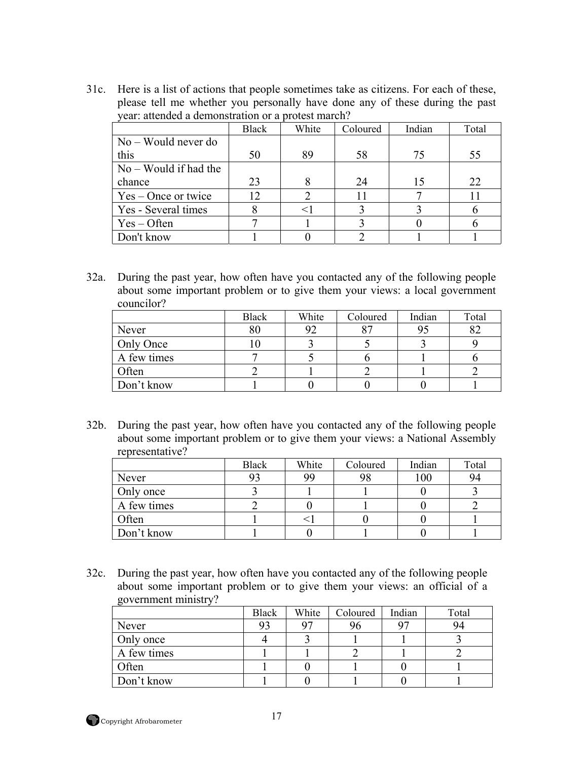31c. Here is a list of actions that people sometimes take as citizens. For each of these, please tell me whether you personally have done any of these during the past year: attended a demonstration or a protest march?

|                         | <b>Black</b>      | White | Coloured | Indian | Total |
|-------------------------|-------------------|-------|----------|--------|-------|
| $No - Would never do$   |                   |       |          |        |       |
| this                    | 50                | 89    | 58       | 75     | 55    |
| $No - Would if had the$ |                   |       |          |        |       |
| chance                  | 23                |       | 24       | 15     | 22    |
| $Yes - Once or twice$   | $12 \overline{)}$ |       |          |        | 11    |
| Yes - Several times     |                   |       |          |        |       |
| $Yes - Often$           |                   |       |          |        |       |
| Don't know              |                   |       |          |        |       |

32a. During the past year, how often have you contacted any of the following people about some important problem or to give them your views: a local government councilor?

|             | <b>Black</b> | White | Coloured       | Indian | Total |
|-------------|--------------|-------|----------------|--------|-------|
| Never       |              | 92    | O <sub>7</sub> | 95     | 82    |
| Only Once   |              |       |                |        |       |
| A few times |              |       |                |        |       |
| Often       |              |       |                |        |       |
| Don't know  |              |       |                |        |       |

32b. During the past year, how often have you contacted any of the following people about some important problem or to give them your views: a National Assembly representative?

|             | <b>Black</b> | White | Coloured | Indian | Total |
|-------------|--------------|-------|----------|--------|-------|
| Never       |              | 99    |          | 100    | 94    |
| Only once   |              |       |          |        |       |
| A few times |              |       |          |        |       |
| Often       |              |       |          |        |       |
| Don't know  |              |       |          |        |       |

32c. During the past year, how often have you contacted any of the following people about some important problem or to give them your views: an official of a government ministry?

|             | <b>Black</b> | White | Coloured | Indian | Total |
|-------------|--------------|-------|----------|--------|-------|
| Never       |              | 07    | 96       | 07     | 94    |
| Only once   |              |       |          |        |       |
| A few times |              |       |          |        |       |
| Often       |              |       |          |        |       |
| Don't know  |              |       |          |        |       |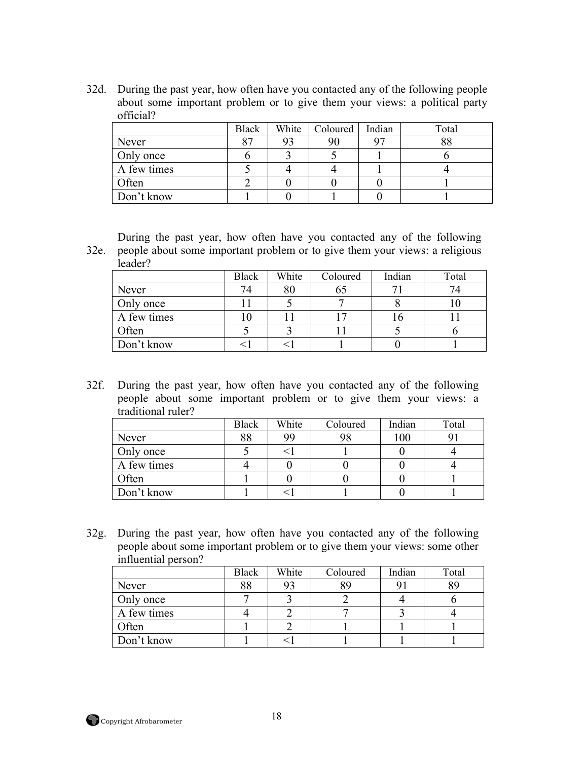32d. During the past year, how often have you contacted any of the following people about some important problem or to give them your views: a political party official?

|             | <b>Black</b>   | White | Coloured | Indian | Total |
|-------------|----------------|-------|----------|--------|-------|
| Never       | Q <sub>7</sub> | 93    | 90       |        | QQ    |
| Only once   |                |       |          |        |       |
| A few times |                |       |          |        |       |
| Often       |                |       |          |        |       |
| Don't know  |                |       |          |        |       |

32e. people about some important problem or to give them your views: a religious During the past year, how often have you contacted any of the following leader?

|             | <b>Black</b> | White | Coloured | Indian | Total |
|-------------|--------------|-------|----------|--------|-------|
| Never       | 74           | 80    | ხა       |        |       |
| Only once   |              |       |          |        |       |
| A few times | ιv           |       |          | ιo     |       |
| Often       |              |       |          |        |       |
| Don't know  |              |       |          |        |       |

32f. During the past year, how often have you contacted any of the following people about some important problem or to give them your views: a traditional ruler?

|             | <b>Black</b> | White | Coloured | Indian | Total |
|-------------|--------------|-------|----------|--------|-------|
| Never       | 88           | 99    | 98       | 100    |       |
| Only once   |              |       |          |        |       |
| A few times |              |       |          |        |       |
| Often       |              |       |          |        |       |
| Don't know  |              |       |          |        |       |

32g. During the past year, how often have you contacted any of the following people about some important problem or to give them your views: some other influential person?

|             | <b>Black</b> | White | Coloured | Indian | Total |
|-------------|--------------|-------|----------|--------|-------|
| Never       | 88           | 93    | 89       |        | QΟ    |
| Only once   |              |       |          |        |       |
| A few times |              |       |          |        |       |
| Often       |              |       |          |        |       |
| Don't know  |              |       |          |        |       |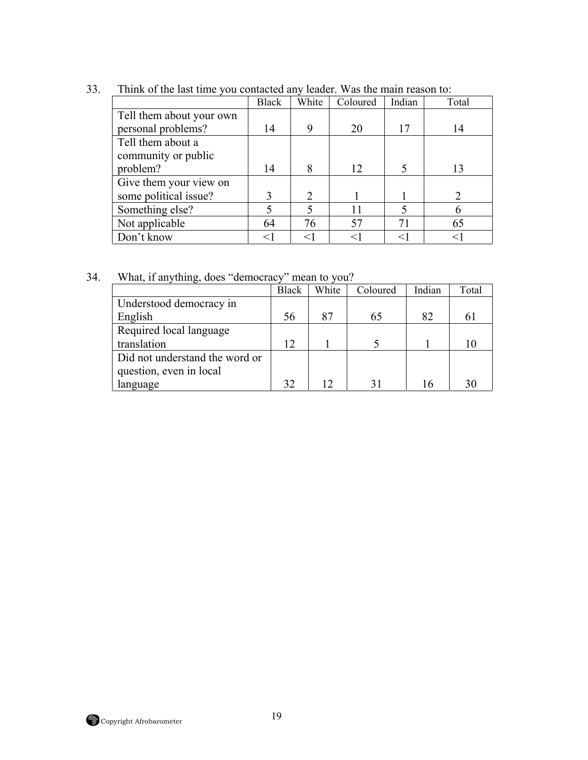|                          | <b>Black</b> | White | Coloured | Indian | Total         |
|--------------------------|--------------|-------|----------|--------|---------------|
| Tell them about your own |              |       |          |        |               |
| personal problems?       | 14           | 9     | 20       | 17     | 14            |
| Tell them about a        |              |       |          |        |               |
| community or public      |              |       |          |        |               |
| problem?                 | 14           | 8     | 12       |        | 13            |
| Give them your view on   |              |       |          |        |               |
| some political issue?    |              | 2     |          |        | 2             |
| Something else?          |              |       |          |        | $\mathfrak b$ |
| Not applicable           | 64           | 76    | 57       | 71     | 65            |
| Don't know               | $<$ 1        | $<$ 1 |          | <1     |               |

33. Think of the last time you contacted any leader. Was the main reason to:

34. What, if anything, does "democracy" mean to you?

|                                | Black | White | Coloured | Indian | Total |
|--------------------------------|-------|-------|----------|--------|-------|
| Understood democracy in        |       |       |          |        |       |
| English                        | 56    |       | 65       | 82     | 61    |
| Required local language        |       |       |          |        |       |
| translation                    | 12    |       |          |        |       |
| Did not understand the word or |       |       |          |        |       |
| question, even in local        |       |       |          |        |       |
| language                       | 32    |       | 31       |        | 30    |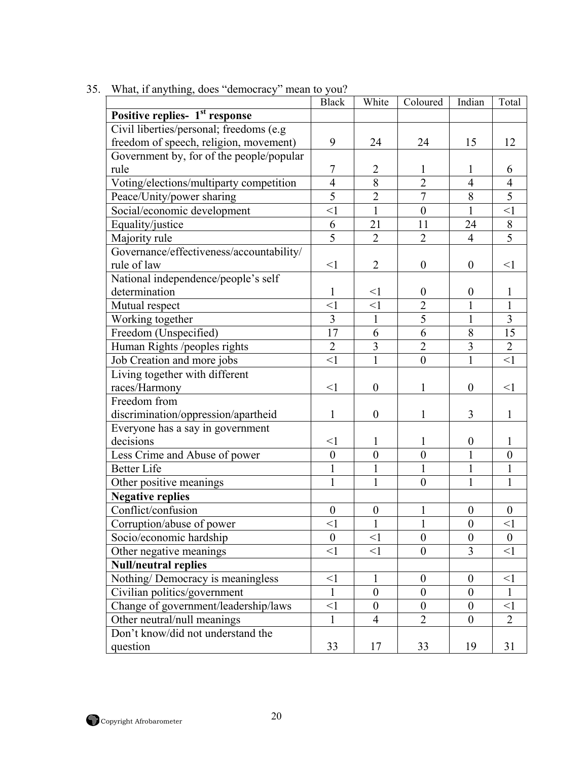|                                            | <b>Black</b>     | White            | Coloured         | Indian           | Total            |
|--------------------------------------------|------------------|------------------|------------------|------------------|------------------|
| Positive replies- 1 <sup>st</sup> response |                  |                  |                  |                  |                  |
| Civil liberties/personal; freedoms (e.g    |                  |                  |                  |                  |                  |
| freedom of speech, religion, movement)     | 9                | 24               | 24               | 15               | 12               |
| Government by, for of the people/popular   |                  |                  |                  |                  |                  |
| rule                                       | 7                | $\overline{2}$   | 1                | $\mathbf{I}$     | 6                |
| Voting/elections/multiparty competition    | $\overline{4}$   | 8                | $\overline{2}$   | $\overline{4}$   | $\overline{4}$   |
| Peace/Unity/power sharing                  | $\overline{5}$   | $\overline{2}$   | $\overline{7}$   | 8                | $\overline{5}$   |
| Social/economic development                | $\leq$ 1         | $\mathbf{1}$     | $\boldsymbol{0}$ | $\mathbf{1}$     | $\leq$ 1         |
| Equality/justice                           | 6                | 21               | 11               | 24               | $8\,$            |
| Majority rule                              | $\overline{5}$   | $\overline{2}$   | $\overline{2}$   | $\overline{4}$   | $\overline{5}$   |
| Governance/effectiveness/accountability/   |                  |                  |                  |                  |                  |
| rule of law                                | <1               | $\overline{2}$   | $\boldsymbol{0}$ | $\boldsymbol{0}$ | <1               |
| National independence/people's self        |                  |                  |                  |                  |                  |
| determination                              | $\mathbf{1}$     | $\leq$ 1         | $\mathbf{0}$     | $\boldsymbol{0}$ | 1                |
| Mutual respect                             | $\leq$ 1         | $\leq$ 1         | $\overline{2}$   | $\mathbf{1}$     | $\mathbf{1}$     |
| Working together                           | 3                | 1                | 5                | 1                | $\mathfrak{Z}$   |
| Freedom (Unspecified)                      | 17               | 6                | 6                | 8                | $\overline{15}$  |
| Human Rights /peoples rights               | $\overline{2}$   | $\mathfrak{Z}$   | $\overline{2}$   | 3                | $\overline{2}$   |
| Job Creation and more jobs                 | $\leq$ 1         | $\mathbf{1}$     | $\overline{0}$   | $\mathbf{1}$     | $\leq$ 1         |
| Living together with different             |                  |                  |                  |                  |                  |
| races/Harmony                              | $\leq$ 1         | $\boldsymbol{0}$ | 1                | $\boldsymbol{0}$ | $\leq$ 1         |
| Freedom from                               |                  |                  |                  |                  |                  |
| discrimination/oppression/apartheid        | 1                | $\boldsymbol{0}$ | 1                | 3                | 1                |
| Everyone has a say in government           |                  |                  |                  |                  |                  |
| decisions                                  | <1               | 1                | 1                | $\boldsymbol{0}$ | 1                |
| Less Crime and Abuse of power              | $\overline{0}$   | $\overline{0}$   | $\overline{0}$   | $\mathbf{1}$     | $\mathbf{0}$     |
| <b>Better Life</b>                         | 1                | $\mathbf{1}$     | 1                | $\mathbf{1}$     | 1                |
| Other positive meanings                    | $\mathbf{1}$     | $\mathbf{1}$     | $\boldsymbol{0}$ | $\mathbf{1}$     | $\mathbf{1}$     |
| <b>Negative replies</b>                    |                  |                  |                  |                  |                  |
| Conflict/confusion                         | $\boldsymbol{0}$ | $\boldsymbol{0}$ | $\mathbf{1}$     | $\boldsymbol{0}$ | $\boldsymbol{0}$ |
| Corruption/abuse of power                  | $<$ 1            | $\mathbf{1}$     | $\mathbf{1}$     | $\boldsymbol{0}$ | $\leq$ 1         |
| Socio/economic hardship                    | $\overline{0}$   | $\leq$ 1         | $\overline{0}$   | $\theta$         | $\boldsymbol{0}$ |
| Other negative meanings                    | <1               | <1               | $\boldsymbol{0}$ | $\overline{3}$   | <1               |
| <b>Null/neutral replies</b>                |                  |                  |                  |                  |                  |
| Nothing/Democracy is meaningless           | $\leq$ 1         | 1                | $\boldsymbol{0}$ | $\overline{0}$   | $<$ 1            |
| Civilian politics/government               | $\mathbf{1}$     | $\boldsymbol{0}$ | $\boldsymbol{0}$ | $\overline{0}$   | $\mathbf{1}$     |
| Change of government/leadership/laws       | $\leq$ 1         | $\boldsymbol{0}$ | $\boldsymbol{0}$ | $\boldsymbol{0}$ | $\leq$ 1         |
| Other neutral/null meanings                | $\mathbf{1}$     | $\overline{4}$   | $\overline{2}$   | $\boldsymbol{0}$ | $\overline{2}$   |
| Don't know/did not understand the          |                  |                  |                  |                  |                  |
| question                                   | 33               | 17               | 33               | 19               | 31               |
|                                            |                  |                  |                  |                  |                  |

35. What, if anything, does "democracy" mean to you?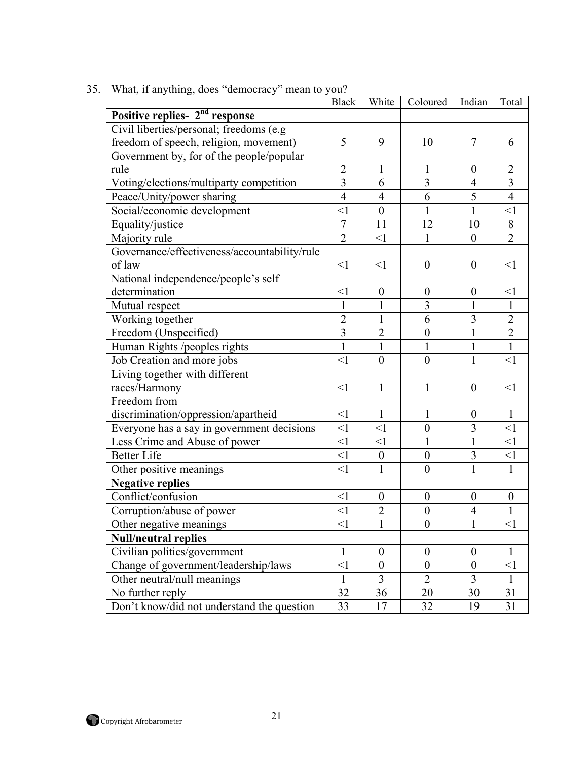|                                              | <b>Black</b>   | White            | Coloured         | Indian                  | Total            |
|----------------------------------------------|----------------|------------------|------------------|-------------------------|------------------|
| Positive replies- 2 <sup>nd</sup> response   |                |                  |                  |                         |                  |
| Civil liberties/personal; freedoms (e.g.     |                |                  |                  |                         |                  |
| freedom of speech, religion, movement)       | 5              | 9                | 10               | $\tau$                  | 6                |
| Government by, for of the people/popular     |                |                  |                  |                         |                  |
| rule                                         | $\overline{2}$ | $\mathbf{1}$     | 1                | $\boldsymbol{0}$        | $\overline{2}$   |
| Voting/elections/multiparty competition      | 3              | 6                | 3                | 4                       | 3                |
| Peace/Unity/power sharing                    | $\overline{4}$ | $\overline{4}$   | 6                | 5                       | $\overline{4}$   |
| Social/economic development                  | $\leq$ 1       | $\boldsymbol{0}$ | 1                | $\mathbf{1}$            | $\leq$ 1         |
| Equality/justice                             | $\overline{7}$ | 11               | 12               | 10                      | $8\,$            |
| Majority rule                                | $\overline{2}$ | $\leq$ 1         | $\mathbf{1}$     | $\boldsymbol{0}$        | $\overline{2}$   |
| Governance/effectiveness/accountability/rule |                |                  |                  |                         |                  |
| of law                                       | $<$ 1          | $<$ 1            | $\boldsymbol{0}$ | $\boldsymbol{0}$        | $\leq$ 1         |
| National independence/people's self          |                |                  |                  |                         |                  |
| determination                                | $\leq$ 1       | $\boldsymbol{0}$ | $\boldsymbol{0}$ | $\boldsymbol{0}$        | $<$ 1            |
| Mutual respect                               | $\mathbf{1}$   | $\mathbf{1}$     | $\overline{3}$   | 1                       | $\mathbf{1}$     |
| Working together                             | $\overline{2}$ | 1                | 6                | $\overline{\mathbf{3}}$ | $\overline{2}$   |
| Freedom (Unspecified)                        | $\overline{3}$ | $\overline{2}$   | $\mathbf{0}$     | $\mathbf{1}$            | $\overline{2}$   |
| Human Rights /peoples rights                 | $\mathbf{1}$   | $\mathbf{1}$     | $\mathbf{1}$     | $\mathbf{1}$            | $\mathbf{1}$     |
| Job Creation and more jobs                   | $\leq$ 1       | $\boldsymbol{0}$ | $\boldsymbol{0}$ | $\mathbf{1}$            | $\leq$ 1         |
| Living together with different               |                |                  |                  |                         |                  |
| races/Harmony                                | $\leq$ 1       | 1                | 1                | $\boldsymbol{0}$        | $<$ l            |
| Freedom from                                 |                |                  |                  |                         |                  |
| discrimination/oppression/apartheid          | $<$ 1          | 1                | 1                | $\boldsymbol{0}$        | $\mathbf{1}$     |
| Everyone has a say in government decisions   | $\leq$ 1       | $\overline{z}$   | $\overline{0}$   | $\overline{3}$          | $\leq$ 1         |
| Less Crime and Abuse of power                | $\leq$ 1       | $\leq$ 1         | $\mathbf{1}$     | $\mathbf{1}$            | $\leq$ 1         |
| <b>Better Life</b>                           | $\leq$ 1       | $\boldsymbol{0}$ | $\boldsymbol{0}$ | $\overline{\mathbf{3}}$ | $\leq$ 1         |
| Other positive meanings                      | $<$ 1          | $\mathbf{1}$     | $\boldsymbol{0}$ | $\mathbf{1}$            | $\mathbf{1}$     |
| <b>Negative replies</b>                      |                |                  |                  |                         |                  |
| Conflict/confusion                           | <1             | $\boldsymbol{0}$ | $\boldsymbol{0}$ | $\boldsymbol{0}$        | $\boldsymbol{0}$ |
| Corruption/abuse of power                    | $\leq$ 1       | $\overline{2}$   | $\boldsymbol{0}$ | $\overline{4}$          | $\mathbf{1}$     |
| Other negative meanings                      | $\leq$ 1       | $\mathbf{1}$     | $\boldsymbol{0}$ | $\mathbf{1}$            | $<$ l            |
| <b>Null/neutral replies</b>                  |                |                  |                  |                         |                  |
| Civilian politics/government                 | $\mathbf{1}$   | $\boldsymbol{0}$ | $\boldsymbol{0}$ | $\boldsymbol{0}$        | $\mathbf{1}$     |
| Change of government/leadership/laws         | $\leq$ 1       | $\boldsymbol{0}$ | $\boldsymbol{0}$ | $\boldsymbol{0}$        | $<$ l            |
| Other neutral/null meanings                  | 1              | $\overline{3}$   | $\overline{2}$   | 3                       | 1                |
| No further reply                             | 32             | 36               | 20               | 30                      | 31               |
| Don't know/did not understand the question   | 33             | 17               | 32               | 19                      | 31               |

35. What, if anything, does "democracy" mean to you?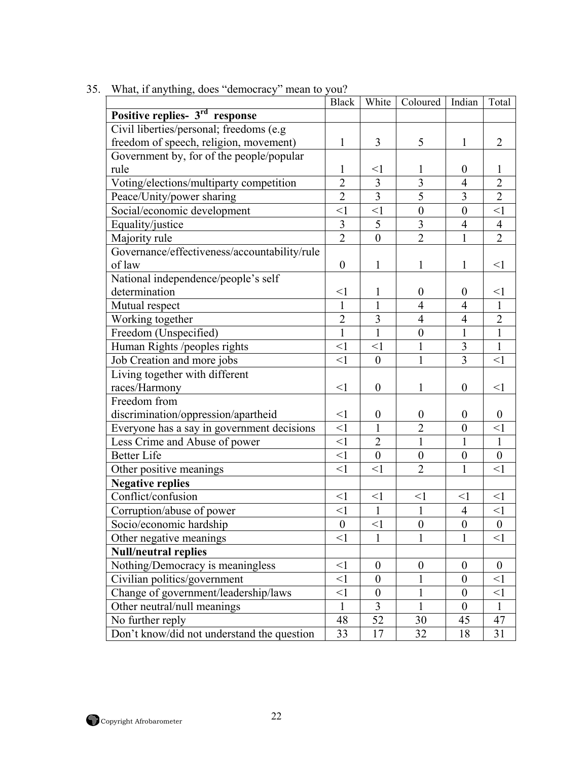|                                              | <b>Black</b>     | White            | Coloured   Indian       |                  | Total            |
|----------------------------------------------|------------------|------------------|-------------------------|------------------|------------------|
| Positive replies- 3 <sup>rd</sup> response   |                  |                  |                         |                  |                  |
| Civil liberties/personal; freedoms (e.g      |                  |                  |                         |                  |                  |
| freedom of speech, religion, movement)       | $\mathbf{1}$     | 3                | 5                       | $\mathbf{1}$     | $\overline{2}$   |
| Government by, for of the people/popular     |                  |                  |                         |                  |                  |
| rule                                         | 1                | $<$ 1            | 1                       | $\boldsymbol{0}$ | L                |
| Voting/elections/multiparty competition      | $\overline{2}$   | $\overline{3}$   | $\overline{\mathbf{3}}$ | $\overline{4}$   | $\overline{2}$   |
| Peace/Unity/power sharing                    | $\overline{2}$   | $\overline{3}$   | $\overline{5}$          | $\overline{3}$   | $\overline{2}$   |
| Social/economic development                  | $\leq$ 1         | $\leq$ 1         | $\boldsymbol{0}$        | $\boldsymbol{0}$ | $<$ l            |
| Equality/justice                             | $\mathfrak{Z}$   | 5                | $\overline{3}$          | $\overline{4}$   | $\overline{4}$   |
| Majority rule                                | $\overline{2}$   | $\theta$         | $\overline{2}$          | $\mathbf{1}$     | $\overline{2}$   |
| Governance/effectiveness/accountability/rule |                  |                  |                         |                  |                  |
| of law                                       | $\boldsymbol{0}$ | 1                | 1                       | 1                | $\leq$ 1         |
| National independence/people's self          |                  |                  |                         |                  |                  |
| determination                                | $\leq$ 1         | 1                | $\boldsymbol{0}$        | $\boldsymbol{0}$ | $\leq$ 1         |
| Mutual respect                               | 1                | 1                | $\overline{4}$          | 4                | $\mathbf{1}$     |
| Working together                             | $\overline{2}$   | 3                | 4                       | $\overline{4}$   | $\overline{2}$   |
| Freedom (Unspecified)                        | $\mathbf{1}$     | $\mathbf{1}$     | $\boldsymbol{0}$        | $\mathbf{1}$     | $\mathbf{1}$     |
| Human Rights /peoples rights                 | $\leq$ 1         | $\leq$ 1         | $\mathbf{1}$            | 3                | $\mathbf{1}$     |
| Job Creation and more jobs                   | $\leq$ 1         | $\boldsymbol{0}$ | $\mathbf{1}$            | 3                | $\leq$ 1         |
| Living together with different               |                  |                  |                         |                  |                  |
| races/Harmony                                | $<$ 1            | $\boldsymbol{0}$ | 1                       | $\boldsymbol{0}$ | $<$ l            |
| Freedom from                                 |                  |                  |                         |                  |                  |
| discrimination/oppression/apartheid          | $\leq$ 1         | $\boldsymbol{0}$ | $\boldsymbol{0}$        | $\boldsymbol{0}$ | $\overline{0}$   |
| Everyone has a say in government decisions   | $\leq$ 1         | 1                | $\overline{2}$          | $\boldsymbol{0}$ | $\leq$ 1         |
| Less Crime and Abuse of power                | $\leq$ 1         | $\overline{2}$   | $\mathbf{1}$            | 1                | $\mathbf{1}$     |
| <b>Better Life</b>                           | $\leq$ 1         | $\overline{0}$   | $\mathbf{0}$            | $\boldsymbol{0}$ | $\boldsymbol{0}$ |
| Other positive meanings                      | $\leq$ 1         | $\leq$ 1         | $\overline{2}$          | $\mathbf{1}$     | $\leq$ 1         |
| <b>Negative replies</b>                      |                  |                  |                         |                  |                  |
| Conflict/confusion                           | $\leq$ 1         | $\leq$ 1         | $\leq$ 1                | $\leq$ 1         | $\leq$ 1         |
| Corruption/abuse of power                    | $\leq$ 1         | $\mathbf{1}$     | $\mathbf{1}$            | $\overline{4}$   | $\leq$ 1         |
| Socio/economic hardship                      | $\boldsymbol{0}$ | $\leq$ 1         | $\boldsymbol{0}$        | $\boldsymbol{0}$ | $\boldsymbol{0}$ |
| Other negative meanings                      | $<$ 1            | 1                | 1                       | 1                | $\leq$ 1         |
| <b>Null/neutral replies</b>                  |                  |                  |                         |                  |                  |
| Nothing/Democracy is meaningless             | $\leq$ 1         | $\boldsymbol{0}$ | $\boldsymbol{0}$        | $\boldsymbol{0}$ | $\overline{0}$   |
| Civilian politics/government                 | $<$ 1            | $\Omega$         |                         | $\overline{0}$   | $\leq$ 1         |
| Change of government/leadership/laws         | $<$ 1            | $\theta$         |                         | $\boldsymbol{0}$ | $<$ 1            |
| Other neutral/null meanings                  | 1                | 3                |                         | $\boldsymbol{0}$ | 1                |
| No further reply                             | 48               | 52               | 30                      | 45               | 47               |
| Don't know/did not understand the question   | 33               | 17               | 32                      | 18               | 31               |
|                                              |                  |                  |                         |                  |                  |

35. What, if anything, does "democracy" mean to you?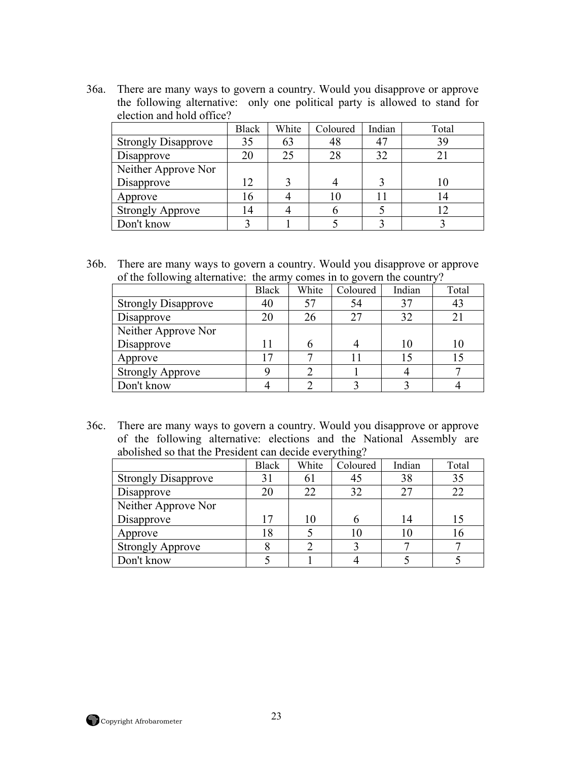36a. There are many ways to govern a country. Would you disapprove or approve the following alternative: only one political party is allowed to stand for election and hold office?

|                            | <b>Black</b> | White | Coloured | Indian | Total |
|----------------------------|--------------|-------|----------|--------|-------|
| <b>Strongly Disapprove</b> | 35           | 63    | 48       |        | 39    |
| Disapprove                 | 20           | 25    | 28       | 32     |       |
| Neither Approve Nor        |              |       |          |        |       |
| Disapprove                 | 12           |       |          |        | 10    |
| Approve                    | 16           |       |          |        |       |
| <b>Strongly Approve</b>    |              |       |          |        |       |
| Don't know                 |              |       |          |        |       |

36b. There are many ways to govern a country. Would you disapprove or approve of the following alternative: the army comes in to govern the country?

| --- 0                      |              | $ -$  |          |        |       |  |
|----------------------------|--------------|-------|----------|--------|-------|--|
|                            | <b>Black</b> | White | Coloured | Indian | Total |  |
| <b>Strongly Disapprove</b> | 40           |       | 54       | 37     | 43    |  |
| Disapprove                 | 20           | 26    | 27       | 32     |       |  |
| Neither Approve Nor        |              |       |          |        |       |  |
| Disapprove                 |              |       |          | 10     |       |  |
| Approve                    |              |       |          |        |       |  |
| <b>Strongly Approve</b>    |              |       |          |        |       |  |
| Don't know                 |              |       |          |        |       |  |

36c. There are many ways to govern a country. Would you disapprove or approve of the following alternative: elections and the National Assembly are abolished so that the President can decide everything?

|                            | <b>Black</b> | White | Coloured | Indian | Total |
|----------------------------|--------------|-------|----------|--------|-------|
| <b>Strongly Disapprove</b> | 31           | 61    | 45       | 38     | 35    |
| Disapprove                 | 20           | 22    | 32       | 27     | 22    |
| Neither Approve Nor        |              |       |          |        |       |
| Disapprove                 |              | 10    |          | 14     |       |
| Approve                    | 18           |       | 10       |        | 16    |
| <b>Strongly Approve</b>    |              |       |          |        |       |
| Don't know                 |              |       |          |        |       |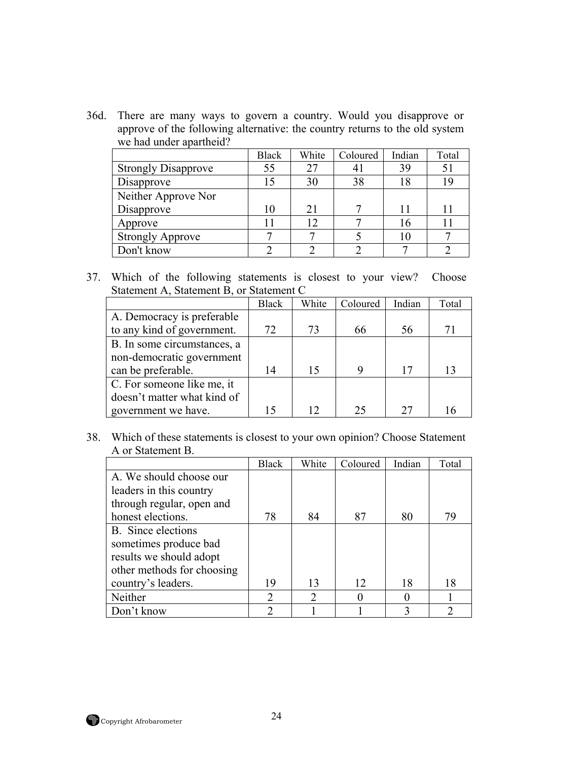36d. There are many ways to govern a country. Would you disapprove or approve of the following alternative: the country returns to the old system we had under apartheid?

|                            | <b>Black</b> | White | Coloured | Indian | Total |
|----------------------------|--------------|-------|----------|--------|-------|
| <b>Strongly Disapprove</b> | 55           |       | 4 I      | 39     | 51    |
| Disapprove                 | 15           | 30    | 38       | 18     | 19    |
| Neither Approve Nor        |              |       |          |        |       |
| Disapprove                 | 10           | 21    |          |        |       |
| Approve                    | 11           | 12    |          | 16     |       |
| <b>Strongly Approve</b>    |              |       |          | 10     |       |
| Don't know                 |              |       |          |        |       |

37. Which of the following statements is closest to your view? Choose Statement A, Statement B, or Statement C

|                             | <b>Black</b> | White | Coloured | Indian | Total |
|-----------------------------|--------------|-------|----------|--------|-------|
| A. Democracy is preferable  |              |       |          |        |       |
| to any kind of government.  | 72           | 73    | 66       | 56     | 71    |
| B. In some circumstances, a |              |       |          |        |       |
| non-democratic government   |              |       |          |        |       |
| can be preferable.          | 14           | 15    | 9        | 17     | 13    |
| C. For someone like me, it  |              |       |          |        |       |
| doesn't matter what kind of |              |       |          |        |       |
| government we have.         | 15           |       | 25       | 27     |       |

38. Which of these statements is closest to your own opinion? Choose Statement A or Statement B.

|                            | <b>Black</b>  | White         | Coloured | Indian | Total |
|----------------------------|---------------|---------------|----------|--------|-------|
| A. We should choose our    |               |               |          |        |       |
| leaders in this country    |               |               |          |        |       |
| through regular, open and  |               |               |          |        |       |
| honest elections.          | 78            | 84            | 87       | 80     | 79    |
| B. Since elections         |               |               |          |        |       |
| sometimes produce bad      |               |               |          |        |       |
| results we should adopt    |               |               |          |        |       |
| other methods for choosing |               |               |          |        |       |
| country's leaders.         | 19            | 13            | 12       | 18     | 18    |
| Neither                    | $\mathcal{D}$ | $\mathcal{D}$ |          |        |       |
| Don't know                 | ി             |               |          |        | ာ     |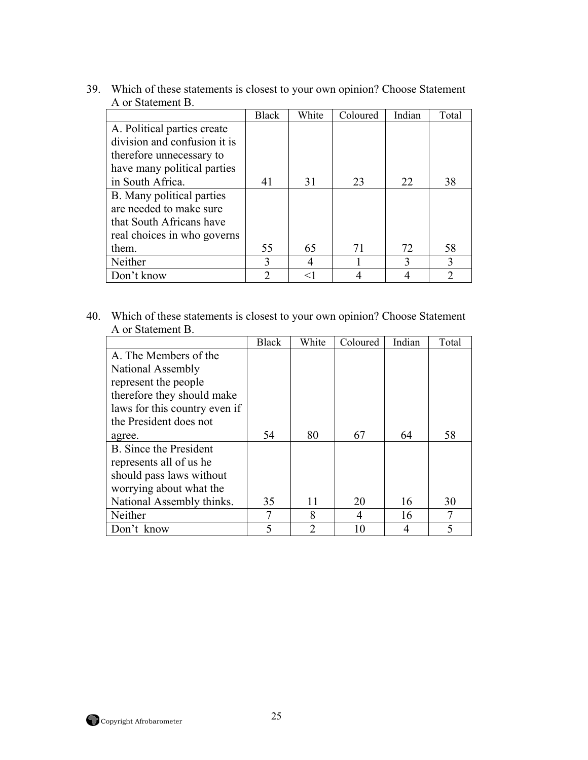|                              | <b>Black</b>  | White | Coloured | Indian | Total         |
|------------------------------|---------------|-------|----------|--------|---------------|
| A. Political parties create  |               |       |          |        |               |
| division and confusion it is |               |       |          |        |               |
| therefore unnecessary to     |               |       |          |        |               |
| have many political parties  |               |       |          |        |               |
| in South Africa.             | 41            | 31    | 23       | 22     | 38            |
| B. Many political parties    |               |       |          |        |               |
| are needed to make sure      |               |       |          |        |               |
| that South Africans have     |               |       |          |        |               |
| real choices in who governs  |               |       |          |        |               |
| them.                        | 55            | 65    | 71       | 72     | 58            |
| Neither                      |               | 4     |          |        | 3             |
| Don't know                   | $\mathcal{D}$ | $<$ 1 |          |        | $\mathcal{D}$ |

39. Which of these statements is closest to your own opinion? Choose Statement A or Statement B.

40. Which of these statements is closest to your own opinion? Choose Statement A or Statement B.

|                               | <b>Black</b> | White | Coloured | Indian | Total |
|-------------------------------|--------------|-------|----------|--------|-------|
| A. The Members of the         |              |       |          |        |       |
| National Assembly             |              |       |          |        |       |
| represent the people          |              |       |          |        |       |
| therefore they should make    |              |       |          |        |       |
| laws for this country even if |              |       |          |        |       |
| the President does not        |              |       |          |        |       |
| agree.                        | 54           | 80    | 67       | 64     | 58    |
| <b>B.</b> Since the President |              |       |          |        |       |
| represents all of us he       |              |       |          |        |       |
| should pass laws without      |              |       |          |        |       |
| worrying about what the       |              |       |          |        |       |
| National Assembly thinks.     | 35           | 11    | 20       | 16     | 30    |
| Neither                       | 7            | 8     | 4        | 16     |       |
| Don't know                    | 5            | っ     | 10       |        | 5     |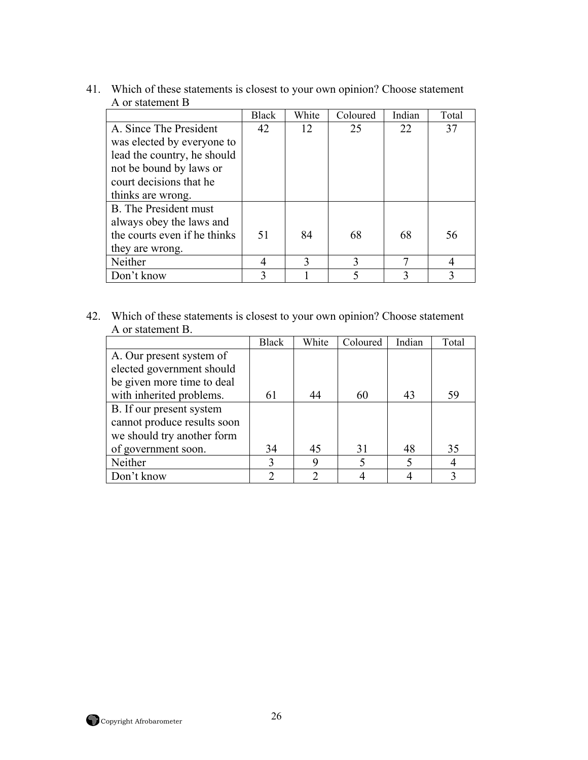|                              | <b>Black</b> | White | Coloured | Indian | Total |
|------------------------------|--------------|-------|----------|--------|-------|
| A. Since The President       | 42           | 12    | 25       | 22     | 37    |
| was elected by everyone to   |              |       |          |        |       |
| lead the country, he should  |              |       |          |        |       |
| not be bound by laws or      |              |       |          |        |       |
| court decisions that he      |              |       |          |        |       |
| thinks are wrong.            |              |       |          |        |       |
| <b>B.</b> The President must |              |       |          |        |       |
| always obey the laws and     |              |       |          |        |       |
| the courts even if he thinks | 51           | 84    | 68       | 68     | 56    |
| they are wrong.              |              |       |          |        |       |
| Neither                      |              | 3     |          |        | 4     |
| Don't know                   |              |       |          |        |       |

41. Which of these statements is closest to your own opinion? Choose statement A or statement B

42. Which of these statements is closest to your own opinion? Choose statement A or statement B.

|                             | <b>Black</b>                | White | Coloured | Indian | Total |
|-----------------------------|-----------------------------|-------|----------|--------|-------|
| A. Our present system of    |                             |       |          |        |       |
| elected government should   |                             |       |          |        |       |
| be given more time to deal  |                             |       |          |        |       |
| with inherited problems.    | 61                          | 44    | 60       | 43     | 59    |
| B. If our present system    |                             |       |          |        |       |
| cannot produce results soon |                             |       |          |        |       |
| we should try another form  |                             |       |          |        |       |
| of government soon.         | 34                          | 45    | 31       | 48     | 35    |
| Neither                     | 3                           | 9     |          |        |       |
| Don't know                  | $\mathcal{D}_{\mathcal{A}}$ | っ     |          |        |       |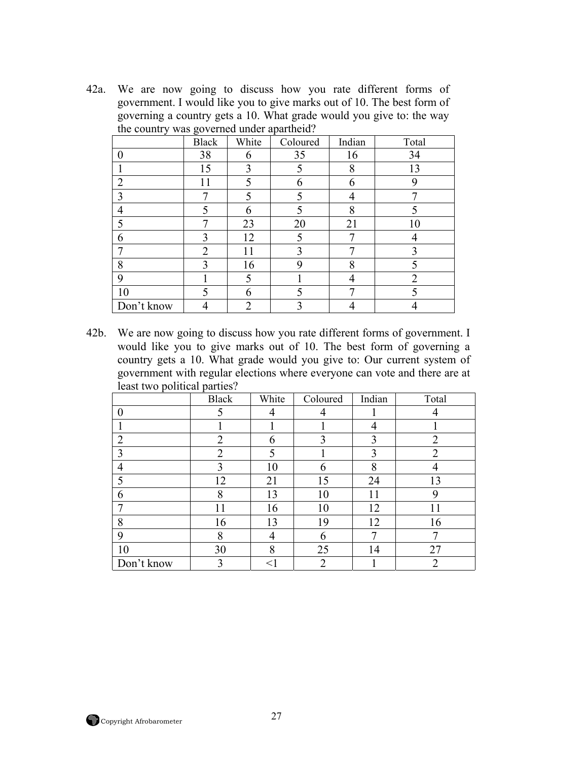42a. We are now going to discuss how you rate different forms of government. I would like you to give marks out of 10. The best form of governing a country gets a 10. What grade would you give to: the way the country was governed under apartheid?

|                | ັ              |                |          |        |                |
|----------------|----------------|----------------|----------|--------|----------------|
|                | <b>Black</b>   | White          | Coloured | Indian | Total          |
| $\Omega$       | 38             | 6              | 35       | 16     | 34             |
|                | 15             | 3              |          | 8      | 13             |
| $\overline{2}$ | 11             | ς              | 6        | 6      | 9              |
| 3              |                |                |          |        |                |
| 4              | $\varsigma$    | 6              |          | 8      |                |
| 5              | 7              | 23             | 20       | 21     | 10             |
| 6              | 3              | 12             |          |        |                |
| ┑              | $\overline{2}$ | 11             | 3        |        | 3              |
| 8              | 3              | 16             | 9        | 8      |                |
| 9              |                | 5              |          |        | $\overline{2}$ |
| 10             | 5              | h              |          |        |                |
| Don't know     |                | $\mathfrak{D}$ | 3        |        |                |

42b. We are now going to discuss how you rate different forms of government. I would like you to give marks out of 10. The best form of governing a country gets a 10. What grade would you give to: Our current system of government with regular elections where everyone can vote and there are at least two political parties?

|                | <b>Black</b>   | White  | Coloured       | Indian | Total |
|----------------|----------------|--------|----------------|--------|-------|
| $\left($       |                | 4      | 4              |        |       |
|                |                |        |                |        |       |
| $\overline{2}$ | 2              | 6      | 3              | 3      | ി     |
| 3              | $\overline{2}$ | 5      |                | 3      | ◠     |
| 4              | 3              | 10     | 6              | 8      |       |
| 5              | 12             | 21     | 15             | 24     | 13    |
| 6              | 8              | 13     | 10             | 11     | ∩     |
| ┑              | 11             | 16     | 10             | 12     | 11    |
| 8              | 16             | 13     | 19             | 12     | 16    |
| 9              | 8              | 4      | 6              | ┑      |       |
| 10             | 30             | 8      | 25             | 14     | 27    |
| Don't know     | 3              | $\lt'$ | $\overline{2}$ |        | ◠     |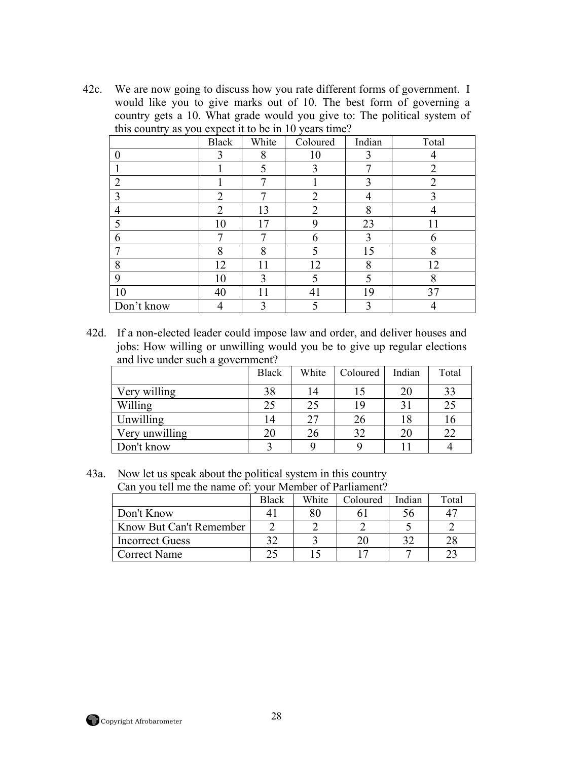42c. We are now going to discuss how you rate different forms of government. I would like you to give marks out of 10. The best form of governing a country gets a 10. What grade would you give to: The political system of this country as you expect it to be in 10 years time?

|                | <b>Black</b>   | White | Coloured | Indian | Total          |
|----------------|----------------|-------|----------|--------|----------------|
| 0              | 3              | 8     | 10       |        |                |
|                |                |       | 3        | ┑      | ∍              |
| $\overline{2}$ |                | ⇁     |          | 3      | $\overline{2}$ |
| 3              | $\overline{2}$ |       | 2        |        | 3              |
| $\overline{4}$ | $\overline{2}$ | 13    | 2        | 8      |                |
| 5              | 10             | 17    | 9        | 23     |                |
| 6              | 7              |       | 6        | 3      | 6              |
| 7              | 8              | 8     |          | 15     | 8              |
| 8              | 12             | 11    | 12       | 8      | 12             |
| 9              | 10             | 3     |          |        | 8              |
| 10             | 40             |       | 41       | 19     | 37             |
| Don't know     |                |       |          | າ      |                |

42d. If a non-elected leader could impose law and order, and deliver houses and jobs: How willing or unwilling would you be to give up regular elections and live under such a government?

|                | <b>Black</b> | White | Coloured | Indian | Total |
|----------------|--------------|-------|----------|--------|-------|
| Very willing   | 38           | 14    |          | 20     | 33    |
| Willing        | 25           | 25    | 19       |        | 25    |
| Unwilling      | 14           | 27    | 26       | 18     | 16    |
| Very unwilling | 20           | 26    | 32       | 20     | 22    |
| Don't know     |              |       |          |        |       |

43a. Now let us speak about the political system in this country Can you tell me the name of: your Member of Parliament?

| Can you ten me the name of your member of Parhament? |              |       |          |        |       |  |
|------------------------------------------------------|--------------|-------|----------|--------|-------|--|
|                                                      | <b>Black</b> | White | Coloured | Indian | Total |  |
| Don't Know                                           |              |       |          | эb     |       |  |
| Know But Can't Remember                              |              |       |          |        |       |  |
| <b>Incorrect Guess</b>                               | າາ           |       | 20       |        | 28    |  |
| <b>Correct Name</b>                                  | 25           |       |          |        | つつ    |  |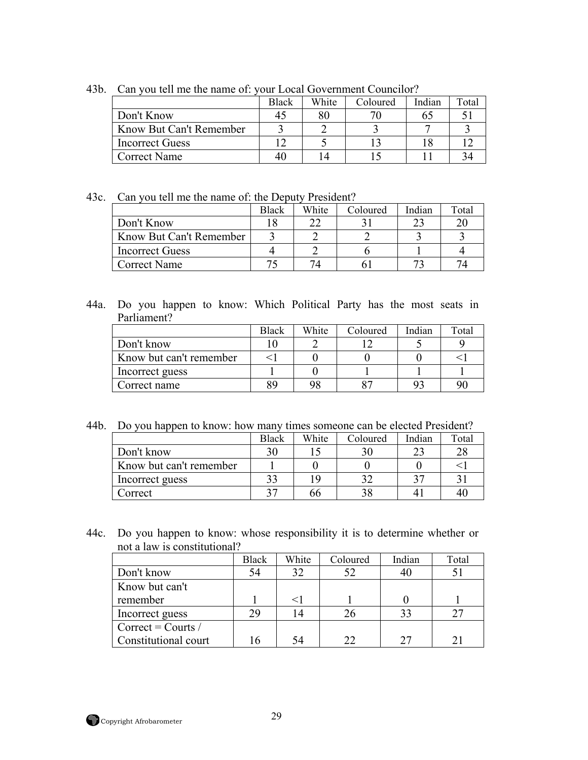|                         | <b>Black</b> | White | Coloured | Indian | $_{\text{Total}}$ |
|-------------------------|--------------|-------|----------|--------|-------------------|
| Don't Know              |              |       |          |        |                   |
| Know But Can't Remember |              |       |          |        |                   |
| <b>Incorrect Guess</b>  |              |       |          |        |                   |
| <b>Correct Name</b>     |              |       |          |        |                   |

43b. Can you tell me the name of: your Local Government Councilor?

43c. Can you tell me the name of: the Deputy President?

|                         | <b>Black</b> | White | Coloured | Indian | Total |
|-------------------------|--------------|-------|----------|--------|-------|
| Don't Know              |              |       |          |        |       |
| Know But Can't Remember |              |       |          |        |       |
| <b>Incorrect Guess</b>  |              |       |          |        |       |
| Correct Name            |              |       |          |        |       |

44a. Do you happen to know: Which Political Party has the most seats in Parliament?

|                         | <b>Black</b> | White | Coloured | Indian | Total |
|-------------------------|--------------|-------|----------|--------|-------|
| Don't know              |              |       |          |        |       |
| Know but can't remember |              |       |          |        |       |
| Incorrect guess         |              |       |          |        |       |
| Correct name            |              |       |          |        | 91    |

44b. Do you happen to know: how many times someone can be elected President?

|                         | <b>Black</b> | White | Coloured | Indian | Total |
|-------------------------|--------------|-------|----------|--------|-------|
| Don't know              | 30           |       |          |        | 28    |
| Know but can't remember |              |       |          |        |       |
| Incorrect guess         |              | ۱ç    |          |        |       |
| Correct                 |              | bb    |          |        | 40    |

44c. Do you happen to know: whose responsibility it is to determine whether or not a law is constitutional?

|                      | <b>Black</b> | White | Coloured | Indian | Total |
|----------------------|--------------|-------|----------|--------|-------|
| Don't know           | 54           | 32    | 52       |        |       |
| Know but can't       |              |       |          |        |       |
| remember             |              |       |          |        |       |
| Incorrect guess      | 29           |       | 26       |        |       |
| $Correct =$ Courts / |              |       |          |        |       |
| Constitutional court | 16           | 54    | 22       |        |       |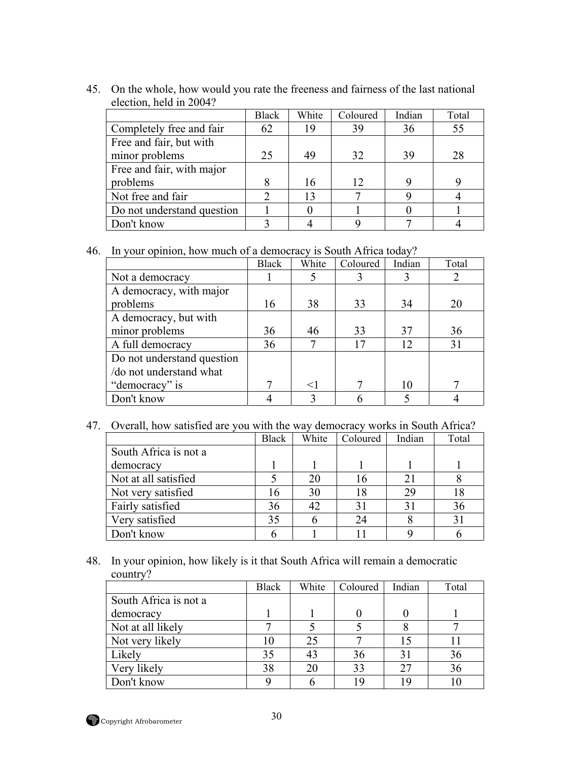45. On the whole, how would you rate the freeness and fairness of the last national election, held in 2004?

|                            | <b>Black</b> | White | Coloured | Indian | Total |
|----------------------------|--------------|-------|----------|--------|-------|
| Completely free and fair   | 62           |       | 39       | 36     | 55    |
| Free and fair, but with    |              |       |          |        |       |
| minor problems             | 25           | 49    | 32       | 39     | 28    |
| Free and fair, with major  |              |       |          |        |       |
| problems                   |              | 16    | 12       |        |       |
| Not free and fair          |              |       |          |        |       |
| Do not understand question |              |       |          |        |       |
| Don't know                 |              |       |          |        |       |

46. In your opinion, how much of a democracy is South Africa today?

|                            | <b>Black</b> | White | Coloured | Indian | Total |
|----------------------------|--------------|-------|----------|--------|-------|
| Not a democracy            |              |       |          |        |       |
| A democracy, with major    |              |       |          |        |       |
| problems                   | 16           | 38    | 33       | 34     | 20    |
| A democracy, but with      |              |       |          |        |       |
| minor problems             | 36           | 46    | 33       | 37     | 36    |
| A full democracy           | 36           |       | 17       | 12     | 31    |
| Do not understand question |              |       |          |        |       |
| /do not understand what    |              |       |          |        |       |
| "democracy" is             |              | $<$ 1 |          | 10     |       |
| Don't know                 |              |       |          |        |       |

47. Overall, how satisfied are you with the way democracy works in South Africa?

|                       | <b>Black</b> | White | Coloured    | Indian | Total |
|-----------------------|--------------|-------|-------------|--------|-------|
| South Africa is not a |              |       |             |        |       |
| democracy             |              |       |             |        |       |
| Not at all satisfied  |              | 20    | 16          | 21     |       |
| Not very satisfied    | 16           | 30    | 18          | 29     | 18    |
| Fairly satisfied      | 36           | 42    | $3^{\circ}$ | 31     | 36    |
| Very satisfied        | 35           |       | 24          |        |       |
| Don't know            |              |       |             |        |       |

48. In your opinion, how likely is it that South Africa will remain a democratic country?

|                       | <b>Black</b> | White | Coloured | Indian | Total |
|-----------------------|--------------|-------|----------|--------|-------|
| South Africa is not a |              |       |          |        |       |
| democracy             |              |       |          |        |       |
| Not at all likely     |              |       |          |        |       |
| Not very likely       |              | 25    |          |        |       |
| Likely                | 35           | 43    | 36       |        | 36    |
| Very likely           | 38           | 20    | 33       |        | 36    |
| Don't know            |              |       | 1 G      | 19     |       |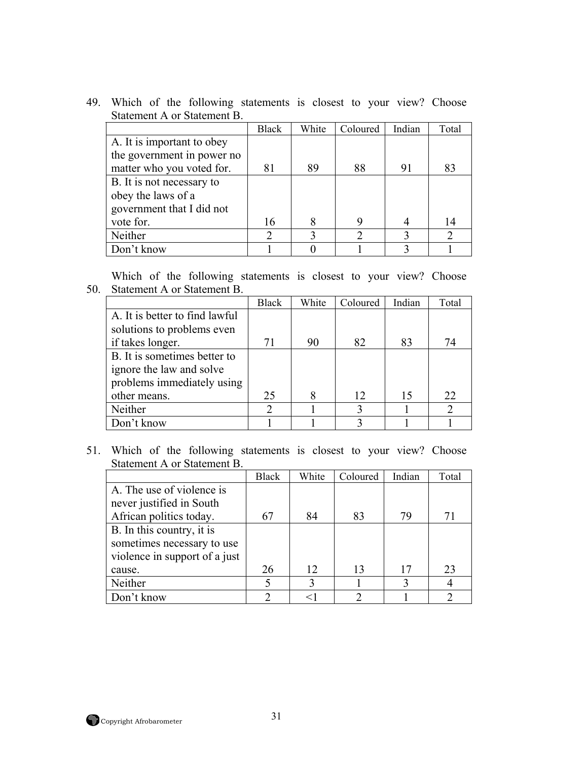|                            | <b>Black</b> | White | Coloured | Indian | Total |
|----------------------------|--------------|-------|----------|--------|-------|
| A. It is important to obey |              |       |          |        |       |
| the government in power no |              |       |          |        |       |
| matter who you voted for.  | 81           | 89    | 88       | 91     | 83    |
| B. It is not necessary to  |              |       |          |        |       |
| obey the laws of a         |              |       |          |        |       |
| government that I did not  |              |       |          |        |       |
| vote for.                  | 16           | 8     | 9        |        | 14    |
| Neither                    | っ            |       |          |        |       |
| Don't know                 |              |       |          |        |       |

50. Statement A or Statement B. Which of the following statements is closest to your view? Choose

|                                | Black | White | Coloured | Indian | Total                       |
|--------------------------------|-------|-------|----------|--------|-----------------------------|
| A. It is better to find lawful |       |       |          |        |                             |
| solutions to problems even     |       |       |          |        |                             |
| if takes longer.               | 71    | 90    | 82       | 83     | 74                          |
| B. It is sometimes better to   |       |       |          |        |                             |
| ignore the law and solve       |       |       |          |        |                             |
| problems immediately using     |       |       |          |        |                             |
| other means.                   | 25    |       | 12       | 15     | 22                          |
| Neither                        | ∍     |       | 3        |        | $\mathcal{D}_{\mathcal{A}}$ |
| Don't know                     |       |       |          |        |                             |

|                               | <b>Black</b> | White | Coloured | Indian | Total |
|-------------------------------|--------------|-------|----------|--------|-------|
| A. The use of violence is     |              |       |          |        |       |
| never justified in South      |              |       |          |        |       |
| African politics today.       | 67           | 84    | 83       | 79     | 71    |
| B. In this country, it is     |              |       |          |        |       |
| sometimes necessary to use    |              |       |          |        |       |
| violence in support of a just |              |       |          |        |       |
| cause.                        | 26           | 12    | 13       | 17     | 23    |
| Neither                       |              |       |          |        |       |
| Don't know                    | ∍            |       |          |        |       |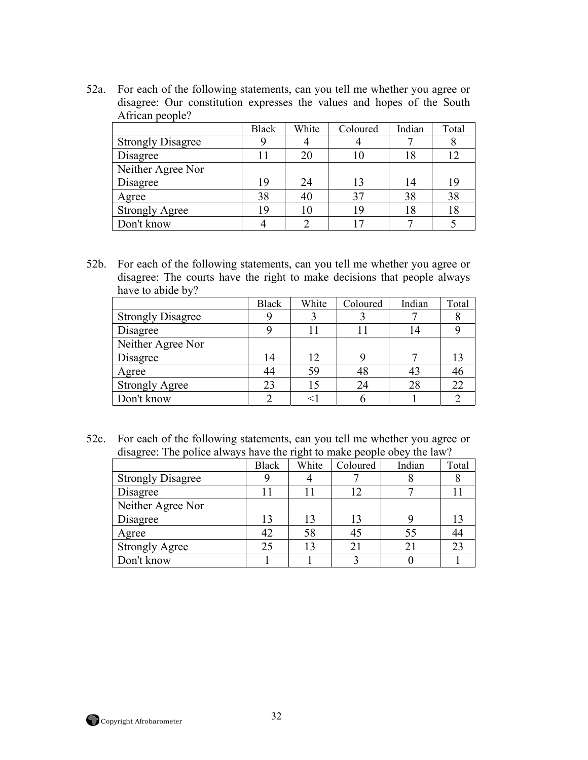52a. For each of the following statements, can you tell me whether you agree or disagree: Our constitution expresses the values and hopes of the South African people?

|                          | <b>Black</b> | White | Coloured | Indian | Total |
|--------------------------|--------------|-------|----------|--------|-------|
| <b>Strongly Disagree</b> |              |       |          |        |       |
| Disagree                 |              |       |          | 18     |       |
| Neither Agree Nor        |              |       |          |        |       |
| Disagree                 | 19           | 24    | 13       | 14     | 19    |
| Agree                    | 38           |       | 37       | 38     | 38    |
| <b>Strongly Agree</b>    | 19           |       | ۱9       | 18     | 18    |
| Don't know               |              |       |          |        |       |

52b. For each of the following statements, can you tell me whether you agree or disagree: The courts have the right to make decisions that people always have to abide by?

|                          | <b>Black</b> | White | Coloured | Indian | Total |
|--------------------------|--------------|-------|----------|--------|-------|
| <b>Strongly Disagree</b> |              |       |          |        |       |
| Disagree                 |              |       |          |        |       |
| Neither Agree Nor        |              |       |          |        |       |
| Disagree                 | 14           | 12    |          |        |       |
| Agree                    | 44           | 59    | 48       | 43     |       |
| <b>Strongly Agree</b>    | 23           |       | 24       | 28     |       |
| Don't know               |              |       |          |        |       |

52c. For each of the following statements, can you tell me whether you agree or disagree: The police always have the right to make people obey the law?

|                          | <b>Black</b> | White | Coloured | Indian | Total |
|--------------------------|--------------|-------|----------|--------|-------|
| <b>Strongly Disagree</b> |              |       |          |        |       |
| Disagree                 |              | l 1   |          |        |       |
| Neither Agree Nor        |              |       |          |        |       |
| Disagree                 | 13           | 13    | 13       |        |       |
| Agree                    | 42           | 58    |          | 55     |       |
| <b>Strongly Agree</b>    | 25           | 13    |          |        |       |
| Don't know               |              |       |          |        |       |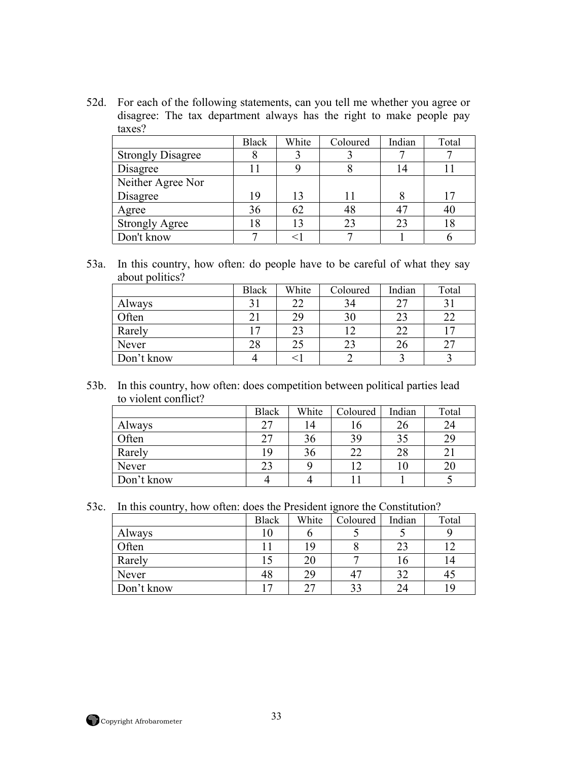52d. For each of the following statements, can you tell me whether you agree or disagree: The tax department always has the right to make people pay taxes?

|                          | <b>Black</b> | White | Coloured | Indian | Total           |
|--------------------------|--------------|-------|----------|--------|-----------------|
| <b>Strongly Disagree</b> |              |       |          |        |                 |
| Disagree                 |              |       |          | 14     |                 |
| Neither Agree Nor        |              |       |          |        |                 |
| Disagree                 | 19           | 13    |          |        | $\overline{17}$ |
| Agree                    | 36           | 62    | 48       | 47     | 40              |
| <b>Strongly Agree</b>    | 8            |       | 23       | 23     | 18              |
| Don't know               |              |       |          |        |                 |

53a. In this country, how often: do people have to be careful of what they say about politics?

|            | <b>Black</b> | White | Coloured | Indian | Total |
|------------|--------------|-------|----------|--------|-------|
| Always     |              |       | 34       | 27     |       |
| Often      |              |       |          | 23     |       |
| Rarely     | $\tau$       |       |          | 22     |       |
| Never      | 28           |       | 23       | 26     |       |
| Don't know |              |       |          |        |       |

53b. In this country, how often: does competition between political parties lead to violent conflict?

|            | <b>Black</b> | White | Coloured | Indian | Total |
|------------|--------------|-------|----------|--------|-------|
| Always     |              | 14    | l b      | 26     | 24    |
| Often      |              | 36    | 39       | 35     | 29    |
| Rarely     |              | 36    | つつ       | 28     |       |
| Never      | 23           |       |          |        | 20    |
| Don't know |              |       |          |        |       |

53c. In this country, how often: does the President ignore the Constitution?

|            | <b>Black</b>   | White | Coloured | Indian | Total |
|------------|----------------|-------|----------|--------|-------|
| Always     | 10             |       |          |        |       |
| Often      |                | 19    |          | 23     |       |
| Rarely     |                | 20    |          | 16     |       |
| Never      |                | 29    |          | 32     |       |
| Don't know | $\overline{ }$ | つつ    |          | 24     | Q     |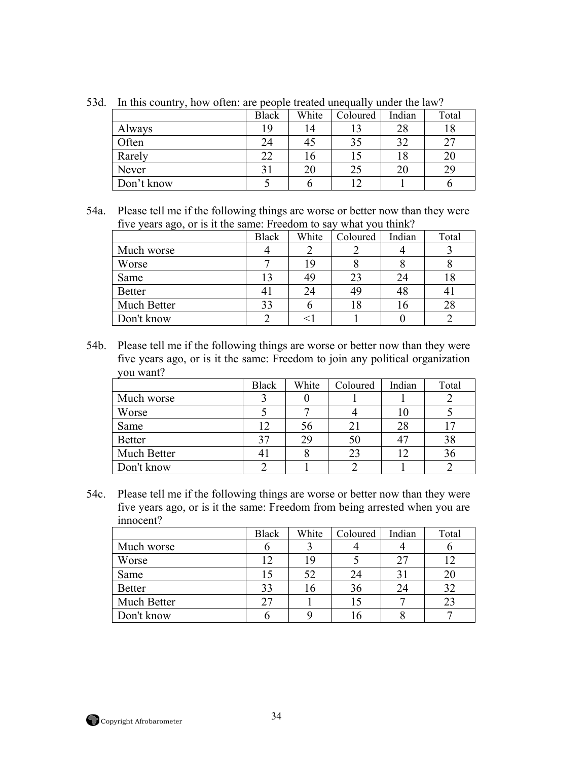| ъ.<br>In this country, now onen, are people treated anogually under the law.<br>White<br>Indian<br><b>Black</b><br>Total<br>Coloured<br>Always<br>19<br>18<br>28<br>14<br>Often<br>つつ<br>32<br>24<br>45<br>Rarely<br>22<br>20<br>l b<br>Never<br>29<br>20<br>20 |            |  |  |  |  |  |
|-----------------------------------------------------------------------------------------------------------------------------------------------------------------------------------------------------------------------------------------------------------------|------------|--|--|--|--|--|
|                                                                                                                                                                                                                                                                 |            |  |  |  |  |  |
|                                                                                                                                                                                                                                                                 |            |  |  |  |  |  |
|                                                                                                                                                                                                                                                                 |            |  |  |  |  |  |
|                                                                                                                                                                                                                                                                 |            |  |  |  |  |  |
|                                                                                                                                                                                                                                                                 |            |  |  |  |  |  |
|                                                                                                                                                                                                                                                                 | Don't know |  |  |  |  |  |

53d. In this country, how often: are people treated unequally under the law?

54a. Please tell me if the following things are worse or better now than they were five years ago, or is it the same: Freedom to say what you think?

| -- 00         | <b>Black</b> | White | Coloured | Indian | Total |
|---------------|--------------|-------|----------|--------|-------|
| Much worse    |              |       |          |        |       |
| Worse         |              | 19    |          |        |       |
| Same          |              | 49    |          | 24     | Ιð    |
| <b>Better</b> |              | 24    |          | 48     |       |
| Much Better   |              |       |          |        | 28    |
| Don't know    |              |       |          |        |       |

54b. Please tell me if the following things are worse or better now than they were five years ago, or is it the same: Freedom to join any political organization you want?

|               | <b>Black</b> | White | Coloured | Indian | Total      |
|---------------|--------------|-------|----------|--------|------------|
| Much worse    |              |       |          |        |            |
| Worse         |              |       |          |        |            |
| Same          |              | 56    | 21       | 28     | $\sqrt{7}$ |
| <b>Better</b> |              | 29    | 50       |        | 38         |
| Much Better   |              |       | 23       |        | 36         |
| Don't know    |              |       |          |        |            |

54c. Please tell me if the following things are worse or better now than they were five years ago, or is it the same: Freedom from being arrested when you are innocent?

|               | <b>Black</b> | White | Coloured | Indian | Total |
|---------------|--------------|-------|----------|--------|-------|
| Much worse    |              |       |          |        |       |
| Worse         |              | 19    |          | 27     |       |
| Same          |              | 52    | 24       | 31     |       |
| <b>Better</b> |              | 16    | 36       | 24     | 32    |
| Much Better   |              |       |          |        |       |
| Don't know    |              |       |          |        |       |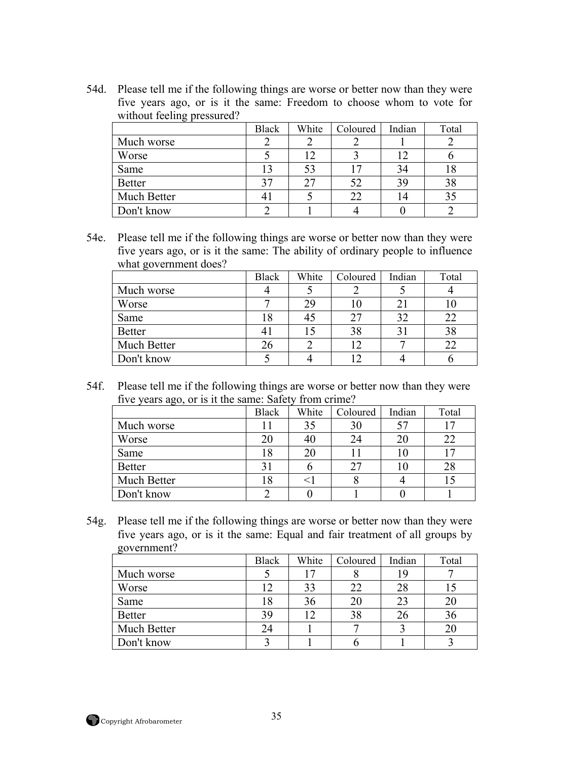54d. Please tell me if the following things are worse or better now than they were five years ago, or is it the same: Freedom to choose whom to vote for without feeling pressured?

|               | <b>Black</b> | White          | Coloured | Indian | Total |
|---------------|--------------|----------------|----------|--------|-------|
| Much worse    |              |                |          |        |       |
| Worse         |              | $\overline{2}$ |          | 12     |       |
| Same          |              | 53             |          | 34     | 18    |
| <b>Better</b> |              |                | 52       | 39     | 38    |
| Much Better   |              |                | 22       | 14     |       |
| Don't know    |              |                |          |        |       |

54e. Please tell me if the following things are worse or better now than they were five years ago, or is it the same: The ability of ordinary people to influence what government does?

|               | <b>Black</b> | White | Coloured | Indian | Total |
|---------------|--------------|-------|----------|--------|-------|
| Much worse    |              |       |          |        |       |
| Worse         |              | 29    | 10       |        |       |
| Same          |              |       | 27       | 32     | フフ    |
| <b>Better</b> |              |       | 38       |        | 38    |
| Much Better   |              |       |          |        |       |
| Don't know    |              |       |          |        |       |

54f. Please tell me if the following things are worse or better now than they were five years ago, or is it the same: Safety from crime?

|               | <b>Black</b> | White | Coloured | Indian | Total |
|---------------|--------------|-------|----------|--------|-------|
| Much worse    |              | 35    | 30       | 57     |       |
| Worse         |              | 40    |          | 20     | 22    |
| Same          | 18           | 20    |          | 10     | ר ו   |
| <b>Better</b> |              |       |          | 10     | 28    |
| Much Better   | !8           |       |          |        |       |
| Don't know    |              |       |          |        |       |

54g. Please tell me if the following things are worse or better now than they were five years ago, or is it the same: Equal and fair treatment of all groups by government?

|               | <b>Black</b> | White | Coloured | Indian | Total |
|---------------|--------------|-------|----------|--------|-------|
| Much worse    |              |       |          | 19     |       |
| Worse         |              | 33    | 22       | 28     |       |
| Same          |              | 36    | 20       | 23     |       |
| <b>Better</b> | 39           | ר ו   | 38       | 26     | 36    |
| Much Better   |              |       |          |        | 20    |
| Don't know    |              |       |          |        |       |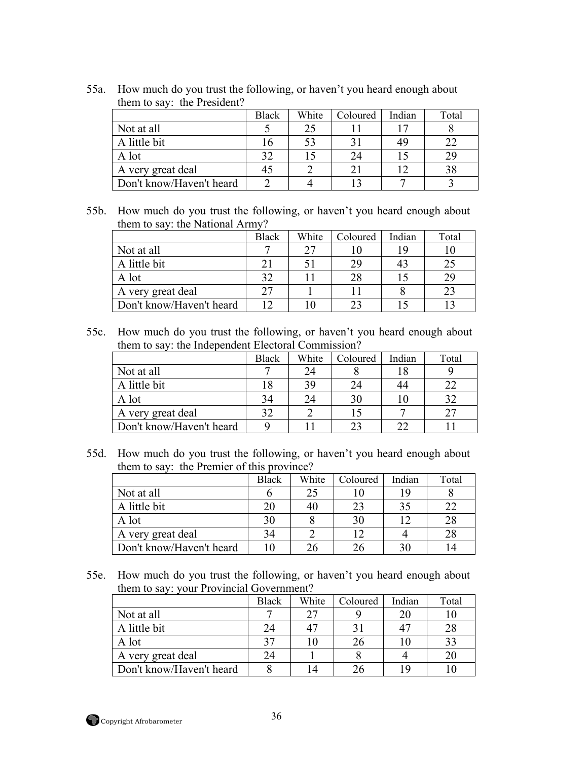|                          | <b>Black</b> | White | Coloured | Indian | Total |
|--------------------------|--------------|-------|----------|--------|-------|
| Not at all               |              |       |          |        |       |
| A little bit             |              |       |          |        |       |
| A lot                    |              |       | 24       |        |       |
| A very great deal        |              |       |          |        |       |
| Don't know/Haven't heard |              |       |          |        |       |

55a. How much do you trust the following, or haven't you heard enough about them to say: the President?

55b. How much do you trust the following, or haven't you heard enough about them to say: the National Army?

|                          | <b>Black</b> | White | Coloured | Indian | Total |
|--------------------------|--------------|-------|----------|--------|-------|
| Not at all               |              | つつ    |          | 1 G    |       |
| A little bit             |              |       | 29       | 43     |       |
| A lot                    |              |       |          |        |       |
| A very great deal        |              |       |          |        |       |
| Don't know/Haven't heard | ר ו          |       |          |        |       |

55c. How much do you trust the following, or haven't you heard enough about them to say: the Independent Electoral Commission?

|                          | <b>Black</b> | White | Coloured | Indian | Total |
|--------------------------|--------------|-------|----------|--------|-------|
| Not at all               |              | 24    |          |        |       |
| A little bit             |              | 39    |          | 44     |       |
| A lot                    | 34           | 24    | 30       |        |       |
| A very great deal        |              |       |          |        |       |
| Don't know/Haven't heard |              |       |          |        |       |

55d. How much do you trust the following, or haven't you heard enough about them to say: the Premier of this province?

|                          | <b>Black</b> | White | Coloured | Indian | Total |
|--------------------------|--------------|-------|----------|--------|-------|
| Not at all               |              | 25    |          |        |       |
| A little bit             | 20           | 40    |          | 3:     | 22    |
| A lot                    | 30           |       | 30       |        | 28    |
| A very great deal        | 34           |       | ר ו      |        | 28    |
| Don't know/Haven't heard |              |       |          |        |       |

55e. How much do you trust the following, or haven't you heard enough about them to say: your Provincial Government?

|                          | <b>Black</b> | White | Coloured | Indian | Total |
|--------------------------|--------------|-------|----------|--------|-------|
| Not at all               |              |       |          |        |       |
| A little bit             | 24           |       |          |        | 28    |
| A lot                    | 27           |       | 26       |        | 33    |
| A very great deal        | 24           |       |          |        |       |
| Don't know/Haven't heard |              |       | 26       |        |       |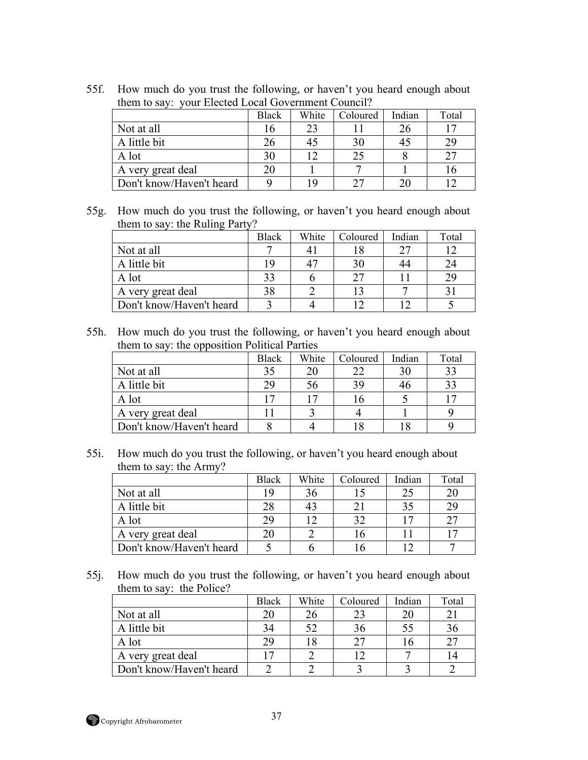55f. How much do you trust the following, or haven't you heard enough about them to say: your Elected Local Government Council?

|                          | Black | White | Coloured | Indian | Total |
|--------------------------|-------|-------|----------|--------|-------|
| Not at all               | 16    | 23    |          |        | 17    |
| A little bit             | 26    |       | 30       |        | 29    |
| A lot                    | 30    |       |          |        | つつ    |
| A very great deal        | 20    |       |          |        |       |
| Don't know/Haven't heard |       | 1 Q   |          |        | ^     |

55g. How much do you trust the following, or haven't you heard enough about them to say: the Ruling Party?

|                          | <b>Black</b> | White | Coloured | Indian | Total |
|--------------------------|--------------|-------|----------|--------|-------|
| Not at all               |              |       |          |        | 1 ገ   |
| A little bit             | 19           |       |          |        | 24    |
| A lot                    | 33           |       |          |        | 29    |
| A very great deal        | 38           |       |          |        |       |
| Don't know/Haven't heard |              |       |          |        |       |

55h. How much do you trust the following, or haven't you heard enough about them to say: the opposition Political Parties

|                          | <b>Black</b>            | White | Coloured | Indian | Total                    |
|--------------------------|-------------------------|-------|----------|--------|--------------------------|
| Not at all               | 35                      | 20    |          |        | 33                       |
| A little bit             | 29                      | 56    | 39       |        | 33                       |
| A lot                    | $\overline{\mathbf{7}}$ |       | 10       |        | $\overline{\phantom{a}}$ |
| A very great deal        |                         |       |          |        |                          |
| Don't know/Haven't heard |                         |       |          |        |                          |

55i. How much do you trust the following, or haven't you heard enough about them to say: the Army?

|                          | <b>Black</b> | White | Coloured | Indian | Total |
|--------------------------|--------------|-------|----------|--------|-------|
| Not at all               | 1 Q          | 36    |          |        | 20    |
| A little bit             | 28           | 43    |          |        | 29    |
| A lot                    | 29           |       | 32       |        | 27    |
| A very great deal        |              |       | i b      |        |       |
| Don't know/Haven't heard |              |       |          |        |       |

55j. How much do you trust the following, or haven't you heard enough about them to say: the Police?

|                          | <b>Black</b> | White | Coloured | Indian | Total |
|--------------------------|--------------|-------|----------|--------|-------|
| Not at all               | 20           | 26    | 23       |        |       |
| A little bit             | 34           | 52    | 36       |        | 36    |
| A lot                    | 29           | 18    | つフ       | 16     | 27    |
| A very great deal        | 17           |       | ר ו      |        |       |
| Don't know/Haven't heard |              |       |          |        |       |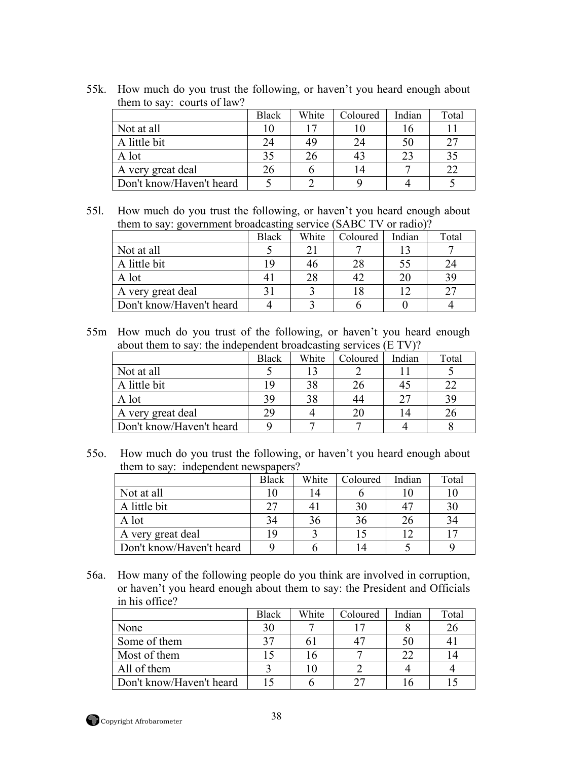| them to say. Courts of faw! |              |       |          |        |       |
|-----------------------------|--------------|-------|----------|--------|-------|
|                             | <b>Black</b> | White | Coloured | Indian | Total |
| Not at all                  |              | 17    |          |        |       |
| A little bit                | 24           | 49    | 24       |        | 27    |
| A lot                       | 35           | 26    | 43       | 23     | 35    |
| A very great deal           | 26           |       | 14       |        | 22    |
| Don't know/Haven't heard    |              |       |          |        |       |

55k. How much do you trust the following, or haven't you heard enough about them to say: courts of law?

55l. How much do you trust the following, or haven't you heard enough about them to say: government broadcasting service (SABC TV or radio)?

|                          | <b>Black</b> | White | Coloured | Indian | Total |
|--------------------------|--------------|-------|----------|--------|-------|
| Not at all               |              | 21    |          |        |       |
| A little bit             | 19           | 46    |          |        | 24    |
| A lot                    |              |       |          |        | 39    |
| A very great deal        |              |       |          |        | つつ    |
| Don't know/Haven't heard |              |       |          |        |       |

55m How much do you trust of the following, or haven't you heard enough about them to say: the independent broadcasting services (E TV)?

|                          | <b>Black</b> | White | Coloured | Indian   | Total |
|--------------------------|--------------|-------|----------|----------|-------|
| Not at all               |              | 13    |          |          |       |
| A little bit             | 19           | 38    |          |          | 22    |
| A lot                    | 39           | 38    |          | $\gamma$ | 39    |
| A very great deal        | 29           |       |          |          | 26    |
| Don't know/Haven't heard |              |       |          |          |       |

55o. How much do you trust the following, or haven't you heard enough about them to say: independent newspapers?

|                          | <b>Black</b> | White | Coloured | Indian | Total |
|--------------------------|--------------|-------|----------|--------|-------|
| Not at all               |              |       |          |        |       |
| A little bit             | フフ           |       | 30       |        | 30    |
| A lot                    | 34           |       | 36       |        | 34    |
| A very great deal        |              |       |          |        | 17    |
| Don't know/Haven't heard |              |       | 4        |        |       |

56a. How many of the following people do you think are involved in corruption, or haven't you heard enough about them to say: the President and Officials in his office?

|                          | <b>Black</b> | White | Coloured | Indian | Total |
|--------------------------|--------------|-------|----------|--------|-------|
| None                     | 30           |       | 17       |        | 26    |
| Some of them             | 27           | 6 I   |          |        |       |
| Most of them             |              |       |          |        |       |
| All of them              |              |       |          |        |       |
| Don't know/Haven't heard |              |       | つワ       |        |       |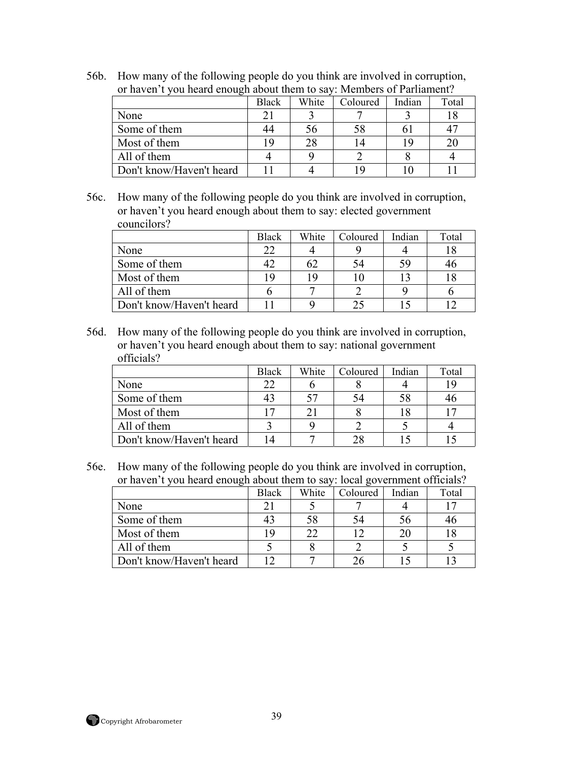56b. How many of the following people do you think are involved in corruption, or haven't you heard enough about them to say: Members of Parliament? **Black White** Coloured Indian Total None 21 3 7 3 18

|                          | Diack | VV III LU | Colourcu | піціан | i viai         |
|--------------------------|-------|-----------|----------|--------|----------------|
| None                     |       |           |          |        |                |
| Some of them             |       | эb        |          |        | 4 <sup>7</sup> |
| Most of them             | 19    |           |          |        | 20             |
| All of them              |       |           |          |        |                |
| Don't know/Haven't heard |       |           |          |        |                |

56c. How many of the following people do you think are involved in corruption, or haven't you heard enough about them to say: elected government councilors?

|                          | <b>Black</b> | White | Coloured | Indian | Total |
|--------------------------|--------------|-------|----------|--------|-------|
| None                     | 22           |       |          |        |       |
| Some of them             |              | 62    |          |        |       |
| Most of them             | 19           | 19    |          |        |       |
| All of them              |              |       |          |        |       |
| Don't know/Haven't heard |              |       |          |        |       |

56d. How many of the following people do you think are involved in corruption, or haven't you heard enough about them to say: national government officials?

|                          | <b>Black</b> | White | Coloured | Indian | Total |
|--------------------------|--------------|-------|----------|--------|-------|
| None                     | 22           |       |          |        | 19    |
| Some of them             | 43           |       |          |        |       |
| Most of them             | $\sqrt{7}$   |       |          |        |       |
| All of them              |              |       |          |        |       |
| Don't know/Haven't heard | 14           |       |          |        |       |

56e. How many of the following people do you think are involved in corruption, or haven't you heard enough about them to say: local government officials?

|                          | <b>Black</b> | White | Coloured | Indian | Total |
|--------------------------|--------------|-------|----------|--------|-------|
| None                     |              |       |          |        |       |
| Some of them             |              | 58    |          | 56     |       |
| Most of them             | ı Q          | 22    |          |        |       |
| All of them              |              |       |          |        |       |
| Don't know/Haven't heard |              |       |          |        |       |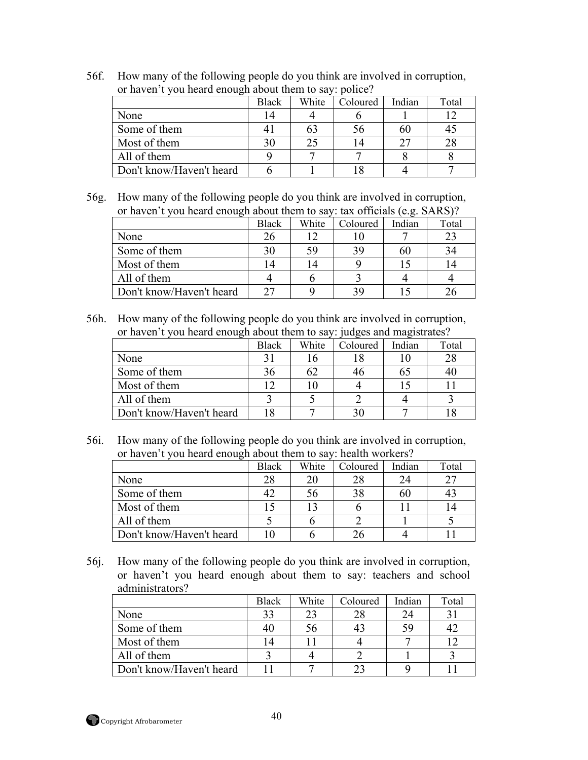| or haven't you heard enough about them to say: police? |              |       |          |        |       |  |  |
|--------------------------------------------------------|--------------|-------|----------|--------|-------|--|--|
|                                                        | <b>Black</b> | White | Coloured | Indian | Total |  |  |
| None                                                   | 14           |       |          |        |       |  |  |
| Some of them                                           |              | 63    | 56       |        | 45    |  |  |
| Most of them                                           | 30           | 25    |          | າາ     | 28    |  |  |
| All of them                                            |              |       |          |        |       |  |  |
| Don't know/Haven't heard                               |              |       |          |        |       |  |  |

56f. How many of the following people do you think are involved in corruption, or haven't you heard enough about them to say: police?

56g. How many of the following people do you think are involved in corruption, or haven't you heard enough about them to say: tax officials (e.g.  $SARS$ )?

| $\frac{1}{2}$ or from a choice to our them to buy. This chromogeneously. | Black          | White | Coloured | Indian | Total |
|--------------------------------------------------------------------------|----------------|-------|----------|--------|-------|
| None                                                                     | 26             |       |          |        | 23    |
| Some of them                                                             | 30             | 59    |          | 61.    | 34    |
| Most of them                                                             | $\overline{4}$ |       |          |        |       |
| All of them                                                              |                |       |          |        |       |
| Don't know/Haven't heard                                                 | つワ             |       |          |        |       |

56h. How many of the following people do you think are involved in corruption, or haven't you heard enough about them to say: judges and magistrates?

|                          | <b>Black</b> | White | Coloured | Indian | Total |
|--------------------------|--------------|-------|----------|--------|-------|
| None                     |              |       |          |        | 28    |
| Some of them             | 36           | 62    |          |        | 40    |
| Most of them             |              |       |          |        |       |
| All of them              |              |       |          |        |       |
| Don't know/Haven't heard |              |       |          |        |       |

56i. How many of the following people do you think are involved in corruption, or haven't you heard enough about them to say: health workers?

| ັ                        | <b>Black</b> | White | Coloured | Indian | Total |
|--------------------------|--------------|-------|----------|--------|-------|
| None                     | 28           | 20    | 28       |        | 27    |
| Some of them             |              | 56    |          | 60     |       |
| Most of them             |              | 13    |          |        |       |
| All of them              |              |       |          |        |       |
| Don't know/Haven't heard |              |       |          |        |       |

56j. How many of the following people do you think are involved in corruption, or haven't you heard enough about them to say: teachers and school administrators?

|                          | <b>Black</b> | White | Coloured | Indian | Total       |
|--------------------------|--------------|-------|----------|--------|-------------|
| None                     | 33           | 23    | 28       |        | $3^{\circ}$ |
| Some of them             |              | 56    |          |        |             |
| Most of them             |              |       |          |        |             |
| All of them              |              |       |          |        |             |
| Don't know/Haven't heard |              |       |          |        |             |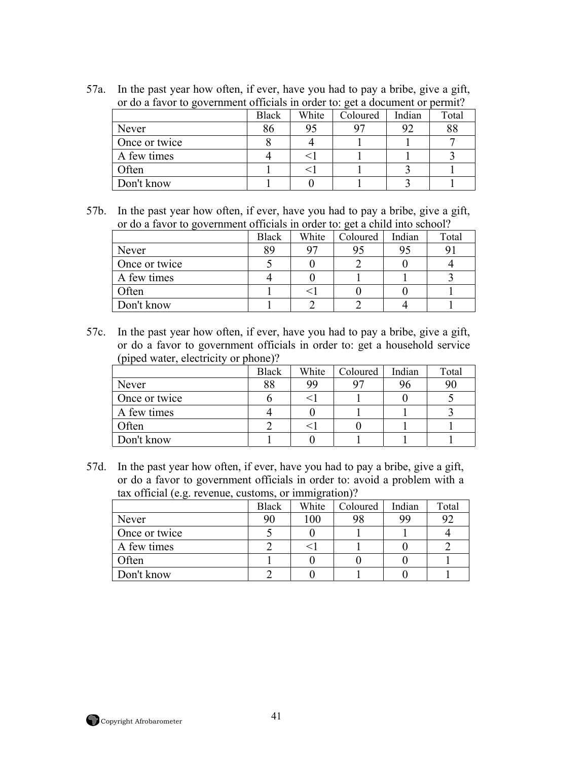| or do a favor to government officials in order to: get a document or permit? |       |       |          |        |       |  |  |
|------------------------------------------------------------------------------|-------|-------|----------|--------|-------|--|--|
|                                                                              | Black | White | Coloured | Indian | Total |  |  |
| Never                                                                        | 86    | 95    |          | 92     | 88    |  |  |
| Once or twice                                                                |       |       |          |        |       |  |  |
| A few times                                                                  |       |       |          |        |       |  |  |
| Often                                                                        |       |       |          |        |       |  |  |
| Don't know                                                                   |       |       |          |        |       |  |  |

57a. In the past year how often, if ever, have you had to pay a bribe, give a gift, or do a favor to government officials in order to: get a document or permit?

57b. In the past year how often, if ever, have you had to pay a bribe, give a gift, or do a favor to government officials in order to: get a child into school?

|               | <b>Black</b> | White | Coloured | Indian | Total |
|---------------|--------------|-------|----------|--------|-------|
| Never         | 89           | 97    |          |        |       |
| Once or twice |              |       |          |        |       |
| A few times   |              |       |          |        |       |
| Often         |              |       |          |        |       |
| Don't know    |              |       |          |        |       |

57c. In the past year how often, if ever, have you had to pay a bribe, give a gift, or do a favor to government officials in order to: get a household service (piped water, electricity or phone)?

|               | <b>Black</b> | White | Coloured | Indian | Total |
|---------------|--------------|-------|----------|--------|-------|
| Never         | 88           | 99    |          |        | 90    |
| Once or twice |              |       |          |        |       |
| A few times   |              |       |          |        |       |
| Often         |              |       |          |        |       |
| Don't know    |              |       |          |        |       |

57d. In the past year how often, if ever, have you had to pay a bribe, give a gift, or do a favor to government officials in order to: avoid a problem with a tax official (e.g. revenue, customs, or immigration)?

|               | <b>Black</b> | White | Coloured | Indian | Total |
|---------------|--------------|-------|----------|--------|-------|
| Never         | 90           | 100   | 98       | 99     | 92    |
| Once or twice |              |       |          |        |       |
| A few times   |              |       |          |        |       |
| Often         |              |       |          |        |       |
| Don't know    |              |       |          |        |       |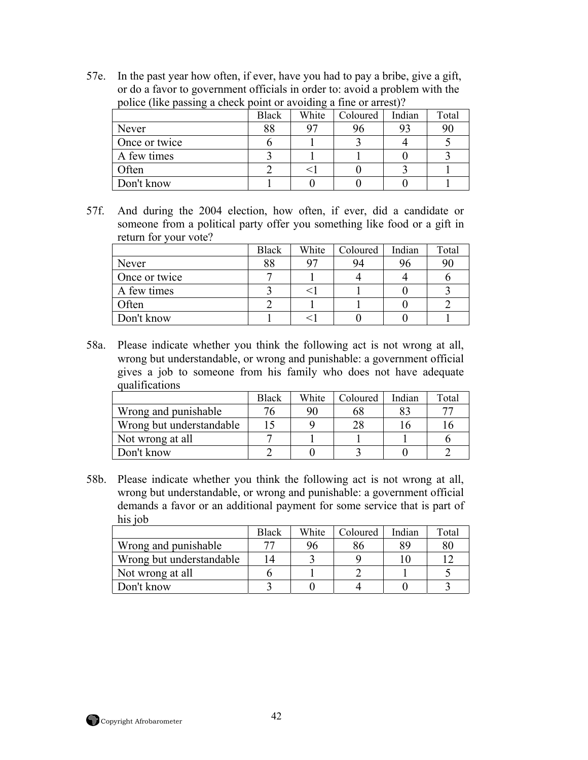57e. In the past year how often, if ever, have you had to pay a bribe, give a gift, or do a favor to government officials in order to: avoid a problem with the police (like passing a check point or avoiding a fine or arrest)?

| police (line passing a cheen political avoiding a line of all corp. | <b>Black</b> | White | Coloured | Indian | Total |
|---------------------------------------------------------------------|--------------|-------|----------|--------|-------|
| Never                                                               | 88           |       | 96       | 93     | 90    |
| Once or twice                                                       |              |       |          |        |       |
| A few times                                                         |              |       |          |        |       |
| Often                                                               |              |       |          |        |       |
| Don't know                                                          |              |       |          |        |       |

57f. And during the 2004 election, how often, if ever, did a candidate or someone from a political party offer you something like food or a gift in return for your vote?

|               | Black | White | Coloured | Indian | Total |
|---------------|-------|-------|----------|--------|-------|
| Never         | 88    | 07    | 94       | りり     | 90    |
| Once or twice |       |       |          |        |       |
| A few times   |       |       |          |        |       |
| Often         |       |       |          |        |       |
| Don't know    |       |       |          |        |       |

58a. Please indicate whether you think the following act is not wrong at all, wrong but understandable, or wrong and punishable: a government official gives a job to someone from his family who does not have adequate qualifications

|                          | <b>Black</b> | White | Coloured | Indian | Total |
|--------------------------|--------------|-------|----------|--------|-------|
| Wrong and punishable     | 76           | 90    | 68       |        | 75    |
| Wrong but understandable |              |       | 28       |        |       |
| Not wrong at all         |              |       |          |        |       |
| Don't know               |              |       |          |        |       |

58b. Please indicate whether you think the following act is not wrong at all, wrong but understandable, or wrong and punishable: a government official demands a favor or an additional payment for some service that is part of his *iob* 

|                          | Black | White | Coloured | Indian | Total |
|--------------------------|-------|-------|----------|--------|-------|
| Wrong and punishable     |       |       | 8t       | 89     | 80    |
| Wrong but understandable | 14    |       |          |        |       |
| Not wrong at all         |       |       |          |        |       |
| Don't know               |       |       |          |        |       |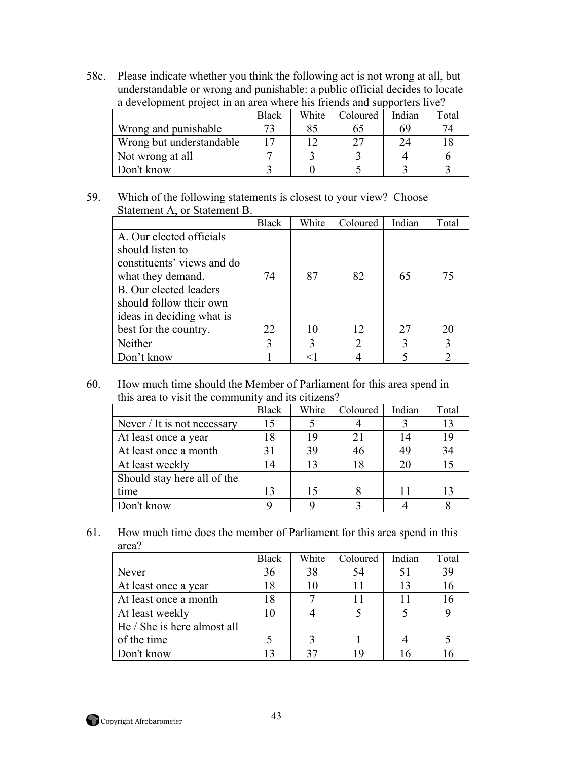58c. Please indicate whether you think the following act is not wrong at all, but understandable or wrong and punishable: a public official decides to locate a development project in an area where his friends and supporters live?

|                          | Black | White | Coloured | Indian | Total |
|--------------------------|-------|-------|----------|--------|-------|
| Wrong and punishable     |       |       | 62       | 69     | 74    |
| Wrong but understandable |       |       | つつ       |        |       |
| Not wrong at all         |       |       |          |        |       |
| Don't know               |       |       |          |        |       |

## 59. Which of the following statements is closest to your view? Choose Statement A, or Statement B.

|                            | <b>Black</b> | White | Coloured                    | Indian | Total |
|----------------------------|--------------|-------|-----------------------------|--------|-------|
| A. Our elected officials   |              |       |                             |        |       |
| should listen to           |              |       |                             |        |       |
| constituents' views and do |              |       |                             |        |       |
| what they demand.          | 74           | 87    | 82                          | 65     | 75    |
| B. Our elected leaders     |              |       |                             |        |       |
| should follow their own    |              |       |                             |        |       |
| ideas in deciding what is  |              |       |                             |        |       |
| best for the country.      | 22           | 10    | 12 <sub>2</sub>             | 27     | 20    |
| Neither                    | 3            |       | $\mathcal{D}_{\mathcal{L}}$ |        | 3     |
| Don't know                 |              |       |                             |        | っ     |

60. How much time should the Member of Parliament for this area spend in this area to visit the community and its citizens?

|                             | <b>Black</b> | White | Coloured | Indian | Total          |
|-----------------------------|--------------|-------|----------|--------|----------------|
| Never / It is not necessary | 15           |       |          |        | 13             |
| At least once a year        | 18           | 19    | 21       | 14     | 19             |
| At least once a month       | 31           | 39    | 46       | 49     | 34             |
| At least weekly             | 14           |       | 18       | 20     |                |
| Should stay here all of the |              |       |          |        |                |
| time                        | 13           | 15    |          |        | 1 <sup>2</sup> |
| Don't know                  |              |       |          |        |                |

61. How much time does the member of Parliament for this area spend in this area?

|                             | <b>Black</b> | White | Coloured | Indian | Total |
|-----------------------------|--------------|-------|----------|--------|-------|
| Never                       | 36           | 38    | 54       |        | 39    |
| At least once a year        | 18           |       |          | 13     | 16    |
| At least once a month       | 18           |       |          |        | 16    |
| At least weekly             | 10           |       |          |        |       |
| He / She is here almost all |              |       |          |        |       |
| of the time                 |              |       |          |        |       |
| Don't know                  |              |       |          |        |       |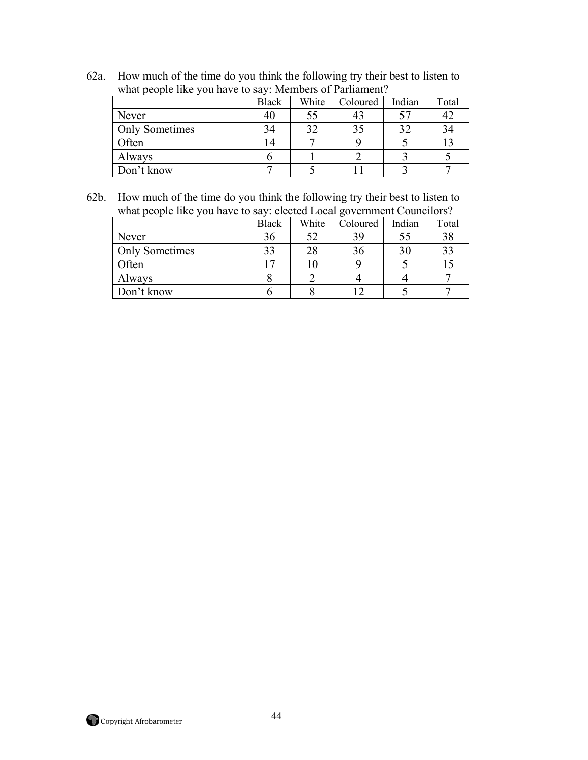62a. How much of the time do you think the following try their best to listen to what people like you have to say: Members of Parliament?

|                       | <b>Black</b> | White | Coloured | Indian | Total |
|-----------------------|--------------|-------|----------|--------|-------|
| Never                 | 40           |       | 43       | 57     |       |
| <b>Only Sometimes</b> | 34           | 20    | 35       | 32     |       |
| Often                 | 14           |       |          |        |       |
| Always                |              |       |          |        |       |
| Don't know            |              |       |          |        |       |

62b. How much of the time do you think the following try their best to listen to what people like you have to say: elected Local government Councilors?

|                       | <b>Black</b> | White | Coloured | Indian | Total |  |  |  |
|-----------------------|--------------|-------|----------|--------|-------|--|--|--|
| Never                 | 36           |       | 39       | 55     | 38    |  |  |  |
| <b>Only Sometimes</b> | 33           |       | 36       | 30     | 33    |  |  |  |
| Often                 |              |       |          |        |       |  |  |  |
| Always                |              |       |          |        |       |  |  |  |
| Don't know            |              |       |          |        |       |  |  |  |

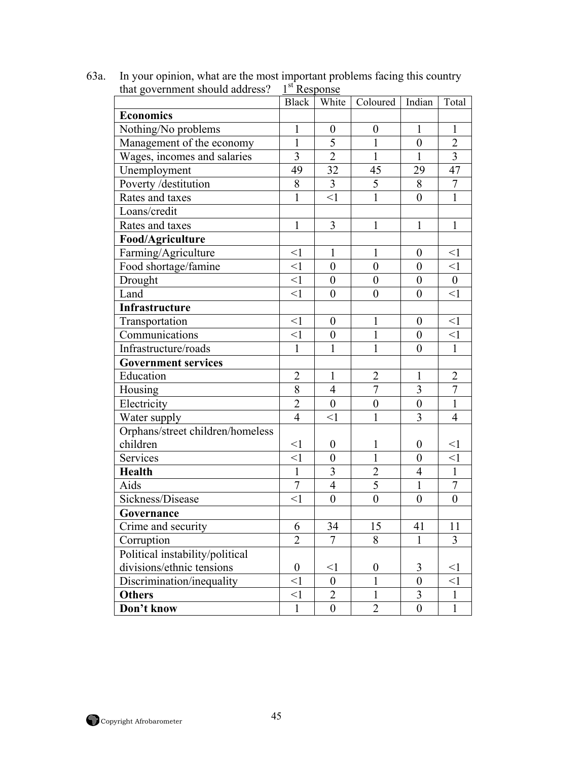|                                  |                  | Black White             | Coloured   Indian |                  | Total            |
|----------------------------------|------------------|-------------------------|-------------------|------------------|------------------|
| <b>Economics</b>                 |                  |                         |                   |                  |                  |
| Nothing/No problems              | $\mathbf{1}$     | $\boldsymbol{0}$        | $\boldsymbol{0}$  | $\mathbf{1}$     | 1                |
| Management of the economy        | $\mathbf{1}$     | $\overline{5}$          | $\mathbf{1}$      | $\boldsymbol{0}$ | $\overline{2}$   |
| Wages, incomes and salaries      | $\overline{3}$   | $\overline{2}$          | $\mathbf{1}$      | $\mathbf{1}$     | $\overline{3}$   |
| Unemployment                     | 49               | 32                      | 45                | 29               | 47               |
| Poverty /destitution             | 8                | $\overline{\mathbf{3}}$ | $\overline{5}$    | 8                | $\overline{7}$   |
| Rates and taxes                  | $\mathbf{1}$     | $\leq$ 1                | $\mathbf{1}$      | $\boldsymbol{0}$ | $\mathbf{1}$     |
| Loans/credit                     |                  |                         |                   |                  |                  |
| Rates and taxes                  | $\mathbf{1}$     | $\overline{3}$          | $\mathbf{1}$      | $\mathbf{1}$     | $\mathbf{1}$     |
| Food/Agriculture                 |                  |                         |                   |                  |                  |
| Farming/Agriculture              | $\leq$ 1         | $\mathbf{1}$            | 1                 | $\boldsymbol{0}$ | $\leq$ 1         |
| Food shortage/famine             | $\leq$ 1         | $\boldsymbol{0}$        | $\boldsymbol{0}$  | $\boldsymbol{0}$ | $\leq$ 1         |
| Drought                          | $\leq$ 1         | $\boldsymbol{0}$        | $\boldsymbol{0}$  | $\boldsymbol{0}$ | $\mathbf{0}$     |
| Land                             | $\leq$ 1         | $\overline{0}$          | $\boldsymbol{0}$  | $\boldsymbol{0}$ | $\leq$ 1         |
| Infrastructure                   |                  |                         |                   |                  |                  |
| Transportation                   | $\leq$ 1         | $\boldsymbol{0}$        | 1                 | $\boldsymbol{0}$ | <1               |
| Communications                   | $\leq$ 1         | $\boldsymbol{0}$        | $\mathbf{1}$      | $\boldsymbol{0}$ | $\leq$ 1         |
| Infrastructure/roads             | $\mathbf{1}$     | $\mathbf{1}$            | $\mathbf{1}$      | $\boldsymbol{0}$ | $\mathbf{1}$     |
| <b>Government services</b>       |                  |                         |                   |                  |                  |
| Education                        | $\overline{2}$   | $\mathbf{1}$            | $\overline{2}$    | $\mathbf{1}$     | $\overline{2}$   |
| Housing                          | 8                | $\overline{4}$          | $\overline{7}$    | 3                | $\overline{7}$   |
| Electricity                      | $\overline{2}$   | $\boldsymbol{0}$        | $\boldsymbol{0}$  | $\boldsymbol{0}$ | $\mathbf{1}$     |
| Water supply                     | $\overline{4}$   | $\leq$ 1                | $\mathbf{1}$      | 3                | $\overline{4}$   |
| Orphans/street children/homeless |                  |                         |                   |                  |                  |
| children                         | $\leq$ 1         | $\boldsymbol{0}$        | 1                 | $\boldsymbol{0}$ | $\leq$ 1         |
| Services                         | $\leq$ 1         | $\boldsymbol{0}$        | 1                 | $\boldsymbol{0}$ | $\leq$ 1         |
| Health                           | $\mathbf{1}$     | $\overline{3}$          | $\overline{2}$    | $\overline{4}$   | $\mathbf{1}$     |
| Aids                             | $\overline{7}$   | $\overline{4}$          | $\overline{5}$    | $\mathbf{1}$     | $\boldsymbol{7}$ |
| Sickness/Disease                 | $\leq$ 1         | $\overline{0}$          | $\boldsymbol{0}$  | $\boldsymbol{0}$ | $\overline{0}$   |
| Governance                       |                  |                         |                   |                  |                  |
| Crime and security               | 6                | 34                      | 15                | 41               | 11               |
| Corruption                       | $\overline{2}$   | $\overline{7}$          | 8                 | 1                | 3                |
| Political instability/political  |                  |                         |                   |                  |                  |
| divisions/ethnic tensions        | $\boldsymbol{0}$ | $\leq$ 1                | $\boldsymbol{0}$  | 3                | $\leq$ 1         |
| Discrimination/inequality        | $\leq$ 1         | $\overline{0}$          | 1                 | $\overline{0}$   | $\leq$ 1         |
| <b>Others</b>                    | $<$ 1            | $\overline{2}$          | 1                 | 3                | 1                |
| Don't know                       | $\mathbf{1}$     | $\boldsymbol{0}$        | $\overline{2}$    | $\boldsymbol{0}$ | $\mathbf{1}$     |

63a. In your opinion, what are the most important problems facing this country that government should address?  $1<sup>st</sup>$  Response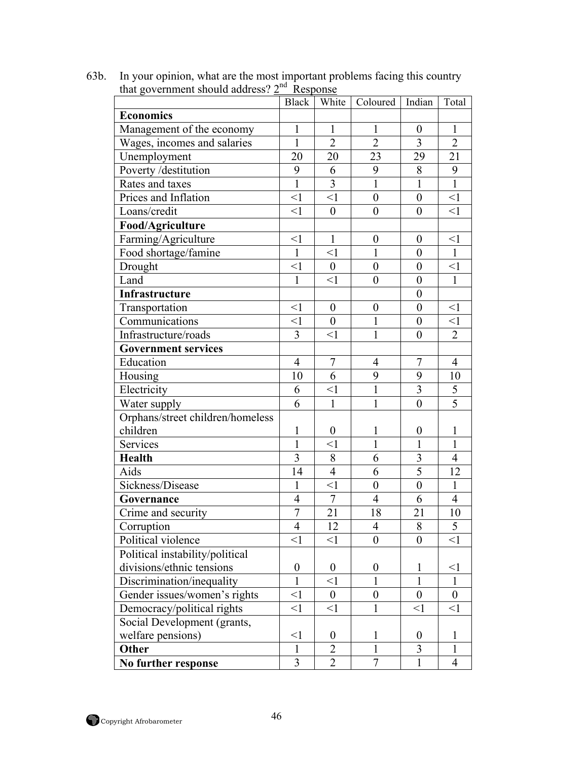|                                  | <b>Black</b>     | White            | Coloured         | Indian           | Total            |
|----------------------------------|------------------|------------------|------------------|------------------|------------------|
| <b>Economics</b>                 |                  |                  |                  |                  |                  |
| Management of the economy        | $\mathbf{1}$     | $\mathbf{1}$     | $\mathbf{1}$     | $\boldsymbol{0}$ | $\mathbf{1}$     |
| Wages, incomes and salaries      | $\mathbf{1}$     | $\overline{2}$   | $\overline{2}$   | $\overline{3}$   | $\overline{2}$   |
| Unemployment                     | 20               | 20               | 23               | 29               | 21               |
| Poverty /destitution             | 9                | 6                | 9                | 8                | 9                |
| Rates and taxes                  | $\mathbf{1}$     | $\overline{3}$   | $\mathbf{1}$     | $\mathbf{1}$     | $\overline{1}$   |
| Prices and Inflation             | $\leq$ 1         | $\leq$ 1         | $\boldsymbol{0}$ | $\boldsymbol{0}$ | $\leq$ 1         |
| Loans/credit                     | $\leq$ 1         | $\boldsymbol{0}$ | $\boldsymbol{0}$ | $\boldsymbol{0}$ | $\leq$ 1         |
| Food/Agriculture                 |                  |                  |                  |                  |                  |
| Farming/Agriculture              | $\leq$ 1         | $\mathbf{1}$     | $\boldsymbol{0}$ | $\boldsymbol{0}$ | <1               |
| Food shortage/famine             | $\mathbf{1}$     | $\leq$ 1         | $\mathbf{1}$     | $\theta$         | $\mathbf{1}$     |
| Drought                          | $\leq$ 1         | $\boldsymbol{0}$ | $\boldsymbol{0}$ | $\boldsymbol{0}$ | $\leq$ 1         |
| Land                             | $\mathbf{1}$     | $\leq$ 1         | $\boldsymbol{0}$ | $\boldsymbol{0}$ | $\mathbf{1}$     |
| Infrastructure                   |                  |                  |                  | $\boldsymbol{0}$ |                  |
| Transportation                   | $\leq$ 1         | $\boldsymbol{0}$ | $\boldsymbol{0}$ | $\boldsymbol{0}$ | $\leq$ 1         |
| Communications                   | $\leq$ 1         | $\boldsymbol{0}$ | $\mathbf{1}$     | $\boldsymbol{0}$ | $\leq$ 1         |
| Infrastructure/roads             | 3                | $\leq$ 1         | 1                | $\boldsymbol{0}$ | $\overline{2}$   |
| <b>Government services</b>       |                  |                  |                  |                  |                  |
| Education                        | $\overline{4}$   | $\overline{7}$   | $\overline{4}$   | $\overline{7}$   | $\overline{4}$   |
| Housing                          | 10               | 6                | 9                | 9                | 10               |
| Electricity                      | 6                | $\leq$ 1         | $\mathbf{1}$     | $\overline{3}$   | 5                |
| Water supply                     | 6                | $\mathbf{1}$     | $\mathbf{1}$     | $\boldsymbol{0}$ | $\overline{5}$   |
| Orphans/street children/homeless |                  |                  |                  |                  |                  |
| children                         | $\mathbf{1}$     | $\boldsymbol{0}$ | $\mathbf{1}$     | $\boldsymbol{0}$ | $\mathbf{1}$     |
| Services                         | $\mathbf{1}$     | $<$ 1            | 1                | 1                | $\mathbf{1}$     |
| <b>Health</b>                    | 3                | 8                | 6                | 3                | $\overline{4}$   |
| Aids                             | 14               | $\overline{4}$   | 6                | $\overline{5}$   | 12               |
| Sickness/Disease                 | $\mathbf{1}$     | $\leq$ 1         | $\boldsymbol{0}$ | $\boldsymbol{0}$ | $\mathbf{1}$     |
| Governance                       | $\overline{4}$   | $\overline{7}$   | $\overline{4}$   | 6                | $\overline{4}$   |
| Crime and security               | $\overline{7}$   | 21               | 18               | 21               | 10               |
| Corruption                       | 4                | 12               | 4                | 8                | $\mathcal{L}$    |
| Political violence               | $\leq$ 1         | <1               | $\theta$         | $\theta$         | $\leq$ 1         |
| Political instability/political  |                  |                  |                  |                  |                  |
| divisions/ethnic tensions        | $\boldsymbol{0}$ | $\boldsymbol{0}$ | $\boldsymbol{0}$ | 1                | $\leq$ 1         |
| Discrimination/inequality        | $\mathbf{1}$     | $\leq$ 1         | 1                | 1                | $\mathbf{1}$     |
| Gender issues/women's rights     | <1               | $\boldsymbol{0}$ | $\boldsymbol{0}$ | $\boldsymbol{0}$ | $\boldsymbol{0}$ |
| Democracy/political rights       | <1               | $\leq$ 1         | 1                | $\leq$ 1         | <1               |
| Social Development (grants,      |                  |                  |                  |                  |                  |
| welfare pensions)                | $<$ l            | $\boldsymbol{0}$ | 1                | $\boldsymbol{0}$ | 1                |
| Other                            | $\mathbf{1}$     | $\overline{2}$   | $\mathbf{1}$     | $\overline{3}$   | $\mathbf{1}$     |
| No further response              | 3                | $\overline{2}$   | $\tau$           | $\mathbf{1}$     | $\overline{4}$   |

63b. In your opinion, what are the most important problems facing this country that government should address? 2<sup>nd</sup> Response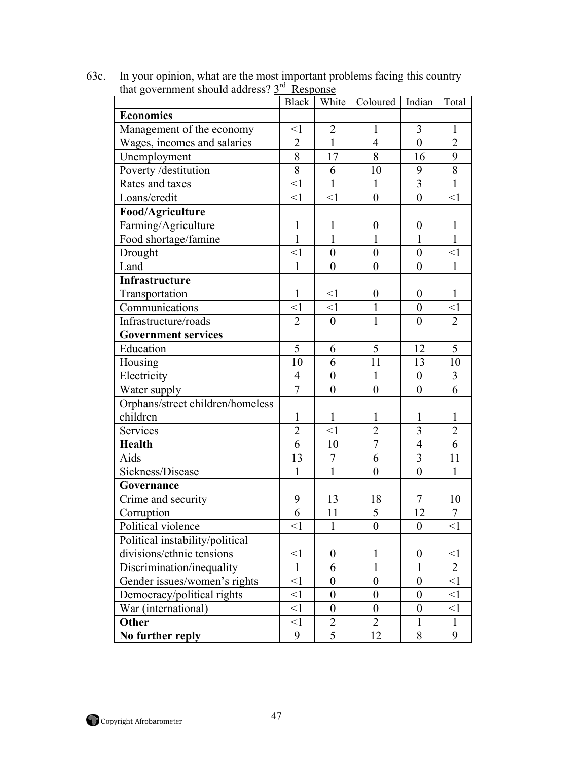|                                  | <b>Black</b>   | White            | Coloured   Indian |                  | Total          |
|----------------------------------|----------------|------------------|-------------------|------------------|----------------|
| <b>Economics</b>                 |                |                  |                   |                  |                |
| Management of the economy        | $\leq$ 1       | $\overline{2}$   | $\mathbf{1}$      | $\mathfrak{Z}$   | 1              |
| Wages, incomes and salaries      | $\overline{2}$ | $\mathbf{1}$     | $\overline{4}$    | $\overline{0}$   | $\overline{2}$ |
| Unemployment                     | $\overline{8}$ | 17               | $\overline{8}$    | 16               | 9              |
| Poverty /destitution             | $\overline{8}$ | 6                | 10                | 9                | 8              |
| Rates and taxes                  | $\leq$ 1       | $\mathbf{1}$     | $\mathbf{1}$      | $\overline{3}$   | $\mathbf{1}$   |
| Loans/credit                     | $\leq$ 1       | $\leq$ 1         | $\boldsymbol{0}$  | $\mathbf{0}$     | $\leq$ 1       |
| Food/Agriculture                 |                |                  |                   |                  |                |
| Farming/Agriculture              | $\mathbf{1}$   | $\mathbf{1}$     | $\boldsymbol{0}$  | $\boldsymbol{0}$ | $\mathbf{1}$   |
| Food shortage/famine             | $\mathbf{1}$   | $\mathbf{1}$     | $\mathbf{1}$      | $\mathbf{1}$     | $\mathbf{1}$   |
| Drought                          | $\leq$ 1       | $\overline{0}$   | $\overline{0}$    | $\mathbf{0}$     | $\leq$ 1       |
| Land                             | $\mathbf{1}$   | $\boldsymbol{0}$ | $\boldsymbol{0}$  | $\boldsymbol{0}$ | $\mathbf{1}$   |
| Infrastructure                   |                |                  |                   |                  |                |
| Transportation                   | $\mathbf{1}$   | $\leq$ 1         | $\boldsymbol{0}$  | $\boldsymbol{0}$ | $\mathbf{1}$   |
| Communications                   | $\leq$ 1       | $\leq$ 1         | 1                 | $\boldsymbol{0}$ | $<$ 1          |
| Infrastructure/roads             | $\overline{2}$ | $\boldsymbol{0}$ | $\mathbf{1}$      | $\overline{0}$   | $\overline{2}$ |
| <b>Government services</b>       |                |                  |                   |                  |                |
| Education                        | 5              | 6                | 5                 | 12               | 5              |
| Housing                          | 10             | 6                | 11                | 13               | 10             |
| Electricity                      | $\overline{4}$ | $\boldsymbol{0}$ | $\mathbf{1}$      | $\boldsymbol{0}$ | 3              |
| Water supply                     | $\overline{7}$ | $\boldsymbol{0}$ | $\overline{0}$    | $\overline{0}$   | 6              |
| Orphans/street children/homeless |                |                  |                   |                  |                |
| children                         | $\mathbf{1}$   | $\mathbf{1}$     | 1                 | $\mathbf{1}$     | $\mathbf{1}$   |
| Services                         | $\overline{2}$ | $\leq$ 1         | $\overline{2}$    | 3                | $\overline{2}$ |
| <b>Health</b>                    | 6              | 10               | $\overline{7}$    | $\overline{4}$   | 6              |
| Aids                             | 13             | 7                | 6                 | $\overline{3}$   | 11             |
| Sickness/Disease                 | $\mathbf{1}$   | $\mathbf{1}$     | $\overline{0}$    | $\overline{0}$   | $\mathbf{1}$   |
| Governance                       |                |                  |                   |                  |                |
| Crime and security               | 9              | 13               | 18                | $\overline{7}$   | 10             |
| Corruption                       | 6              | 11               | 5                 | 12               | $\tau$         |
| Political violence               | <1             | 1                | $\theta$          | $\bf{0}$         | <1             |
| Political instability/political  |                |                  |                   |                  |                |
| divisions/ethnic tensions        | $\leq$ 1       | $\boldsymbol{0}$ | 1                 | $\boldsymbol{0}$ | $\leq$ 1       |
| Discrimination/inequality        | $\mathbf{1}$   | 6                | 1                 | 1                | $\overline{2}$ |
| Gender issues/women's rights     | $\leq$ 1       | $\overline{0}$   | $\theta$          | $\overline{0}$   | $\leq$ 1       |
| Democracy/political rights       | $\leq$ 1       | $\theta$         | $\boldsymbol{0}$  | $\boldsymbol{0}$ | $\leq$ 1       |
| War (international)              | $\leq$ 1       | $\theta$         | $\theta$          | $\boldsymbol{0}$ | $\leq$ 1       |
| Other                            | $\leq$ 1       | $\overline{2}$   | $\overline{2}$    | $\mathbf{1}$     | $\mathbf{1}$   |
| No further reply                 | 9              | 5                | 12                | 8                | 9              |

63c. In your opinion, what are the most important problems facing this country that government should address? 3<sup>rd</sup> Response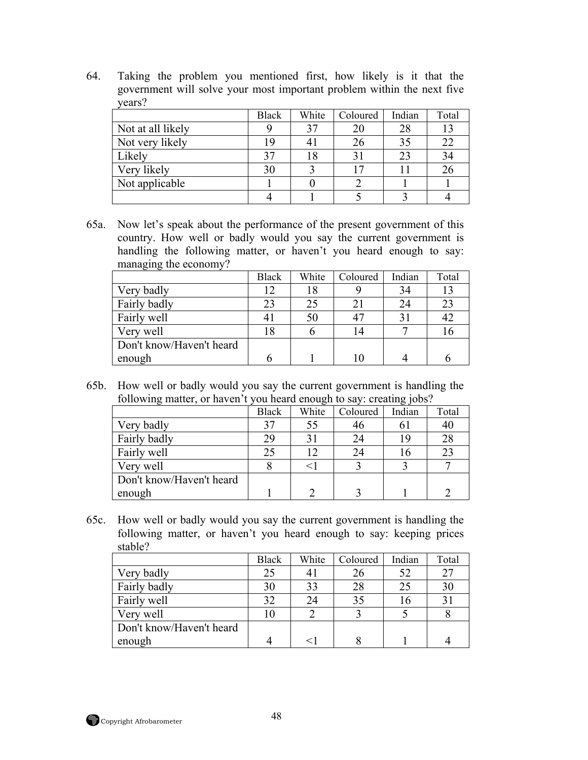64. Taking the problem you mentioned first, how likely is it that the government will solve your most important problem within the next five years?

|                   | <b>Black</b> | White | Coloured | Indian | Total |
|-------------------|--------------|-------|----------|--------|-------|
| Not at all likely |              |       | 20       | 28     | 13    |
| Not very likely   | 19           |       | 26       | 35     | 22    |
| Likely            | 37           |       | 31       | 23     | 34    |
| Very likely       | 30           |       |          |        | 26    |
| Not applicable    |              |       |          |        |       |
|                   |              |       |          |        |       |

65a. Now let's speak about the performance of the present government of this country. How well or badly would you say the current government is handling the following matter, or haven't you heard enough to say: managing the economy?

|                          | <b>Black</b> | White | Coloured | Indian | Total |
|--------------------------|--------------|-------|----------|--------|-------|
| Very badly               | 12           | 18    |          | 34     | 13    |
| Fairly badly             | 23           | 25    | 21       | 24     | 23    |
| Fairly well              |              | 50    | 47       |        | 42    |
| Very well                | 18           |       | 14       |        | 10    |
| Don't know/Haven't heard |              |       |          |        |       |
| enough                   | h            |       |          |        |       |

65b. How well or badly would you say the current government is handling the following matter, or haven't you heard enough to say: creating jobs?

|                          | <b>Black</b> | White | Coloured | Indian | Total |  |  |  |
|--------------------------|--------------|-------|----------|--------|-------|--|--|--|
| Very badly               | 37           | 55    | 46       |        | 40    |  |  |  |
| Fairly badly             | 29           |       | 24       | 1 G    | 28    |  |  |  |
| Fairly well              | 25           |       | 24       | Iб     | 23    |  |  |  |
| Very well                |              |       |          |        |       |  |  |  |
| Don't know/Haven't heard |              |       |          |        |       |  |  |  |
| enough                   |              |       |          |        |       |  |  |  |

65c. How well or badly would you say the current government is handling the following matter, or haven't you heard enough to say: keeping prices stable?

|                          | <b>Black</b> | White | Coloured | Indian | Total |
|--------------------------|--------------|-------|----------|--------|-------|
| Very badly               | 25           |       | 26       | 52     | 27    |
| Fairly badly             | 30           | 33    | 28       | 25     | 30    |
| Fairly well              | 32           |       | 35       | τO.    | 31    |
| Very well                | 10           |       |          |        |       |
| Don't know/Haven't heard |              |       |          |        |       |
| enough                   |              |       |          |        |       |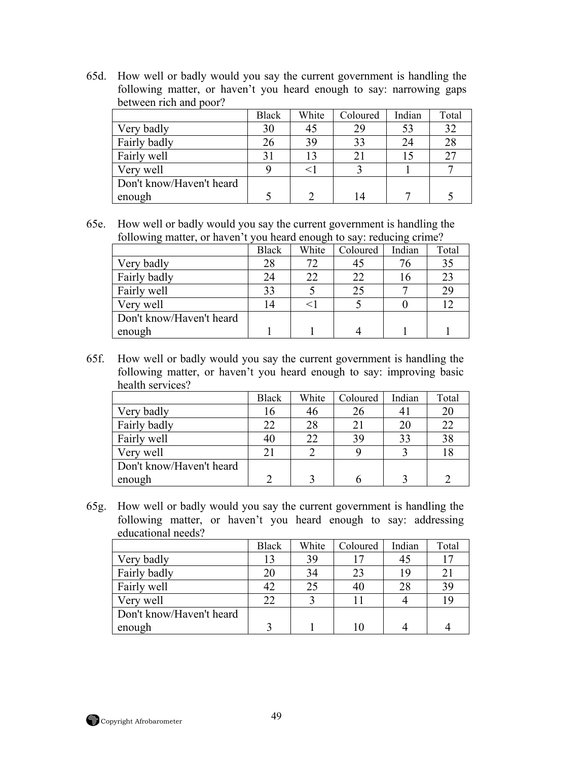65d. How well or badly would you say the current government is handling the following matter, or haven't you heard enough to say: narrowing gaps between rich and poor?

|                          | <b>Black</b> | White | Coloured | Indian | Total |
|--------------------------|--------------|-------|----------|--------|-------|
| Very badly               | 30           | -45   | 29       |        | 32    |
| Fairly badly             | 26           | 39    | 33       | 24     | 28    |
| Fairly well              |              | 13    |          |        | 27    |
| Very well                |              |       |          |        |       |
| Don't know/Haven't heard |              |       |          |        |       |
| enough                   |              |       | 14       |        |       |

65e. How well or badly would you say the current government is handling the following matter, or haven't you heard enough to say: reducing crime?

|                          | <b>Black</b> | White | Coloured | Indian | Total |
|--------------------------|--------------|-------|----------|--------|-------|
| Very badly               | 28           |       | 45       |        | 35    |
| Fairly badly             | 24           | 22    | 22       | Iб     | 23    |
| Fairly well              | 33           |       | 25       |        | 29    |
| Very well                | 14           |       |          |        | 12    |
| Don't know/Haven't heard |              |       |          |        |       |
| enough                   |              |       |          |        |       |

65f. How well or badly would you say the current government is handling the following matter, or haven't you heard enough to say: improving basic health services?

|                          | <b>Black</b> | White | Coloured | Indian | Total |
|--------------------------|--------------|-------|----------|--------|-------|
| Very badly               | 16           |       | 26       |        | 20    |
| Fairly badly             | 22           | 28    | 21       | 20     | 22    |
| Fairly well              | 40           | 22    | 39       | 33     | 38    |
| Very well                | 21           |       |          |        | 18    |
| Don't know/Haven't heard |              |       |          |        |       |
| enough                   |              |       |          |        |       |

65g. How well or badly would you say the current government is handling the following matter, or haven't you heard enough to say: addressing educational needs?

|                          | <b>Black</b> | White | Coloured | Indian | Total |
|--------------------------|--------------|-------|----------|--------|-------|
| Very badly               | 13           | 39    |          | 45     |       |
| Fairly badly             | 20           | 34    | 23       | 19     | 21    |
| Fairly well              | 42           |       | 40       | 28     | 39    |
| Very well                | 22           |       |          |        | 19    |
| Don't know/Haven't heard |              |       |          |        |       |
| enough                   |              |       | 10       |        |       |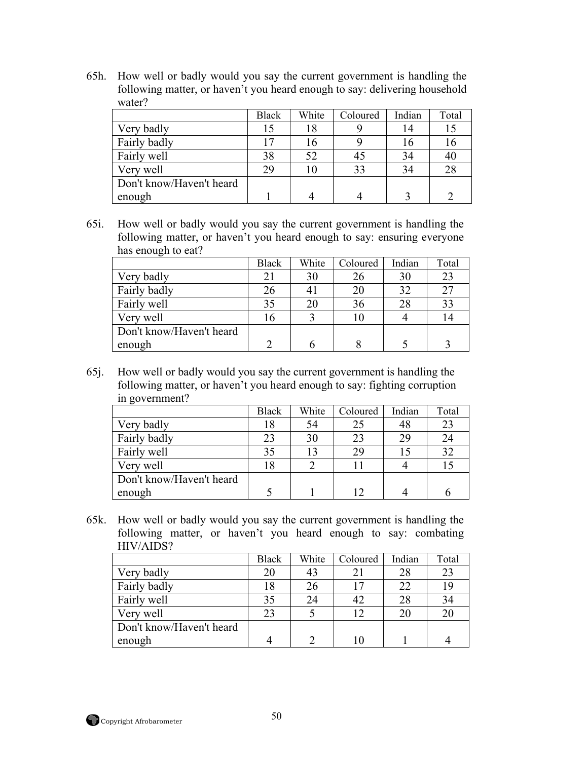65h. How well or badly would you say the current government is handling the following matter, or haven't you heard enough to say: delivering household water?

|                          | <b>Black</b> | White | Coloured | Indian | Total |
|--------------------------|--------------|-------|----------|--------|-------|
| Very badly               | 15           | 18    |          |        |       |
| Fairly badly             | ר ו          | 16    |          |        | 10    |
| Fairly well              | 38           | 52    | 45       | 34     | 4(    |
| Very well                | 29           | 10    | 33       | 34     | 28    |
| Don't know/Haven't heard |              |       |          |        |       |
| enough                   |              |       |          |        |       |

65i. How well or badly would you say the current government is handling the following matter, or haven't you heard enough to say: ensuring everyone has enough to eat?

|                          | <b>Black</b> | White | Coloured | Indian | Total |
|--------------------------|--------------|-------|----------|--------|-------|
| Very badly               | 21           | 30    | 26       | 30     | 23    |
| Fairly badly             | 26           |       | 20       | 32     | 27    |
| Fairly well              | 35           |       | 36       | 28     | 33    |
| Very well                | 16           |       | 10       |        | 14    |
| Don't know/Haven't heard |              |       |          |        |       |
| enough                   | ∍            |       |          |        |       |

65j. How well or badly would you say the current government is handling the following matter, or haven't you heard enough to say: fighting corruption in government?

|                          | <b>Black</b> | White | Coloured | Indian | Total |
|--------------------------|--------------|-------|----------|--------|-------|
| Very badly               | 18           | 54    | 25       | 48     | 23    |
| Fairly badly             | 23           | 30    | 23       | 29     | 24    |
| Fairly well              | 35           | 13    | 29       |        | 32    |
| Very well                | 18           |       |          |        |       |
| Don't know/Haven't heard |              |       |          |        |       |
| enough                   |              |       |          |        |       |

65k. How well or badly would you say the current government is handling the following matter, or haven't you heard enough to say: combating HIV/AIDS?

|                          | <b>Black</b> | White | Coloured | Indian | Total |
|--------------------------|--------------|-------|----------|--------|-------|
| Very badly               | 20           |       | 21       | 28     | 23    |
| Fairly badly             | 18           |       |          | 22     | 19    |
| Fairly well              | 35           | 24    | 42       | 28     | 34    |
| Very well                | 23           |       |          | 20     | 20    |
| Don't know/Haven't heard |              |       |          |        |       |
| enough                   |              |       | 10       |        |       |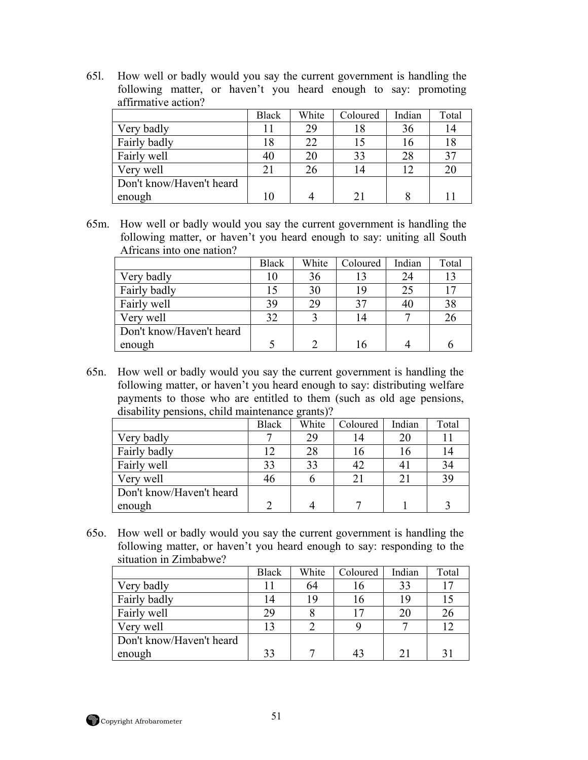65l. How well or badly would you say the current government is handling the following matter, or haven't you heard enough to say: promoting affirmative action?

|                          | <b>Black</b> | White | Coloured | Indian | Total |
|--------------------------|--------------|-------|----------|--------|-------|
| Very badly               |              | 29    |          | 36     |       |
| Fairly badly             | 18           | 22    |          | 16     |       |
| Fairly well              | 40           | 20    | 33       | 28     | 37    |
| Very well                | 21           | 26    | 14       | 12     | 20    |
| Don't know/Haven't heard |              |       |          |        |       |
| enough                   | LC           |       | 21       |        |       |

65m. How well or badly would you say the current government is handling the following matter, or haven't you heard enough to say: uniting all South Africans into one nation?

|                          | <b>Black</b> | White | Coloured | Indian | Total |
|--------------------------|--------------|-------|----------|--------|-------|
| Very badly               | 10           | 36    | 13       | 24     | 13    |
| Fairly badly             | 15           | 30    | 19       | 25     | 17    |
| Fairly well              | 39           | 29    | 37       | 40     | 38    |
| Very well                | 32           |       | 14       |        | 26    |
| Don't know/Haven't heard |              |       |          |        |       |
| enough                   |              |       | 16       |        |       |

65n. How well or badly would you say the current government is handling the following matter, or haven't you heard enough to say: distributing welfare payments to those who are entitled to them (such as old age pensions, disability pensions, child maintenance grants)?

|                          | <b>Black</b> | White | Coloured | Indian | Total |
|--------------------------|--------------|-------|----------|--------|-------|
| Very badly               |              | 29    |          |        |       |
| Fairly badly             | ר ו          |       |          | ιo     |       |
| Fairly well              | 33           | 33    | 42       |        | 34    |
| Very well                | 46           |       | 21       |        | 39    |
| Don't know/Haven't heard |              |       |          |        |       |
| enough                   |              |       |          |        |       |

65o. How well or badly would you say the current government is handling the following matter, or haven't you heard enough to say: responding to the situation in Zimbabwe?

|                          | <b>Black</b> | White | Coloured       | Indian | Total |
|--------------------------|--------------|-------|----------------|--------|-------|
| Very badly               |              | 64    | 16             | 33     | 17    |
| Fairly badly             | 14           | 19    | 16             | 19     |       |
| Fairly well              | 29           |       |                | 20     | 26    |
| Very well                | 13           |       |                |        | 12    |
| Don't know/Haven't heard |              |       |                |        |       |
| enough                   | 33           |       | 4 <sup>2</sup> |        | 31    |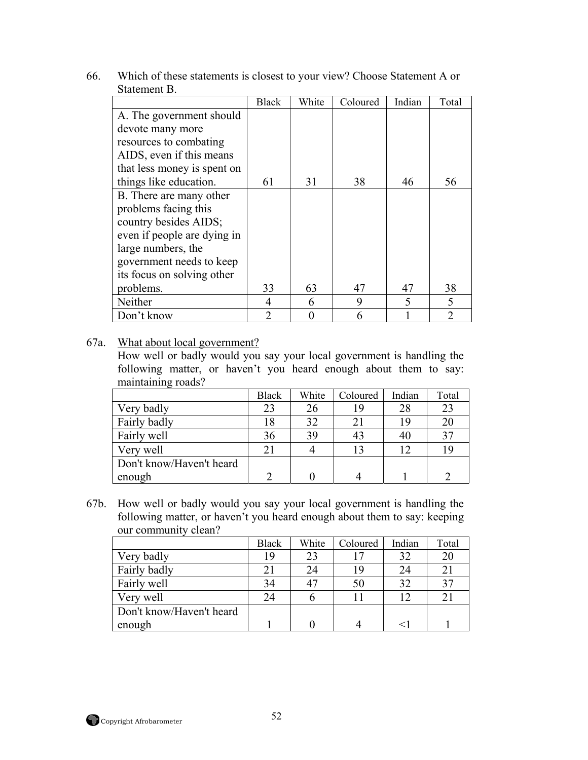| 66. | Which of these statements is closest to your view? Choose Statement A or |
|-----|--------------------------------------------------------------------------|
|     | Statement B.                                                             |

|                             | <b>Black</b>                | White | Coloured | Indian | Total                       |
|-----------------------------|-----------------------------|-------|----------|--------|-----------------------------|
| A. The government should    |                             |       |          |        |                             |
| devote many more            |                             |       |          |        |                             |
| resources to combating      |                             |       |          |        |                             |
| AIDS, even if this means    |                             |       |          |        |                             |
| that less money is spent on |                             |       |          |        |                             |
| things like education.      | 61                          | 31    | 38       | 46     | 56                          |
| B. There are many other     |                             |       |          |        |                             |
| problems facing this        |                             |       |          |        |                             |
| country besides AIDS;       |                             |       |          |        |                             |
| even if people are dying in |                             |       |          |        |                             |
| large numbers, the          |                             |       |          |        |                             |
| government needs to keep    |                             |       |          |        |                             |
| its focus on solving other  |                             |       |          |        |                             |
| problems.                   | 33                          | 63    | 47       | 47     | 38                          |
| Neither                     | $\overline{4}$              | 6     | 9        | 5      | 5                           |
| Don't know                  | $\mathcal{D}_{\mathcal{A}}$ |       | 6        |        | $\mathcal{D}_{\mathcal{A}}$ |

## 67a. What about local government?

How well or badly would you say your local government is handling the following matter, or haven't you heard enough about them to say: maintaining roads?

|                          | <b>Black</b> | White | Coloured | Indian | Total |
|--------------------------|--------------|-------|----------|--------|-------|
| Very badly               | 23           | 26    | 19       | 28     | 23    |
| Fairly badly             | 18           | 32    | 21       | 19     | 20    |
| Fairly well              | 36           | 39    | 43       |        | 37    |
| Very well                | 21           |       | 13       | 12     | 19    |
| Don't know/Haven't heard |              |       |          |        |       |
| enough                   |              |       |          |        |       |

67b. How well or badly would you say your local government is handling the following matter, or haven't you heard enough about them to say: keeping our community clean?

|                          | <b>Black</b> | White | Coloured | Indian | Total          |
|--------------------------|--------------|-------|----------|--------|----------------|
| Very badly               | 19           |       |          | 32     | 20             |
| Fairly badly             | 21           |       | 19       | 24     | 21             |
| Fairly well              | 34           |       | 50       | 32     | 37             |
| Very well                | 24           |       |          | ר ו    | 2 <sub>1</sub> |
| Don't know/Haven't heard |              |       |          |        |                |
| enough                   |              |       |          |        |                |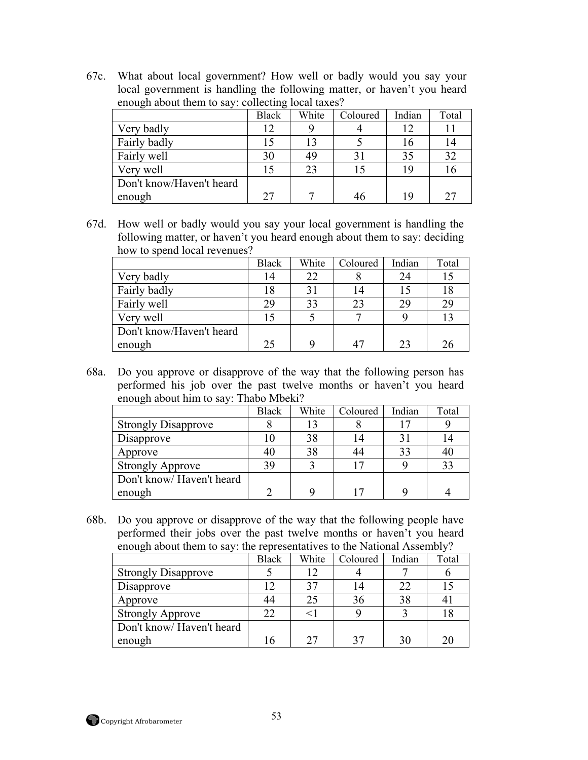67c. What about local government? How well or badly would you say your local government is handling the following matter, or haven't you heard enough about them to say: collecting local taxes?

|                          | <b>Black</b> | White | Coloured | Indian     | Total |
|--------------------------|--------------|-------|----------|------------|-------|
| Very badly               | 12           |       |          | $\sqrt{2}$ |       |
| Fairly badly             | 15           | 13    |          |            | 14    |
| Fairly well              | 30           | 49    |          | 35         | 32    |
| Very well                | 15           | 23    |          | 19         |       |
| Don't know/Haven't heard |              |       |          |            |       |
| enough                   | 27           |       | 46       | 1 Q        | 25    |

67d. How well or badly would you say your local government is handling the following matter, or haven't you heard enough about them to say: deciding how to spend local revenues?

|                          | <b>Black</b> | White | Coloured | Indian | Total |
|--------------------------|--------------|-------|----------|--------|-------|
| Very badly               | 14           | 22    |          | 24     | 15    |
| Fairly badly             | 18           | 3     | 14       |        | 18    |
| Fairly well              | 29           | 33    | 23       | 29     | 29    |
| Very well                | 15           |       |          |        | 13    |
| Don't know/Haven't heard |              |       |          |        |       |
| enough                   | 25           |       | 47       | 23     | 26    |

68a. Do you approve or disapprove of the way that the following person has performed his job over the past twelve months or haven't you heard enough about him to say: Thabo Mbeki?

|                            | <b>Black</b> | White | Coloured | Indian | Total |
|----------------------------|--------------|-------|----------|--------|-------|
| <b>Strongly Disapprove</b> |              |       |          |        |       |
| Disapprove                 |              | 38    |          |        |       |
| Approve                    | 40           | 38    | 44       | 33     | 40    |
| <b>Strongly Approve</b>    | 39           |       |          |        | 33    |
| Don't know/Haven't heard   |              |       |          |        |       |
| enough                     |              |       |          |        |       |

68b. Do you approve or disapprove of the way that the following people have performed their jobs over the past twelve months or haven't you heard enough about them to say: the representatives to the National Assembly?

|                            | <b>Black</b> | White | Coloured | Indian | Total |
|----------------------------|--------------|-------|----------|--------|-------|
| <b>Strongly Disapprove</b> |              |       |          |        |       |
| Disapprove                 | 12           |       | 14       | 22     |       |
| Approve                    | 44           | 25    | 36       | 38     | 4     |
| <b>Strongly Approve</b>    | 22           |       |          |        |       |
| Don't know/Haven't heard   |              |       |          |        |       |
| enough                     | 16           | າາ    | 37       | 30     | 20    |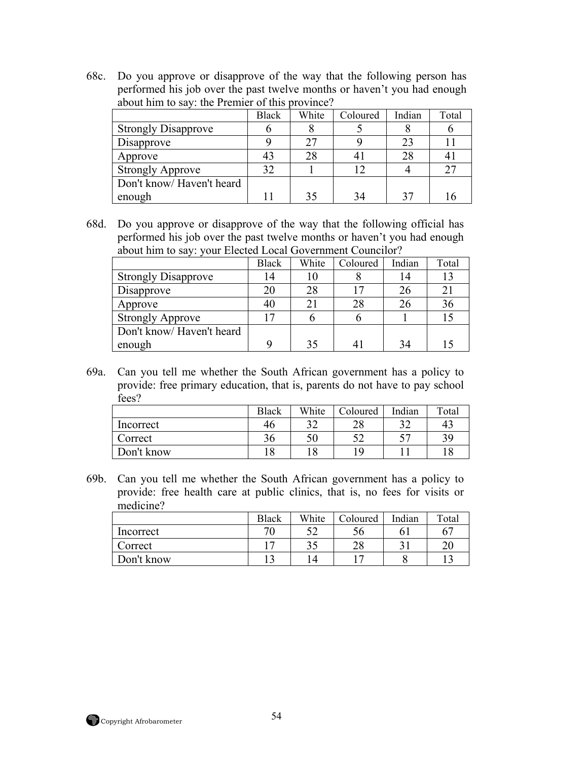68c. Do you approve or disapprove of the way that the following person has performed his job over the past twelve months or haven't you had enough about him to say: the Premier of this province?

|                            | <b>Black</b> | White | Coloured | Indian | Total |  |
|----------------------------|--------------|-------|----------|--------|-------|--|
| <b>Strongly Disapprove</b> |              |       |          |        |       |  |
| Disapprove                 |              | 27    |          | 23     |       |  |
| Approve                    | 43           | 28    |          | 28     |       |  |
| <b>Strongly Approve</b>    | 32           |       |          |        | 27    |  |
| Don't know/Haven't heard   |              |       |          |        |       |  |
| enough                     |              | 35    | 34       |        |       |  |

68d. Do you approve or disapprove of the way that the following official has performed his job over the past twelve months or haven't you had enough about him to say: your Elected Local Government Councilor?

|                            | <b>Black</b> | White | Coloured | Indian | Total |
|----------------------------|--------------|-------|----------|--------|-------|
| <b>Strongly Disapprove</b> | 14           |       |          |        |       |
| Disapprove                 | 20           | 28    |          | 26     | 21    |
| Approve                    | 40           |       | 28       | 26     | 36    |
| <b>Strongly Approve</b>    |              |       |          |        |       |
| Don't know/Haven't heard   |              |       |          |        |       |
| enough                     |              | 35    |          | 34     |       |

69a. Can you tell me whether the South African government has a policy to provide: free primary education, that is, parents do not have to pay school fees?

|            | <b>Black</b> | White | Coloured | Indian | Total |
|------------|--------------|-------|----------|--------|-------|
| Incorrect  | 40           | າາ    | າ໑       |        | 43    |
| Correct    | 36           |       | cη       |        | 39    |
| Don't know | 18           |       | ۱۵       |        |       |

69b. Can you tell me whether the South African government has a policy to provide: free health care at public clinics, that is, no fees for visits or medicine?

|            | <b>Black</b> | White | Coloured | Indian | Total |
|------------|--------------|-------|----------|--------|-------|
| Incorrect  | 70           |       | Эb       |        | 67    |
| Correct    |              |       | ററ<br>∠о |        | ∠∖    |
| Don't know |              |       |          |        |       |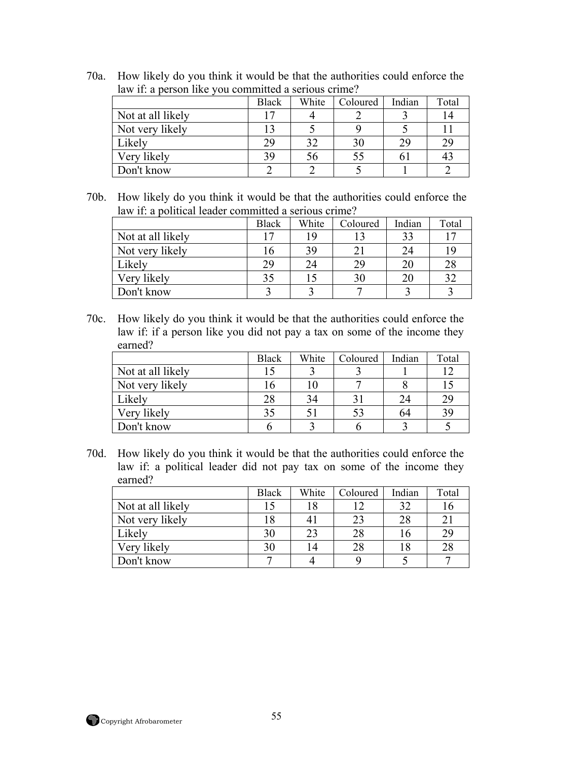| law if: a person like you committed a serious crime? |              |       |                 |        |       |  |  |
|------------------------------------------------------|--------------|-------|-----------------|--------|-------|--|--|
|                                                      | <b>Black</b> | White | <b>Coloured</b> | Indian | Total |  |  |
| Not at all likely                                    |              |       |                 |        |       |  |  |
| Not very likely                                      |              |       |                 |        |       |  |  |

Likely 29 32 30 29 29 Very likely<br>
19 56 55 61 43<br>
2 2 5 1 2

70a. How likely do you think it would be that the authorities could enforce the

| 70b. | How likely do you think it would be that the authorities could enforce the |
|------|----------------------------------------------------------------------------|
|      | law if: a political leader committed a serious crime?                      |

Don't know 2 2 5 1

|                   | <b>Black</b> | White | Coloured | Indian | Total |
|-------------------|--------------|-------|----------|--------|-------|
| Not at all likely | 17           | 1 Q   |          | 33     |       |
| Not very likely   | 16           | 39    | 21       | 24     |       |
| Likely            | 29           | 24    | 29       | 20     | 28    |
| Very likely       | 35           |       | 30       | 20     | 32    |
| Don't know        |              |       |          |        |       |

70c. How likely do you think it would be that the authorities could enforce the law if: if a person like you did not pay a tax on some of the income they earned?

|                   | <b>Black</b> | White | Coloured       | Indian | Total |
|-------------------|--------------|-------|----------------|--------|-------|
| Not at all likely |              |       |                |        |       |
| Not very likely   |              |       |                |        |       |
| Likely            | 28           |       |                | 24     | 29    |
| Very likely       | 35           |       | 5 <sup>2</sup> | 64     | 39    |
| Don't know        |              |       |                |        |       |

70d. How likely do you think it would be that the authorities could enforce the law if: a political leader did not pay tax on some of the income they earned?

|                   | <b>Black</b> | White | Coloured | Indian | Total |
|-------------------|--------------|-------|----------|--------|-------|
| Not at all likely | 15           |       |          | 32     |       |
| Not very likely   | 18           |       | 23       | 28     | 21    |
| Likely            | 30           | 23    | 28       | I b    | 29    |
| Very likely       | 30           | 14    | 28       | 18     | 28    |
| Don't know        | −            |       |          |        |       |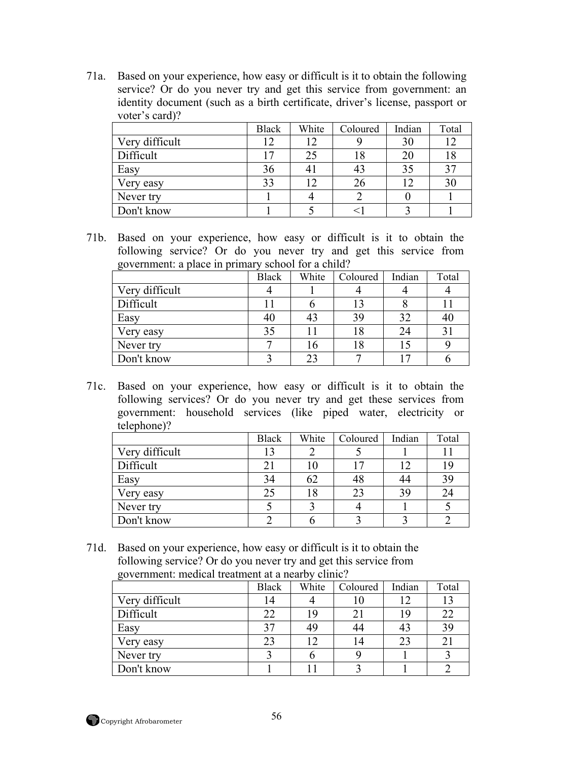71a. Based on your experience, how easy or difficult is it to obtain the following service? Or do you never try and get this service from government: an identity document (such as a birth certificate, driver's license, passport or voter's card)?

|                | <b>Black</b> | White | Coloured | Indian | Total |
|----------------|--------------|-------|----------|--------|-------|
| Very difficult | 12           | 12    |          | 30     |       |
| Difficult      | רו           | 25    | 18       | 20     |       |
| Easy           | 36           |       | 43       | 35     | 37    |
| Very easy      | 33           |       | 26       |        | 30    |
| Never try      |              |       |          |        |       |
| Don't know     |              |       |          |        |       |

71b. Based on your experience, how easy or difficult is it to obtain the following service? Or do you never try and get this service from government: a place in primary school for a child?

| ັ              | <b>Black</b> | White | Coloured | Indian | Total |
|----------------|--------------|-------|----------|--------|-------|
| Very difficult |              |       |          |        |       |
| Difficult      |              |       |          |        |       |
| Easy           | 40           |       | 39       |        | 40    |
| Very easy      | 35           |       | 18       | 24     |       |
| Never try      |              |       | 18       |        |       |
| Don't know     |              |       |          |        |       |

71c. Based on your experience, how easy or difficult is it to obtain the following services? Or do you never try and get these services from government: household services (like piped water, electricity or telephone)?

|                | <b>Black</b> | White | Coloured | Indian     | Total |
|----------------|--------------|-------|----------|------------|-------|
| Very difficult | 13           |       |          |            |       |
| Difficult      | 21           |       |          | $\sqrt{2}$ | 19    |
| Easy           | 34           | 62    | 48       | 44         | 39    |
| Very easy      | 25           |       | 23       | 39         | 24    |
| Never try      |              |       |          |            |       |
| Don't know     |              |       |          |            |       |

71d. Based on your experience, how easy or difficult is it to obtain the following service? Or do you never try and get this service from government: medical treatment at a nearby clinic?

| ັ              | <b>Black</b> | White | Coloured | Indian | Total |
|----------------|--------------|-------|----------|--------|-------|
| Very difficult | 14           |       |          |        |       |
| Difficult      | 22           | 19    | 21       | 19     | 22    |
| Easy           | 37           |       | 44       |        | 39    |
| Very easy      | 23           |       | 14       | 23     | 21    |
| Never try      |              |       |          |        |       |
| Don't know     |              |       |          |        |       |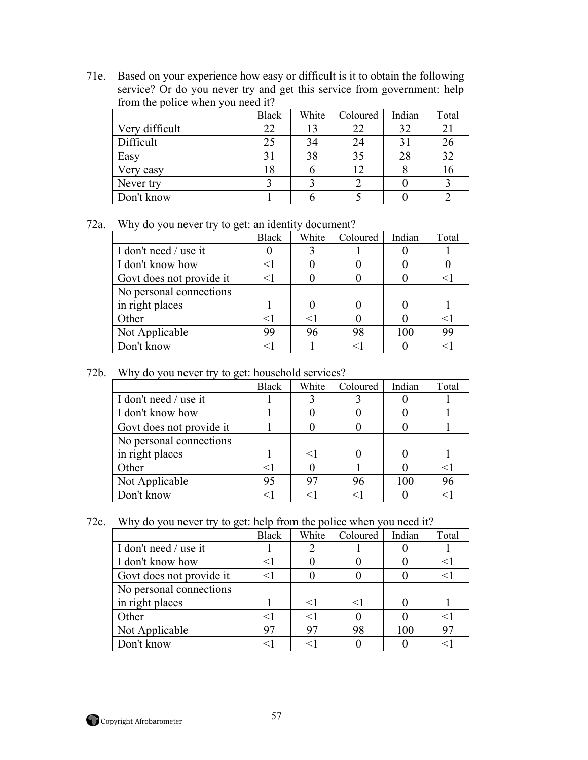71e. Based on your experience how easy or difficult is it to obtain the following service? Or do you never try and get this service from government: help from the police when you need it?

|                | <b>Black</b> | White | Coloured | Indian | Total |
|----------------|--------------|-------|----------|--------|-------|
| Very difficult | 22           |       | 22       | 32     | 21    |
| Difficult      | 25           |       | 24       |        | 26    |
| Easy           | 31           | 38    | 35       | 28     | 32    |
| Very easy      |              |       |          |        |       |
| Never try      |              |       |          |        |       |
| Don't know     |              |       |          |        |       |

72a. Why do you never try to get: an identity document?

|                          | <b>Black</b> | White | Coloured | Indian | Total      |
|--------------------------|--------------|-------|----------|--------|------------|
| I don't need / use it    |              |       |          |        |            |
| I don't know how         | <1           |       |          |        |            |
| Govt does not provide it | $<$ 1        |       |          |        |            |
| No personal connections  |              |       |          |        |            |
| in right places          |              |       |          |        |            |
| Other                    |              |       |          |        | $<$ $\mid$ |
| Not Applicable           | 99           | 96    | 98       | 100    | 99         |
| Don't know               |              |       | $<\,$    |        | $\lt'$     |

## 72b. Why do you never try to get: household services?

|                          | <b>Black</b> | White | Coloured | Indian | Total |
|--------------------------|--------------|-------|----------|--------|-------|
| I don't need / use it    |              |       |          |        |       |
| I don't know how         |              |       |          |        |       |
| Govt does not provide it |              |       |          |        |       |
| No personal connections  |              |       |          |        |       |
| in right places          |              |       |          |        |       |
| Other                    | ╭            |       |          |        |       |
| Not Applicable           | 95           | 97    | 96       | 100    | 96    |
| Don't know               |              |       |          |        |       |

72c. Why do you never try to get: help from the police when you need it?

|                          | <b>Black</b> | White | Coloured | Indian | Total  |
|--------------------------|--------------|-------|----------|--------|--------|
| I don't need / use it    |              |       |          |        |        |
| I don't know how         |              |       |          |        | $\leq$ |
| Govt does not provide it |              |       |          |        |        |
| No personal connections  |              |       |          |        |        |
| in right places          |              |       | $<$ 1    |        |        |
| Other                    | $<$ 1        |       |          |        |        |
| Not Applicable           | 97           | 97    | 98       | 100    | 97     |
| Don't know               |              |       |          |        |        |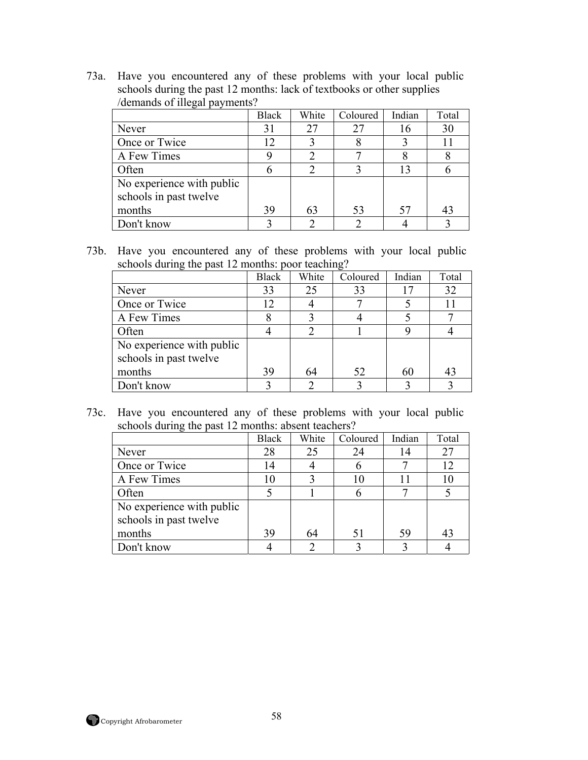73a. Have you encountered any of these problems with your local public schools during the past 12 months: lack of textbooks or other supplies /demands of illegal payments?

|                                                     | <b>Black</b> | White | Coloured | Indian | Total |
|-----------------------------------------------------|--------------|-------|----------|--------|-------|
| Never                                               | 31           |       | 27       | 16     | 30    |
| Once or Twice                                       | 12           |       |          |        | 11    |
| A Few Times                                         |              |       |          |        |       |
| Often                                               | h            |       |          | 13     |       |
| No experience with public<br>schools in past twelve |              |       |          |        |       |
| months                                              | 39           | 63    | 53       | 57     | 43    |
| Don't know                                          |              |       |          |        |       |

73b. Have you encountered any of these problems with your local public schools during the past 12 months: poor teaching?

|                           | <b>Black</b> | White | Coloured | Indian | Total |
|---------------------------|--------------|-------|----------|--------|-------|
| Never                     | 33           | 25    | 33       |        | 32    |
| Once or Twice             | 12           |       |          |        | 11    |
| A Few Times               |              |       |          |        |       |
| Often                     |              |       |          |        |       |
| No experience with public |              |       |          |        |       |
| schools in past twelve    |              |       |          |        |       |
| months                    | 39           | 64    | 52       | 60     | 43    |
| Don't know                |              |       |          |        |       |

73c. Have you encountered any of these problems with your local public schools during the past 12 months: absent teachers?

|                           | <b>Black</b> | White | Coloured | Indian | Total |
|---------------------------|--------------|-------|----------|--------|-------|
| Never                     | 28           | 25    | 24       |        | 27    |
| Once or Twice             | 14           |       | n        |        | 12    |
| A Few Times               | 10           |       | 10       |        | 10    |
| Often                     |              |       | n        |        |       |
| No experience with public |              |       |          |        |       |
| schools in past twelve    |              |       |          |        |       |
| months                    | 39           | 64    | 51       | 59     | 43    |
| Don't know                |              |       |          |        |       |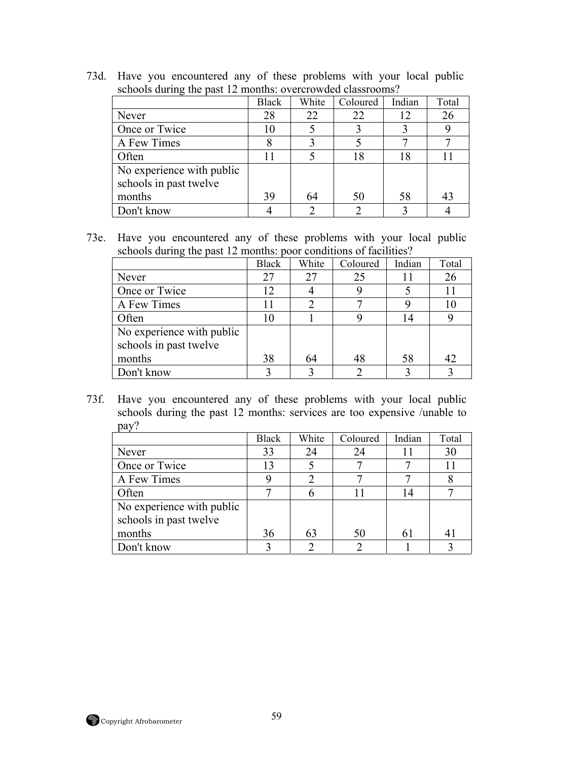| schools during the past 12 months: overcrowded classrooms? |              |       |          |        |       |  |  |
|------------------------------------------------------------|--------------|-------|----------|--------|-------|--|--|
|                                                            | <b>Black</b> | White | Coloured | Indian | Total |  |  |
| Never                                                      | 28           | 22    | 22       | 12     | 26    |  |  |
| Once or Twice                                              | 10           |       |          |        |       |  |  |
| A Few Times                                                |              |       |          |        |       |  |  |
| Often                                                      | 11           |       | 18       | 18     |       |  |  |
| No experience with public<br>schools in past twelve        |              |       |          |        |       |  |  |
| months                                                     | 39           | 64    | 50       | 58     | 43    |  |  |
| Don't know                                                 |              |       | ◠        |        |       |  |  |

73d. Have you encountered any of these problems with your local public schools during the past 12 months: overcrowded classrooms?

73e. Have you encountered any of these problems with your local public schools during the past 12 months: poor conditions of facilities?

|                           | <b>Black</b> | White | Coloured | Indian | Total |
|---------------------------|--------------|-------|----------|--------|-------|
| Never                     | 27           | 27    | 25       |        | 26    |
| Once or Twice             | 12           |       |          |        |       |
| A Few Times               |              |       |          |        |       |
| Often                     | 10           |       |          | 14     |       |
| No experience with public |              |       |          |        |       |
| schools in past twelve    |              |       |          |        |       |
| months                    | 38           | 64    | 48       | 58     | 42    |
| Don't know                |              |       | ◠        |        |       |

73f. Have you encountered any of these problems with your local public schools during the past 12 months: services are too expensive /unable to pay?

|                           | <b>Black</b> | White | Coloured | Indian | Total |
|---------------------------|--------------|-------|----------|--------|-------|
| Never                     | 33           | 24    | 24       |        | 30    |
| Once or Twice             | 13           |       |          |        | 11    |
| A Few Times               |              |       |          |        |       |
| Often                     |              | h     |          | 14     |       |
| No experience with public |              |       |          |        |       |
| schools in past twelve    |              |       |          |        |       |
| months                    | 36           | 63    | 50       |        |       |
| Don't know                |              |       | ∍        |        |       |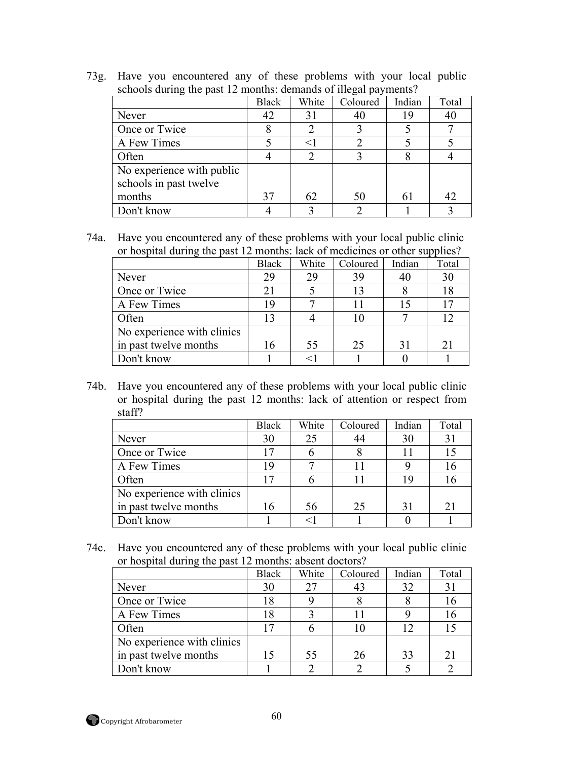73g. Have you encountered any of these problems with your local public schools during the past 12 months: demands of illegal payments?

|                           | <b>Black</b> | White                       | Coloured | Indian | Total |
|---------------------------|--------------|-----------------------------|----------|--------|-------|
| Never                     | 42           | 31                          | 40       | 19     | 40    |
| Once or Twice             |              | $\mathcal{D}_{\mathcal{L}}$ |          |        |       |
| A Few Times               |              | $\leq$                      |          |        |       |
| Often                     |              | $\mathcal{D}_{\mathcal{A}}$ |          |        |       |
| No experience with public |              |                             |          |        |       |
| schools in past twelve    |              |                             |          |        |       |
| months                    | 37           | 62                          | 50       | 6      | 42    |
| Don't know                |              |                             |          |        |       |

74a. Have you encountered any of these problems with your local public clinic or hospital during the past 12 months: lack of medicines or other supplies?

|                            | <b>Black</b> | White | Coloured | Indian | Total |
|----------------------------|--------------|-------|----------|--------|-------|
| Never                      | 29           | 29    | 39       |        | 30    |
| Once or Twice              | 21           |       | 13       |        | 18    |
| A Few Times                | 19           |       |          |        | 17    |
| Often                      | 13           |       | 10       |        | 12    |
| No experience with clinics |              |       |          |        |       |
| in past twelve months      | 16           | 55    | 25       | 31     | 21    |
| Don't know                 |              |       |          |        |       |

74b. Have you encountered any of these problems with your local public clinic or hospital during the past 12 months: lack of attention or respect from staff?

|                            | <b>Black</b> | White | Coloured | Indian | Total |
|----------------------------|--------------|-------|----------|--------|-------|
| Never                      | 30           | 25    | 44       | 30     | 31    |
| Once or Twice              | 17           |       |          |        | 15    |
| A Few Times                | 19           |       |          |        | 16    |
| Often                      | 17           |       |          | 19     | 16    |
| No experience with clinics |              |       |          |        |       |
| in past twelve months      | 16           | 56    | 25       | 31     | 21    |
| Don't know                 |              |       |          |        |       |

74c. Have you encountered any of these problems with your local public clinic or hospital during the past 12 months: absent doctors?

|                            | <b>Black</b>    | White | Coloured | Indian | Total |
|----------------------------|-----------------|-------|----------|--------|-------|
| Never                      | 30              | 27    | 43       | 32     | 31    |
| Once or Twice              | 18              |       |          |        | 16    |
| A Few Times                | l 8             |       |          |        | 16    |
| Often                      | $\overline{17}$ |       | 10       | 12     |       |
| No experience with clinics |                 |       |          |        |       |
| in past twelve months      | 15              | 55    | 26       | 33     | 21    |
| Don't know                 |                 |       |          |        |       |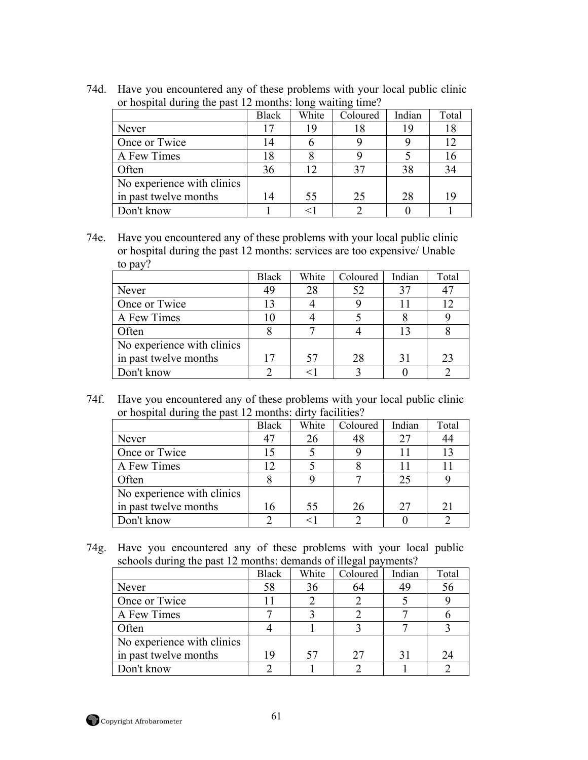|                            | <b>Black</b> | White | Coloured | Indian | Total |
|----------------------------|--------------|-------|----------|--------|-------|
| Never                      | 17           | 19    | 18       | 19     | 18    |
| Once or Twice              | 14           | b     |          |        | 12    |
| A Few Times                | 18           |       |          |        | 16    |
| Often                      | 36           | 12    | 37       | 38     | 34    |
| No experience with clinics |              |       |          |        |       |
| in past twelve months      | 14           | 55    | 25       | 28     | 19    |
| Don't know                 |              | $<$ 1 |          |        |       |

74d. Have you encountered any of these problems with your local public clinic or hospital during the past 12 months: long waiting time?

74e. Have you encountered any of these problems with your local public clinic or hospital during the past 12 months: services are too expensive/ Unable to pay?

|                            | <b>Black</b> | White | Coloured | Indian | Total |
|----------------------------|--------------|-------|----------|--------|-------|
| Never                      | 49           | 28    | 52       |        | 47    |
| Once or Twice              | 13           |       |          |        | 12    |
| A Few Times                |              |       |          |        |       |
| Often                      |              |       |          |        |       |
| No experience with clinics |              |       |          |        |       |
| in past twelve months      | 17           | 57    | 28       |        | 23    |
| Don't know                 |              |       |          |        |       |

74f. Have you encountered any of these problems with your local public clinic or hospital during the past 12 months: dirty facilities?

|                            | <b>Black</b> | White | Coloured | Indian | Total |
|----------------------------|--------------|-------|----------|--------|-------|
| Never                      |              |       | 48       | 27     | 44    |
| Once or Twice              | 15           |       |          |        | 13    |
| A Few Times                | 12           |       |          |        |       |
| Often                      |              |       |          | 25     |       |
| No experience with clinics |              |       |          |        |       |
| in past twelve months      | 16           | 55    | 26       | 27     | 21    |
| Don't know                 |              |       |          |        |       |

74g. Have you encountered any of these problems with your local public schools during the past 12 months: demands of illegal payments?

|                            | <b>Black</b> | White | Coloured | Indian | Total |
|----------------------------|--------------|-------|----------|--------|-------|
| Never                      | 58           | 36    | 64       | 49     | 56    |
| Once or Twice              | ΙI           |       |          |        |       |
| A Few Times                |              |       |          |        |       |
| Often                      |              |       |          |        |       |
| No experience with clinics |              |       |          |        |       |
| in past twelve months      | 19           | 57    | 27       |        | 24    |
| Don't know                 |              |       |          |        |       |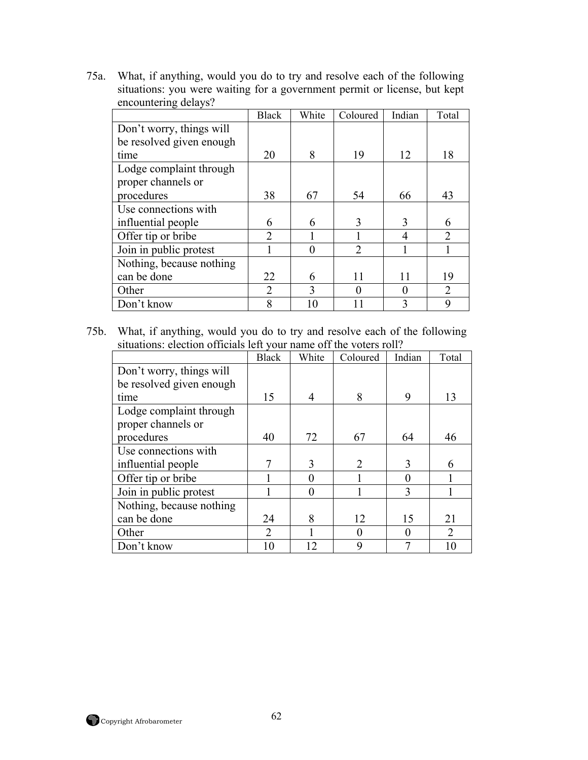75a. What, if anything, would you do to try and resolve each of the following situations: you were waiting for a government permit or license, but kept encountering delays?

|                          | <b>Black</b>   | White | Coloured          | Indian | Total          |
|--------------------------|----------------|-------|-------------------|--------|----------------|
| Don't worry, things will |                |       |                   |        |                |
| be resolved given enough |                |       |                   |        |                |
| time                     | 20             | 8     | 19                | 12     | 18             |
| Lodge complaint through  |                |       |                   |        |                |
| proper channels or       |                |       |                   |        |                |
| procedures               | 38             | 67    | 54                | 66     | 43             |
| Use connections with     |                |       |                   |        |                |
| influential people       | 6              | 6     | 3                 | 3      | 6              |
| Offer tip or bribe       | $\overline{2}$ |       |                   | 4      | $\overline{2}$ |
| Join in public protest   |                |       | $\overline{2}$    |        |                |
| Nothing, because nothing |                |       |                   |        |                |
| can be done              | 22             | 6     | 11                | 11     | 19             |
| Other                    | $\overline{2}$ | 3     | $\mathbf{\Omega}$ |        | $\overline{2}$ |
| Don't know               | 8              |       |                   | 3      | 9              |

75b. What, if anything, would you do to try and resolve each of the following situations: election officials left your name off the voters roll?

|                          | <b>Black</b> | White                    | Coloured       | Indian   | Total          |
|--------------------------|--------------|--------------------------|----------------|----------|----------------|
| Don't worry, things will |              |                          |                |          |                |
| be resolved given enough |              |                          |                |          |                |
| time                     | 15           | $\overline{\mathcal{A}}$ | 8              | 9        | 13             |
| Lodge complaint through  |              |                          |                |          |                |
| proper channels or       |              |                          |                |          |                |
| procedures               | 40           | 72                       | 67             | 64       | 46             |
| Use connections with     |              |                          |                |          |                |
| influential people       | 7            | 3                        | $\overline{2}$ | 3        | 6              |
| Offer tip or bribe       |              | 0                        |                | 0        |                |
| Join in public protest   |              | $\theta$                 |                | 3        |                |
| Nothing, because nothing |              |                          |                |          |                |
| can be done              | 24           | 8                        | 12             | 15       | 21             |
| Other                    | 2            |                          | $\theta$       | $\theta$ | $\overline{2}$ |
| Don't know               | 10           | 12                       | 9              |          |                |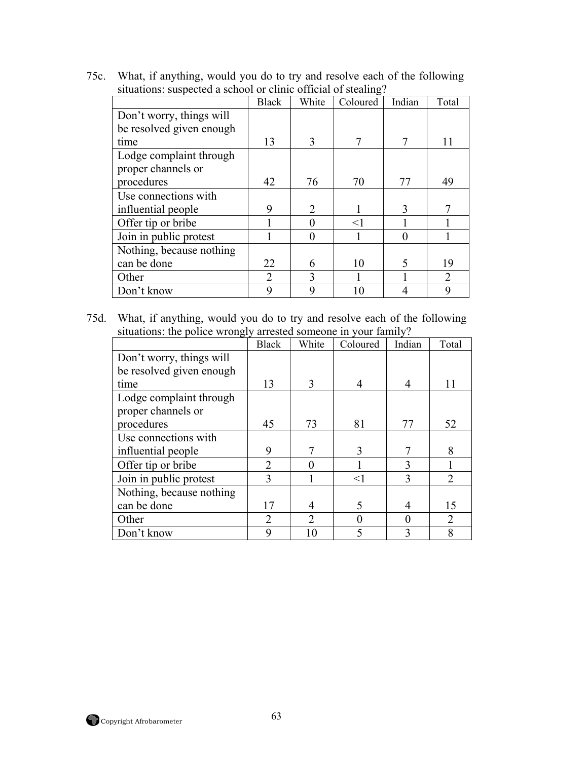|                                                                |  | 75c. What, if anything, would you do to try and resolve each of the following |
|----------------------------------------------------------------|--|-------------------------------------------------------------------------------|
| situations: suspected a school or clinic official of stealing? |  |                                                                               |

|                          | <b>Black</b>   | White         | Coloured | Indian | Total          |
|--------------------------|----------------|---------------|----------|--------|----------------|
| Don't worry, things will |                |               |          |        |                |
| be resolved given enough |                |               |          |        |                |
| time                     | 13             | $\mathcal{E}$ | 7        | 7      | 11             |
| Lodge complaint through  |                |               |          |        |                |
| proper channels or       |                |               |          |        |                |
| procedures               | 42             | 76            | 70       | 77     | 49             |
| Use connections with     |                |               |          |        |                |
| influential people       | 9              | 2             |          | 3      |                |
| Offer tip or bribe       |                |               | $<$ 1    |        |                |
| Join in public protest   |                |               |          |        |                |
| Nothing, because nothing |                |               |          |        |                |
| can be done              | 22             | 6             | 10       | 5      | 19             |
| Other                    | $\overline{2}$ | 3             |          |        | $\mathfrak{D}$ |
| Don't know               | 9              | 9             |          |        | 9              |

75d. What, if anything, would you do to try and resolve each of the following situations: the police wrongly arrested someone in your family?

|                          | <b>Black</b>   | White          | Coloured | Indian   | Total          |
|--------------------------|----------------|----------------|----------|----------|----------------|
| Don't worry, things will |                |                |          |          |                |
| be resolved given enough |                |                |          |          |                |
| time                     | 13             | 3              | 4        |          | 11             |
| Lodge complaint through  |                |                |          |          |                |
| proper channels or       |                |                |          |          |                |
| procedures               | 45             | 73             | 81       | 77       | 52             |
| Use connections with     |                |                |          |          |                |
| influential people       | 9              | 7              | 3        |          | 8              |
| Offer tip or bribe       | $\overline{2}$ | 0              |          | 3        |                |
| Join in public protest   | 3              |                | $<$ 1    | 3        | $\overline{2}$ |
| Nothing, because nothing |                |                |          |          |                |
| can be done              | 17             | 4              | 5        | 4        | 15             |
| Other                    | $\overline{2}$ | $\overline{2}$ | 0        | $\Omega$ | $\overline{2}$ |
| Don't know               | 9              | 10             |          | 3        | 8              |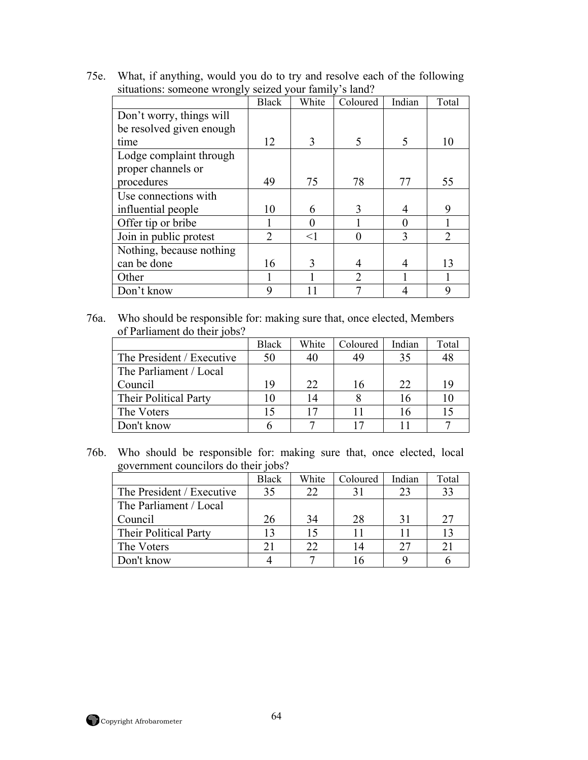75e. What, if anything, would you do to try and resolve each of the following situations: someone wrongly seized your family's land?

|                          | <b>Black</b>   | White    | Coloured       | Indian   | Total          |
|--------------------------|----------------|----------|----------------|----------|----------------|
| Don't worry, things will |                |          |                |          |                |
| be resolved given enough |                |          |                |          |                |
| time                     | 12             | 3        | 5              | 5        | 10             |
| Lodge complaint through  |                |          |                |          |                |
| proper channels or       |                |          |                |          |                |
| procedures               | 49             | 75       | 78             | 77       | 55             |
| Use connections with     |                |          |                |          |                |
| influential people       | 10             | 6        | 3              | 4        | 9              |
| Offer tip or bribe       |                |          |                | $\Omega$ |                |
| Join in public protest   | $\overline{2}$ | $\leq$ 1 | $\Omega$       | 3        | $\mathfrak{D}$ |
| Nothing, because nothing |                |          |                |          |                |
| can be done              | 16             | 3        | 4              | 4        | 13             |
| Other                    |                |          | $\overline{2}$ |          |                |
| Don't know               | 9              |          |                |          | 9              |

76a. Who should be responsible for: making sure that, once elected, Members of Parliament do their jobs?

|                           | <b>Black</b> | White | Coloured | Indian | Total |
|---------------------------|--------------|-------|----------|--------|-------|
| The President / Executive | 50           |       | 49       | 35     | 48    |
| The Parliament / Local    |              |       |          |        |       |
| Council                   | 19           | 22    | 16       | 22     | 19    |
| Their Political Party     |              |       |          | 16     |       |
| The Voters                | 15           |       |          |        |       |
| Don't know                |              |       |          |        |       |

76b. Who should be responsible for: making sure that, once elected, local government councilors do their jobs?

|                           | <b>Black</b>   | White | Coloured | Indian | Total |
|---------------------------|----------------|-------|----------|--------|-------|
| The President / Executive | 35             |       | 31       | 23     | 33    |
| The Parliament / Local    |                |       |          |        |       |
| Council                   | 26             | 34    | 28       | 31     | 27    |
| Their Political Party     | $\overline{1}$ |       |          |        | 13    |
| The Voters                | 21             |       | 14       | 27     | 21    |
| Don't know                |                |       |          |        |       |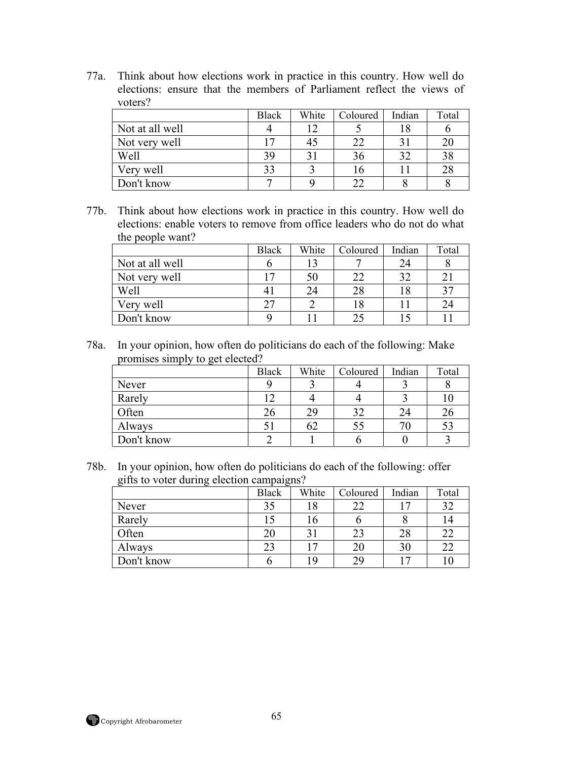77a. Think about how elections work in practice in this country. How well do elections: ensure that the members of Parliament reflect the views of voters?

|                 | <b>Black</b> | White | Coloured | Indian | Total |
|-----------------|--------------|-------|----------|--------|-------|
| Not at all well |              |       |          |        |       |
| Not very well   |              |       | 22       |        | 20    |
| Well            | 39           |       | 36       | 32     | 38    |
| Very well       | 33           |       |          |        | 28    |
| Don't know      | −            |       | າາ       |        |       |

77b. Think about how elections work in practice in this country. How well do elections: enable voters to remove from office leaders who do not do what the people want?

|                 | <b>Black</b> | White | Coloured | Indian | Total |
|-----------------|--------------|-------|----------|--------|-------|
| Not at all well |              |       |          | 24     |       |
| Not very well   |              |       | 22       |        |       |
| Well            |              |       | 28       | 18     | 37    |
| Very well       | 27           |       |          |        | 24    |
| Don't know      |              |       |          |        |       |

78a. In your opinion, how often do politicians do each of the following: Make promises simply to get elected?

| __         | <b>Black</b> | White | Coloured | Indian | Total |
|------------|--------------|-------|----------|--------|-------|
| Never      |              |       |          |        |       |
| Rarely     |              |       |          |        |       |
| Often      | 26           | 29    | 32       | 24     | 26    |
| Always     |              |       | 55       | 7()    | 53    |
| Don't know |              |       |          |        |       |

78b. In your opinion, how often do politicians do each of the following: offer gifts to voter during election campaigns?

| ~          | $\tilde{\phantom{a}}$ |                           |          |                |       |
|------------|-----------------------|---------------------------|----------|----------------|-------|
|            | <b>Black</b>          | White                     | Coloured | Indian         | Total |
| Never      | 35                    |                           | 22       |                | 32    |
| Rarely     | 15                    |                           |          |                | 14    |
| Often      | 20                    | $\mathbf{C}^{\mathbf{C}}$ | 23       | 28             | 22    |
| Always     | 23                    | $\tau$                    | 20       | 30             | 22    |
| Don't know |                       | 1 Q                       | 29       | $\overline{ }$ |       |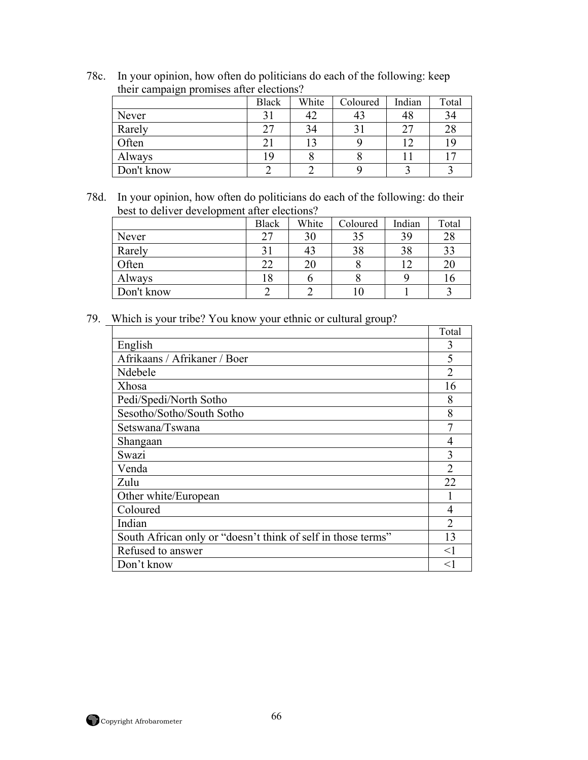| then campaign promises and creditons! |              |       |          |        |       |  |  |
|---------------------------------------|--------------|-------|----------|--------|-------|--|--|
|                                       | <b>Black</b> | White | Coloured | Indian | Total |  |  |
| Never                                 | 31           | 42    | 43       | 48     | 34    |  |  |
| Rarely                                | 27           | 34    | 31       | 27     | 28    |  |  |
| Often                                 | 21           |       |          | 12     | 19    |  |  |
| Always                                | 19           |       |          |        |       |  |  |
| Don't know                            |              |       |          |        |       |  |  |

78c. In your opinion, how often do politicians do each of the following: keep their campaign promises after elections?

78d. In your opinion, how often do politicians do each of the following: do their best to deliver development after elections?

|            | <b>Black</b> | White | Coloured | Indian | Total |
|------------|--------------|-------|----------|--------|-------|
| Never      | 27           | 30    | 35       | 39     | 28    |
| Rarely     |              | 43    | 38       | 38     | 33    |
| Often      | 22           | 20    | Õ        | 12     | 20    |
| Always     | 18           |       | Ο        |        | 10    |
| Don't know |              |       |          |        |       |

79. Which is your tribe? You know your ethnic or cultural group?

|                                                              | Total  |
|--------------------------------------------------------------|--------|
| English                                                      | 3      |
| Afrikaans / Afrikaner / Boer                                 | 5      |
| Ndebele                                                      |        |
| Xhosa                                                        | 16     |
| Pedi/Spedi/North Sotho                                       | 8      |
| Sesotho/Sotho/South Sotho                                    | 8      |
| Setswana/Tswana                                              | 7      |
| Shangaan                                                     |        |
| Swazi                                                        | 3      |
| Venda                                                        | C      |
| Zulu                                                         | 22     |
| Other white/European                                         |        |
| Coloured                                                     | 4      |
| Indian                                                       | っ      |
| South African only or "doesn't think of self in those terms" | 13     |
| Refused to answer                                            | $<$ 1  |
| Don't know                                                   | $\leq$ |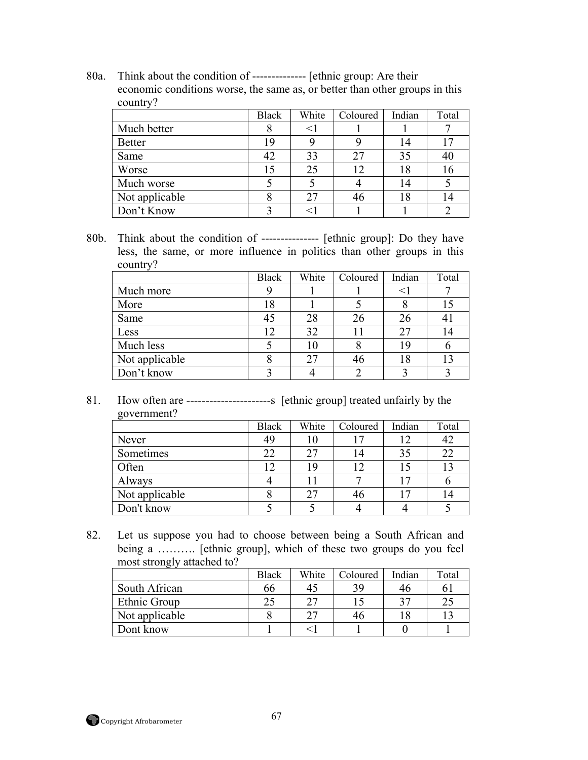80a. Think about the condition of -------------- [ethnic group: Are their economic conditions worse, the same as, or better than other groups in this country?

|                | <b>Black</b> | White | Coloured | Indian | Total |
|----------------|--------------|-------|----------|--------|-------|
| Much better    |              |       |          |        |       |
| <b>Better</b>  | 19           |       |          | 14     |       |
| Same           | 42           | 33    | 27       | 35     | 40    |
| Worse          | 15           | 25    | 12       | 18     | 16    |
| Much worse     |              |       |          | 14     |       |
| Not applicable |              |       |          | 18     |       |
| Don't Know     |              |       |          |        |       |

80b. Think about the condition of --------------- [ethnic group]: Do they have less, the same, or more influence in politics than other groups in this country?

|                | <b>Black</b> | White | Coloured | Indian | Total |
|----------------|--------------|-------|----------|--------|-------|
| Much more      |              |       |          |        |       |
| More           | 18           |       |          |        |       |
| Same           | 45           | 28    | 26       |        | 41    |
| Less           | 12           | 32    |          | 27     | 14    |
| Much less      |              |       | δ        | 19     |       |
| Not applicable |              | 27    | 46       | 18     | 13    |
| Don't know     |              |       |          |        |       |

81. How often are ----------------------s [ethnic group] treated unfairly by the government?

| $\sim$         | <b>Black</b> | White | Coloured | Indian | Total |
|----------------|--------------|-------|----------|--------|-------|
| Never          | 49           |       |          | 12     | 42    |
| Sometimes      | 22           |       | 14       |        | 22    |
| Often          | 12           | 19    | 12       |        | 13    |
| Always         |              |       |          | ר ו    |       |
| Not applicable |              | 27    | 46       | 7      | 14    |
| Don't know     |              |       |          |        |       |

82. Let us suppose you had to choose between being a South African and being a .......... [ethnic group], which of these two groups do you feel most strongly attached to?

|                | <b>Black</b> | White | Coloured | Indian | Total |
|----------------|--------------|-------|----------|--------|-------|
| South African  | 66           |       | 39       | 40     |       |
| Ethnic Group   | 25           |       |          |        |       |
| Not applicable |              |       | 46       |        |       |
| Dont know      |              |       |          |        |       |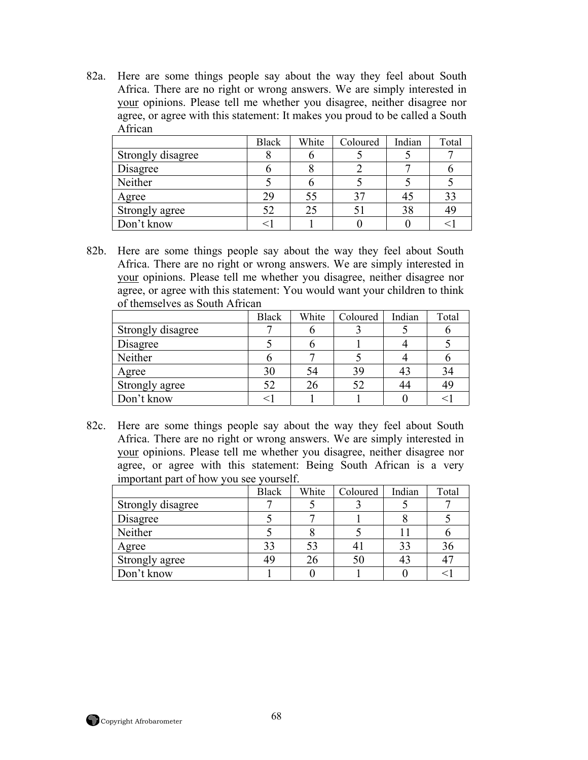82a. Here are some things people say about the way they feel about South Africa. There are no right or wrong answers. We are simply interested in your opinions. Please tell me whether you disagree, neither disagree nor agree, or agree with this statement: It makes you proud to be called a South African

|                   | <b>Black</b> | White | Coloured | Indian | Total |
|-------------------|--------------|-------|----------|--------|-------|
| Strongly disagree |              |       |          |        |       |
| Disagree          |              |       |          |        |       |
| Neither           |              |       |          |        |       |
| Agree             | 29           | 55    | 37       |        | 33    |
| Strongly agree    | 52           | 25    |          | 38     | 49    |
| Don't know        |              |       |          |        |       |

82b. Here are some things people say about the way they feel about South Africa. There are no right or wrong answers. We are simply interested in your opinions. Please tell me whether you disagree, neither disagree nor agree, or agree with this statement: You would want your children to think of themselves as South African

|                   | <b>Black</b> | White | Coloured | Indian | Total |
|-------------------|--------------|-------|----------|--------|-------|
| Strongly disagree |              |       |          |        |       |
| Disagree          |              |       |          |        |       |
| Neither           |              |       |          |        |       |
| Agree             | 30           |       | 39       |        | 34    |
| Strongly agree    | 52           |       | 52       |        | 49    |
| Don't know        |              |       |          |        |       |

82c. Here are some things people say about the way they feel about South Africa. There are no right or wrong answers. We are simply interested in your opinions. Please tell me whether you disagree, neither disagree nor agree, or agree with this statement: Being South African is a very important part of how you see yourself.

|                   | <b>Black</b> | White | Coloured | Indian | Total |
|-------------------|--------------|-------|----------|--------|-------|
| Strongly disagree |              |       |          |        |       |
| Disagree          |              |       |          |        |       |
| Neither           |              |       |          |        |       |
| Agree             | 33           |       |          | 33     | 36    |
| Strongly agree    | 49           |       | 50       |        |       |
| Don't know        |              |       |          |        |       |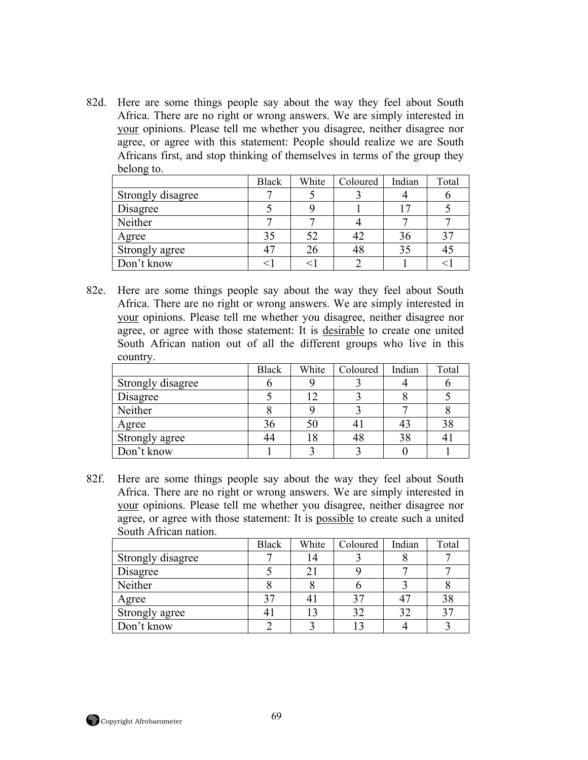82d. Here are some things people say about the way they feel about South Africa. There are no right or wrong answers. We are simply interested in your opinions. Please tell me whether you disagree, neither disagree nor agree, or agree with this statement: People should realize we are South Africans first, and stop thinking of themselves in terms of the group they belong to.

|                   | <b>Black</b> | White | Coloured | Indian | Total |
|-------------------|--------------|-------|----------|--------|-------|
| Strongly disagree |              |       |          |        |       |
| Disagree          |              |       |          |        |       |
| Neither           |              |       |          |        |       |
| Agree             | 35           |       |          | 36     | 27    |
| Strongly agree    |              |       | 48       | 35     | 4:    |
| Don't know        |              |       |          |        |       |

82e. Here are some things people say about the way they feel about South Africa. There are no right or wrong answers. We are simply interested in your opinions. Please tell me whether you disagree, neither disagree nor agree, or agree with those statement: It is desirable to create one united South African nation out of all the different groups who live in this country.

|                   | <b>Black</b> | White | Coloured       | Indian | Total |
|-------------------|--------------|-------|----------------|--------|-------|
| Strongly disagree |              |       |                |        |       |
| Disagree          |              |       |                |        |       |
| Neither           |              |       |                |        |       |
| Agree             | 36           |       | 4 <sub>1</sub> |        | 38    |
| Strongly agree    |              |       | 48             | 38     |       |
| Don't know        |              |       |                |        |       |

82f. Here are some things people say about the way they feel about South Africa. There are no right or wrong answers. We are simply interested in your opinions. Please tell me whether you disagree, neither disagree nor agree, or agree with those statement: It is possible to create such a united South African nation.

|                   | <b>Black</b> | White | Coloured | Indian | Total          |
|-------------------|--------------|-------|----------|--------|----------------|
| Strongly disagree |              |       |          |        |                |
| Disagree          |              |       |          |        |                |
| Neither           |              |       |          |        |                |
| Agree             | 37           |       | 37       |        | 38             |
| Strongly agree    |              |       | 32       |        | 3 <sup>′</sup> |
| Don't know        |              |       |          |        |                |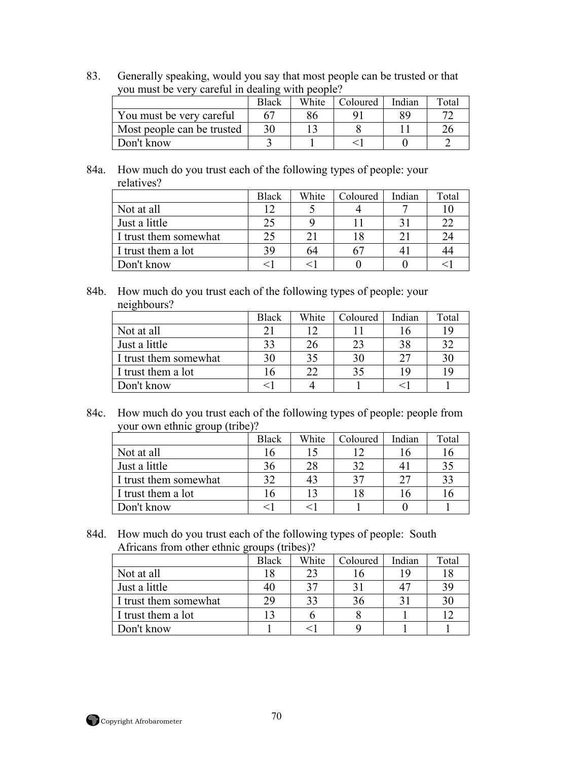83. Generally speaking, would you say that most people can be trusted or that you must be very careful in dealing with people?

|                            | <b>Black</b> | White | Coloured | Indian | Total |
|----------------------------|--------------|-------|----------|--------|-------|
| You must be very careful   |              |       |          |        |       |
| Most people can be trusted |              |       |          |        |       |
| Don't know                 |              |       |          |        |       |

84a. How much do you trust each of the following types of people: your relatives?

|                       | <b>Black</b> | White | Coloured | Indian | Total |
|-----------------------|--------------|-------|----------|--------|-------|
| Not at all            |              |       |          |        |       |
| Just a little         | 25           |       |          |        | 22    |
| I trust them somewhat | 25           |       |          |        | 24    |
| I trust them a lot    | 39           | n4    |          |        | 44    |
| Don't know            |              |       |          |        |       |

84b. How much do you trust each of the following types of people: your neighbours?

|                       | Black | White | Coloured | Indian         | Total |
|-----------------------|-------|-------|----------|----------------|-------|
| Not at all            | 21    |       |          | $\mathfrak{g}$ | 19    |
| Just a little         | 33    |       | 23       |                | 32    |
| I trust them somewhat | 30    | 35    | 30       |                | 30    |
| I trust them a lot    |       |       | 35       |                | 19    |
| Don't know            |       |       |          |                |       |

84c. How much do you trust each of the following types of people: people from your own ethnic group (tribe)?

|                       | Black | White | Coloured | Indian | Total |
|-----------------------|-------|-------|----------|--------|-------|
| Not at all            |       |       |          |        |       |
| Just a little         | 36    |       | 32       |        | 35    |
| I trust them somewhat | 32    |       | 37       |        | 33    |
| I trust them a lot    |       |       |          |        |       |
| Don't know            |       |       |          |        |       |

84d. How much do you trust each of the following types of people: South Africans from other ethnic groups (tribes)?

|                       | Black | White | Coloured | Indian | Total |
|-----------------------|-------|-------|----------|--------|-------|
| Not at all            |       |       |          | ıο     |       |
| Just a little         | 40    |       |          |        | 39    |
| I trust them somewhat | 29    |       | 36       |        | 30    |
| I trust them a lot    |       |       |          |        |       |
| Don't know            |       |       |          |        |       |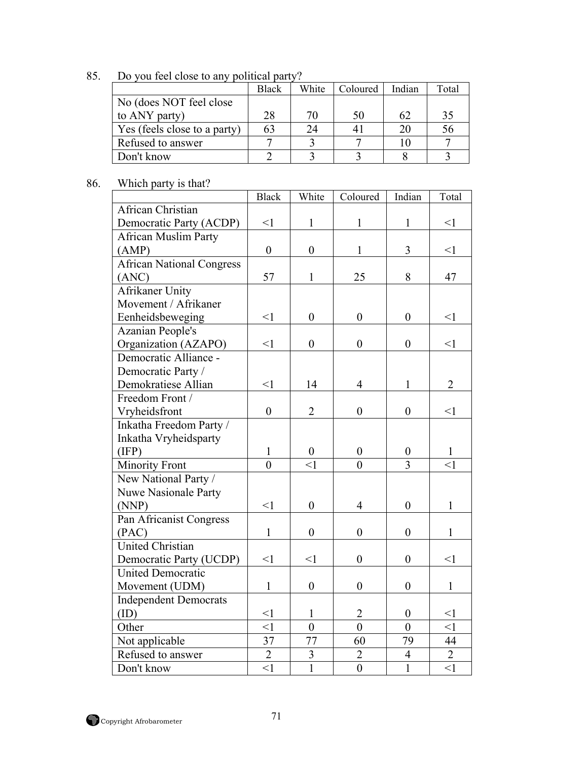85. Do you feel close to any political party?

|                              | Black | White | Coloured | Indian | Total |
|------------------------------|-------|-------|----------|--------|-------|
| No (does NOT feel close)     |       |       |          |        |       |
| to ANY party)                | 28    | 70    | 50       | 62     | 35    |
| Yes (feels close to a party) | 63    |       |          | 20     | 56    |
| Refused to answer            |       |       |          |        |       |
| Don't know                   |       |       |          |        |       |

## 86. Which party is that?

|                                  | <b>Black</b>     | White            | Coloured         | Indian           | Total          |
|----------------------------------|------------------|------------------|------------------|------------------|----------------|
| African Christian                |                  |                  |                  |                  |                |
| Democratic Party (ACDP)          | $\leq$ 1         | $\mathbf{1}$     | $\mathbf{1}$     | $\mathbf{1}$     | $\leq$ 1       |
| <b>African Muslim Party</b>      |                  |                  |                  |                  |                |
| (AMP)                            | $\boldsymbol{0}$ | $\boldsymbol{0}$ | $\mathbf{1}$     | 3                | $\leq$ 1       |
| <b>African National Congress</b> |                  |                  |                  |                  |                |
| (ANC)                            | 57               | $\mathbf{1}$     | 25               | 8                | 47             |
| Afrikaner Unity                  |                  |                  |                  |                  |                |
| Movement / Afrikaner             |                  |                  |                  |                  |                |
| Eenheidsbeweging                 | $<$ 1            | $\boldsymbol{0}$ | $\boldsymbol{0}$ | $\overline{0}$   | $\leq$ 1       |
| <b>Azanian People's</b>          |                  |                  |                  |                  |                |
| Organization (AZAPO)             | $\leq$ 1         | $\boldsymbol{0}$ | $\boldsymbol{0}$ | $\overline{0}$   | $\leq$ 1       |
| Democratic Alliance -            |                  |                  |                  |                  |                |
| Democratic Party /               |                  |                  |                  |                  |                |
| Demokratiese Allian              | $\leq$ 1         | 14               | $\overline{4}$   | $\mathbf{1}$     | $\overline{2}$ |
| Freedom Front /                  |                  |                  |                  |                  |                |
| Vryheidsfront                    | $\boldsymbol{0}$ | $\overline{2}$   | $\boldsymbol{0}$ | $\overline{0}$   | $\leq$ 1       |
| Inkatha Freedom Party /          |                  |                  |                  |                  |                |
| Inkatha Vryheidsparty            |                  |                  |                  |                  |                |
| (IFP)                            | $\mathbf{1}$     | $\boldsymbol{0}$ | $\boldsymbol{0}$ | $\boldsymbol{0}$ | $\mathbf{1}$   |
| <b>Minority Front</b>            | $\overline{0}$   | $\leq$ 1         | $\theta$         | $\overline{3}$   | $\leq$ 1       |
| New National Party /             |                  |                  |                  |                  |                |
| <b>Nuwe Nasionale Party</b>      |                  |                  |                  |                  |                |
| (NNP)                            | <1               | $\boldsymbol{0}$ | $\overline{4}$   | $\boldsymbol{0}$ | $\mathbf{1}$   |
| Pan Africanist Congress          |                  |                  |                  |                  |                |
| (PAC)                            | $\mathbf{1}$     | $\boldsymbol{0}$ | $\boldsymbol{0}$ | $\boldsymbol{0}$ | $\mathbf{1}$   |
| <b>United Christian</b>          |                  |                  |                  |                  |                |
| Democratic Party (UCDP)          | $<$ 1            | <1               | $\overline{0}$   | $\overline{0}$   | $\leq$ 1       |
| <b>United Democratic</b>         |                  |                  |                  |                  |                |
| Movement (UDM)                   | $\mathbf 1$      | $\boldsymbol{0}$ | $\boldsymbol{0}$ | $\boldsymbol{0}$ | $\mathbf{1}$   |
| <b>Independent Democrats</b>     |                  |                  |                  |                  |                |
| (ID)                             | $\leq$ 1         | $\mathbf{1}$     | $\overline{2}$   | $\boldsymbol{0}$ | $\leq$ 1       |
| Other                            | $\leq$ 1         | $\overline{0}$   | $\overline{0}$   | $\overline{0}$   | $\leq$ 1       |
| Not applicable                   | 37               | 77               | 60               | 79               | 44             |
| Refused to answer                | $\overline{2}$   | $\mathfrak{Z}$   | $\overline{2}$   | $\overline{4}$   | $\overline{2}$ |
| Don't know                       | $\leq$ 1         | $\overline{1}$   | $\overline{0}$   | $\overline{1}$   | $\leq$ 1       |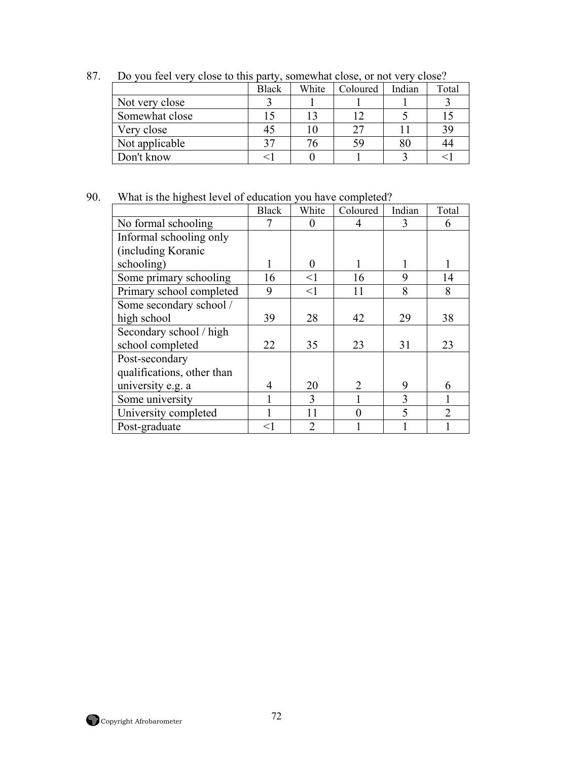|                | <b>Black</b> | White | Coloured | Indian | Total |
|----------------|--------------|-------|----------|--------|-------|
| Not very close |              |       |          |        |       |
| Somewhat close |              |       |          |        |       |
| Very close     |              |       | 27       |        | 39    |
| Not applicable | 27           |       | 59       |        | 44    |
| Don't know     |              |       |          |        |       |

87. Do you feel very close to this party, somewhat close, or not very close?

## 90. What is the highest level of education you have completed?

|                            | <b>Black</b> | White         | Coloured | Indian | Total                       |
|----------------------------|--------------|---------------|----------|--------|-----------------------------|
| No formal schooling        | 7            |               | 4        | 3      | 6                           |
| Informal schooling only    |              |               |          |        |                             |
| (including Koranic         |              |               |          |        |                             |
| schooling)                 |              | $\Omega$      |          |        |                             |
| Some primary schooling     | 16           | $\leq$ 1      | 16       | 9      | 14                          |
| Primary school completed   | 9            | $\leq$ 1      | 11       | 8      | 8                           |
| Some secondary school /    |              |               |          |        |                             |
| high school                | 39           | 28            | 42       | 29     | 38                          |
| Secondary school / high    |              |               |          |        |                             |
| school completed           | 22           | 35            | 23       | 31     | 23                          |
| Post-secondary             |              |               |          |        |                             |
| qualifications, other than |              |               |          |        |                             |
| university e.g. a          | 4            | 20            | 2        | 9      | 6                           |
| Some university            |              | 3             |          | 3      |                             |
| University completed       |              | 11            | $\Omega$ | 5      | $\mathcal{D}_{\mathcal{A}}$ |
| Post-graduate              | $<$ 1        | $\mathcal{D}$ |          |        |                             |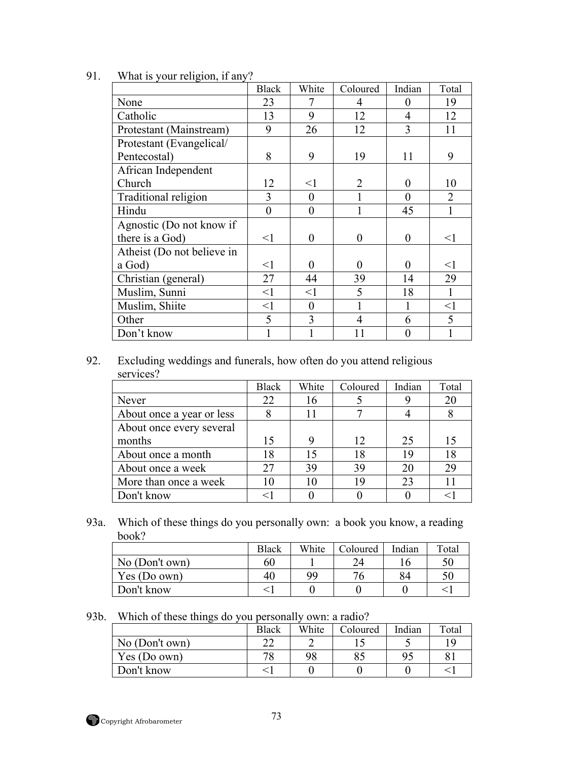|                            | <b>Black</b>   | White            | Coloured       | Indian         | Total            |
|----------------------------|----------------|------------------|----------------|----------------|------------------|
| None                       | 23             | 7                | 4              | $\Omega$       | 19               |
| Catholic                   | 13             | 9                | 12             | 4              | 12               |
| Protestant (Mainstream)    | 9              | 26               | 12             | 3              | 11               |
| Protestant (Evangelical/   |                |                  |                |                |                  |
| Pentecostal)               | 8              | 9                | 19             | 11             | 9                |
| African Independent        |                |                  |                |                |                  |
| Church                     | 12             | $<$ 1            | $\overline{2}$ | 0              | 10               |
| Traditional religion       | 3              | $\overline{0}$   |                | $\overline{0}$ | $\sum_{i=1}^{n}$ |
| Hindu                      | $\overline{0}$ | $\boldsymbol{0}$ |                | 45             |                  |
| Agnostic (Do not know if   |                |                  |                |                |                  |
| there is a God)            | $<$ 1          | $\theta$         | $\overline{0}$ | 0              | $\leq$ 1         |
| Atheist (Do not believe in |                |                  |                |                |                  |
| a God)                     | $<$ 1          | 0                | $\theta$       | 0              | $<$ 1            |
| Christian (general)        | 27             | 44               | 39             | 14             | 29               |
| Muslim, Sunni              | $<$ 1          | $<$ 1            | 5              | 18             | 1                |
| Muslim, Shiite             | $<$ 1          | $\theta$         |                |                | $<$ l            |
| Other                      | 5              | 3                | 4              | 6              | 5                |
| Don't know                 |                |                  | 11             |                |                  |

91. What is your religion, if any?

92. Excluding weddings and funerals, how often do you attend religious services?

|                           | <b>Black</b> | White | Coloured | Indian | Total |
|---------------------------|--------------|-------|----------|--------|-------|
| Never                     | 22           | 16    |          |        | 20    |
| About once a year or less |              |       |          |        |       |
| About once every several  |              |       |          |        |       |
| months                    | 15           | 9     | 12       | 25     | 15    |
| About once a month        | 18           | 15    | 18       | 19     | 18    |
| About once a week         | 27           | 39    | 39       | 20     | 29    |
| More than once a week     | 10           | 10    | 19       | 23     |       |
| Don't know                |              |       |          |        |       |

93a. Which of these things do you personally own: a book you know, a reading book?

|                | <b>Black</b> | White | Coloured | Indian | Total |
|----------------|--------------|-------|----------|--------|-------|
| No (Don't own) | 60           |       | 24       |        | 50    |
| Yes (Do own)   | 40           | 99    | 76       | 84     | 50    |
| Don't know     |              |       |          |        |       |

93b. Which of these things do you personally own: a radio?

|                | <b>Black</b> | White | Coloured | Indian | Total |
|----------------|--------------|-------|----------|--------|-------|
| No (Don't own) | ົ            |       |          |        | 1 C   |
| Yes (Do own)   | 70<br>C      | 98    | OJ       |        |       |
| Don't know     |              |       |          |        |       |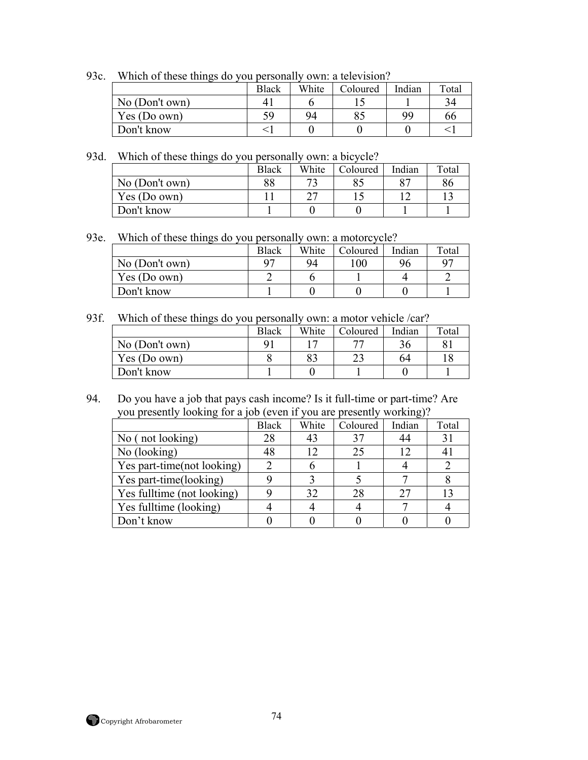93c. Which of these things do you personally own: a television?

|                | <b>Black</b> | White | Coloured | Indian | Total |
|----------------|--------------|-------|----------|--------|-------|
| No (Don't own) |              |       |          |        |       |
| Yes (Do own)   | 59           | 94    | 85       | 99     | 66    |
| Don't know     |              |       |          |        |       |

93d. Which of these things do you personally own: a bicycle?

|                | <b>Black</b> | White | Coloured | Indian | Total |
|----------------|--------------|-------|----------|--------|-------|
| No (Don't own) | 88           |       |          |        | 86    |
| Yes (Do own)   |              | ⌒冖    |          |        |       |
| Don't know     |              |       |          |        |       |

93e. Which of these things do you personally own: a motorcycle?

|                | Black          | White | Coloured | Indian | Total |
|----------------|----------------|-------|----------|--------|-------|
| No (Don't own) | Q <sub>7</sub> | 94    | 100      | 96     | 97    |
| Yes (Do own)   |                |       |          |        |       |
| Don't know     |                |       |          |        |       |

93f. Which of these things do you personally own: a motor vehicle /car?

|                | <b>Black</b> | White | Coloured | Indian | Total |
|----------------|--------------|-------|----------|--------|-------|
| No (Don't own) |              |       | 77       |        |       |
| Yes (Do own)   |              | 83    |          | 64     |       |
| Don't know     |              |       |          |        |       |

94. Do you have a job that pays cash income? Is it full-time or part-time? Are you presently looking for a job (even if you are presently working)?

|                            | <b>Black</b> | White | Coloured | Indian | Total |
|----------------------------|--------------|-------|----------|--------|-------|
| No (not looking)           | 28           | 43    | 37       |        | 31    |
| No (looking)               | 48           |       | 25       | 12     | 41    |
| Yes part-time(not looking) |              |       |          |        |       |
| Yes part-time(looking)     |              |       |          |        |       |
| Yes fulltime (not looking) |              | 32    | 28       |        | 13    |
| Yes fulltime (looking)     |              |       |          |        |       |
| Don't know                 |              |       |          |        |       |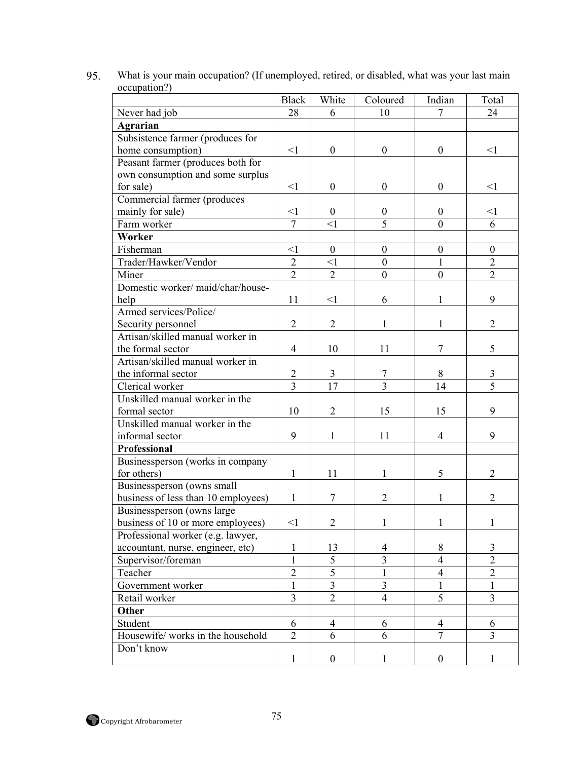|                                     | <b>Black</b>   | White            | Coloured                | Indian                  | Total            |
|-------------------------------------|----------------|------------------|-------------------------|-------------------------|------------------|
| Never had job                       | 28             | 6                | 10                      | 7                       | 24               |
| <b>Agrarian</b>                     |                |                  |                         |                         |                  |
| Subsistence farmer (produces for    |                |                  |                         |                         |                  |
| home consumption)                   | <1             | $\boldsymbol{0}$ | $\mathbf{0}$            | $\overline{0}$          | $\leq$ 1         |
| Peasant farmer (produces both for   |                |                  |                         |                         |                  |
| own consumption and some surplus    |                |                  |                         |                         |                  |
| for sale)                           | $<$ 1          | $\boldsymbol{0}$ | $\boldsymbol{0}$        | $\overline{0}$          | $\leq$ 1         |
| Commercial farmer (produces         |                |                  |                         |                         |                  |
| mainly for sale)                    | <1             | $\boldsymbol{0}$ | $\boldsymbol{0}$        | $\boldsymbol{0}$        | $\leq$ 1         |
| Farm worker                         | $\overline{7}$ | $\leq$ 1         | $\overline{5}$          | $\theta$                | 6                |
| Worker                              |                |                  |                         |                         |                  |
| Fisherman                           | <1             | $\boldsymbol{0}$ | $\boldsymbol{0}$        | $\boldsymbol{0}$        | $\boldsymbol{0}$ |
| Trader/Hawker/Vendor                | $\overline{2}$ | $\leq$ 1         | $\mathbf{0}$            | $\mathbf{1}$            | $\overline{2}$   |
| Miner                               | $\overline{2}$ | $\overline{2}$   | $\boldsymbol{0}$        | $\overline{0}$          | $\overline{2}$   |
| Domestic worker/maid/char/house-    |                |                  |                         |                         |                  |
| help                                | 11             | $\leq$ 1         | 6                       | 1                       | 9                |
| Armed services/Police/              |                |                  |                         |                         |                  |
| Security personnel                  | $\overline{2}$ | $\overline{2}$   | $\mathbf{1}$            | 1                       | $\overline{2}$   |
| Artisan/skilled manual worker in    |                |                  |                         |                         |                  |
| the formal sector                   | $\overline{4}$ | 10               | 11                      | $\overline{7}$          | 5                |
| Artisan/skilled manual worker in    |                |                  |                         |                         |                  |
| the informal sector                 | $\sqrt{2}$     | $\overline{3}$   | $\boldsymbol{7}$        | 8                       | $\mathfrak{Z}$   |
| Clerical worker                     | $\overline{3}$ | 17               | $\overline{3}$          | 14                      | $\overline{5}$   |
| Unskilled manual worker in the      |                |                  |                         |                         |                  |
| formal sector                       | 10             | $\overline{2}$   | 15                      | 15                      | 9                |
| Unskilled manual worker in the      |                |                  |                         |                         |                  |
| informal sector                     | 9              | 1                | 11                      | $\overline{4}$          | 9                |
| <b>Professional</b>                 |                |                  |                         |                         |                  |
| Businessperson (works in company    |                |                  |                         |                         |                  |
| for others)                         | 1              | 11               | 1                       | 5                       | $\overline{2}$   |
| Businessperson (owns small          |                |                  |                         |                         |                  |
| business of less than 10 employees) | 1              | 7                | $\overline{2}$          | 1                       | $\overline{2}$   |
| Businessperson (owns large          |                |                  |                         |                         |                  |
| business of 10 or more employees)   | $<$ 1          | $\overline{2}$   | $\mathbf{1}$            | $\mathbf{1}$            | 1                |
| Professional worker (e.g. lawyer,   |                |                  |                         |                         |                  |
| accountant, nurse, engineer, etc)   | 1              | 13               | 4                       | 8                       | 3                |
| Supervisor/foreman                  | 1              | $\overline{5}$   | $\overline{3}$          | $\overline{4}$          | $\overline{2}$   |
| Teacher                             | $\overline{2}$ | $\overline{5}$   | $\mathbf{1}$            | $\overline{\mathbf{4}}$ | $\overline{2}$   |
| Government worker                   | $\mathbf{1}$   | $\overline{3}$   | $\overline{\mathbf{3}}$ | $\mathbf{1}$            | $\mathbf{1}$     |
| Retail worker                       | $\overline{3}$ | $\overline{2}$   | $\overline{4}$          | $\overline{5}$          | $\overline{3}$   |
| Other                               |                |                  |                         |                         |                  |
| Student                             | 6              | $\overline{4}$   | 6                       | $\overline{4}$          | 6                |
| Housewife/works in the household    | $\overline{2}$ | 6                | 6                       | $\overline{7}$          | $\overline{3}$   |
| Don't know                          |                |                  |                         |                         |                  |
|                                     | $\mathbf{1}$   | $\boldsymbol{0}$ | $\mathbf{1}$            | $\boldsymbol{0}$        | 1                |

95. What is your main occupation? (If unemployed, retired, or disabled, what was your last main occupation?)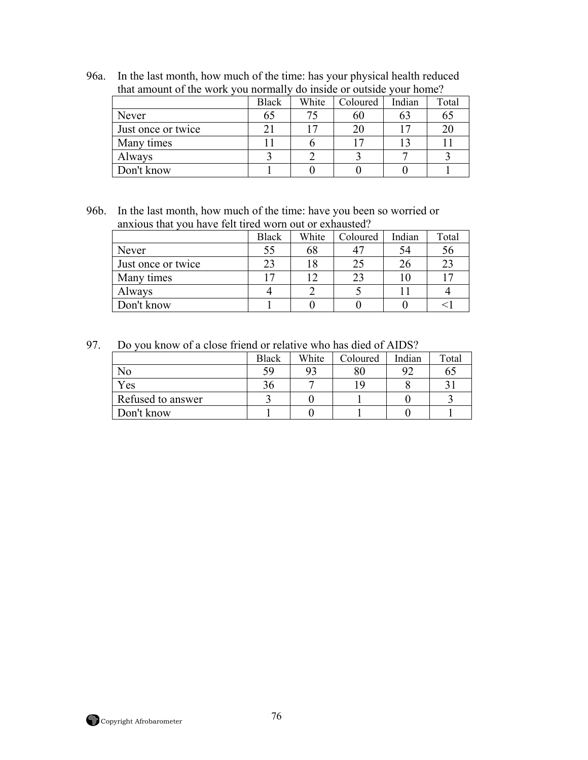96a. In the last month, how much of the time: has your physical health reduced that amount of the work you normally do inside or outside your home?

|                    | <b>Black</b> | White | Coloured       | Indian | Total |  |
|--------------------|--------------|-------|----------------|--------|-------|--|
| Never              | 65           |       | 60             |        | OЭ    |  |
| Just once or twice |              |       |                |        |       |  |
| Many times         |              |       | $\overline{ }$ |        |       |  |
| Always             |              |       |                |        |       |  |
| Don't know         |              |       |                |        |       |  |

96b. In the last month, how much of the time: have you been so worried or anxious that you have felt tired worn out or exhausted?

|                    | <b>Black</b> | White | Coloured | Indian | Total |
|--------------------|--------------|-------|----------|--------|-------|
| Never              | 55           | 68    | 47       |        | 56    |
| Just once or twice | 23           |       | 25       |        | 23    |
| Many times         |              |       | 23       |        |       |
| Always             |              |       |          |        |       |
| Don't know         |              |       |          |        |       |

97. Do you know of a close friend or relative who has died of AIDS?

|                   | <b>Black</b> | White | Coloured | Indian | Total |
|-------------------|--------------|-------|----------|--------|-------|
| No                | 59           | 93    | 80       |        | 65    |
| Yes               | 6د           |       | ١q       |        |       |
| Refused to answer |              |       |          |        |       |
| Don't know        |              |       |          |        |       |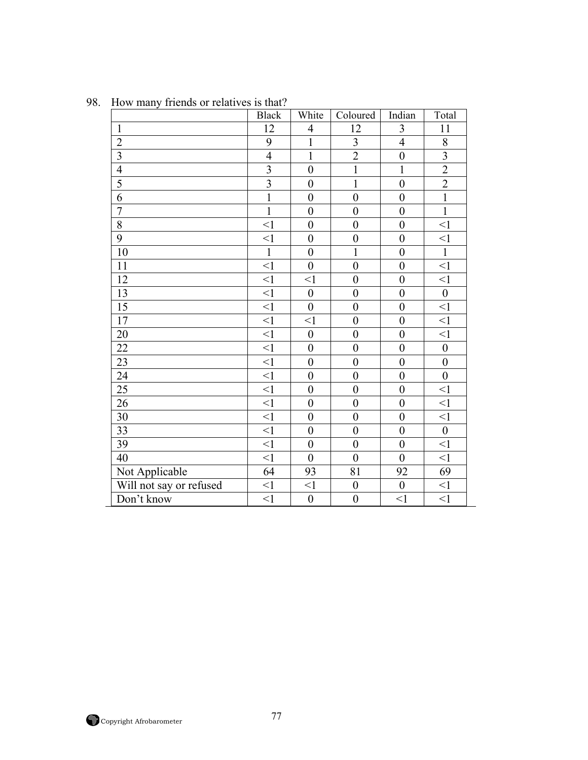| <b>ILOW LIBILY</b><br>monds of relatives is that: | <b>Black</b>   | White            | Coloured                | Indian           | Total            |
|---------------------------------------------------|----------------|------------------|-------------------------|------------------|------------------|
| $\mathbf{1}$                                      | 12             | $\overline{4}$   | 12                      | 3                | 11               |
| $\overline{2}$                                    | 9              | $\mathbf{1}$     | $\overline{\mathbf{3}}$ | $\overline{4}$   | $8\,$            |
| $\overline{\mathbf{3}}$                           | $\overline{4}$ | $\mathbf{1}$     | $\overline{2}$          | $\boldsymbol{0}$ | $\overline{3}$   |
| $\overline{4}$                                    | $\overline{3}$ | $\boldsymbol{0}$ | $\overline{1}$          | $\mathbf{1}$     | $\overline{2}$   |
| 5                                                 | $\overline{3}$ | $\boldsymbol{0}$ | $\mathbf{1}$            | $\boldsymbol{0}$ | $\overline{2}$   |
| 6                                                 | $\mathbf{1}$   | $\overline{0}$   | $\overline{0}$          | $\boldsymbol{0}$ | $\overline{1}$   |
| $\overline{7}$                                    | $\mathbf{1}$   | $\boldsymbol{0}$ | $\boldsymbol{0}$        | $\boldsymbol{0}$ | $\mathbf{1}$     |
| 8                                                 | $\leq$ 1       | $\boldsymbol{0}$ | $\boldsymbol{0}$        | $\boldsymbol{0}$ | $\leq$ 1         |
| 9                                                 | $\leq$ 1       | $\boldsymbol{0}$ | $\boldsymbol{0}$        | $\boldsymbol{0}$ | $<$ l            |
| 10                                                | $\mathbf{1}$   | $\overline{0}$   | $\mathbf{1}$            | $\overline{0}$   | $\mathbf{1}$     |
| 11                                                | $\leq$ 1       | $\boldsymbol{0}$ | $\boldsymbol{0}$        | $\boldsymbol{0}$ | $\leq$ 1         |
| 12                                                | $\leq$ 1       | $\leq$ 1         | $\boldsymbol{0}$        | $\boldsymbol{0}$ | $\leq$ 1         |
| 13                                                | $\leq$ 1       | $\mathbf{0}$     | $\boldsymbol{0}$        | $\mathbf{0}$     | $\overline{0}$   |
| 15                                                | $\leq$ 1       | $\overline{0}$   | $\boldsymbol{0}$        | $\boldsymbol{0}$ | $\leq$ 1         |
| 17                                                | $\leq$ 1       | $\leq$ 1         | $\boldsymbol{0}$        | $\boldsymbol{0}$ | $\leq$ 1         |
| 20                                                | $\leq$ 1       | $\boldsymbol{0}$ | $\boldsymbol{0}$        | $\boldsymbol{0}$ | $\leq$ 1         |
| 22                                                | <1             | $\boldsymbol{0}$ | $\boldsymbol{0}$        | $\boldsymbol{0}$ | $\boldsymbol{0}$ |
| 23                                                | $\leq$ 1       | $\overline{0}$   | $\boldsymbol{0}$        | $\boldsymbol{0}$ | $\boldsymbol{0}$ |
| 24                                                | $\leq$ 1       | $\boldsymbol{0}$ | $\boldsymbol{0}$        | $\boldsymbol{0}$ | $\boldsymbol{0}$ |
| 25                                                | $\leq$ 1       | $\boldsymbol{0}$ | $\boldsymbol{0}$        | $\boldsymbol{0}$ | $\leq$ 1         |
| 26                                                | $\leq$ 1       | $\overline{0}$   | $\boldsymbol{0}$        | $\mathbf{0}$     | $\leq$ 1         |
| 30                                                | $\leq$ 1       | $\boldsymbol{0}$ | $\mathbf{0}$            | $\overline{0}$   | $\leq$ 1         |
| 33                                                | $\leq$ 1       | $\overline{0}$   | $\boldsymbol{0}$        | $\mathbf{0}$     | $\boldsymbol{0}$ |
| 39                                                | $\leq$ 1       | $\overline{0}$   | $\mathbf{0}$            | $\mathbf{0}$     | $\leq$ 1         |
| 40                                                | <1             | $\boldsymbol{0}$ | $\boldsymbol{0}$        | $\mathbf{0}$     | $\leq$ 1         |
| Not Applicable                                    | 64             | 93               | 81                      | 92               | 69               |
| Will not say or refused                           | $\leq$ 1       | $\leq$ 1         | $\boldsymbol{0}$        | $\boldsymbol{0}$ | $<$ 1            |
| Don't know                                        | $\leq$ 1       | $\boldsymbol{0}$ | $\boldsymbol{0}$        | $<$ 1            | $<$ 1            |

98. How many friends or relatives is that?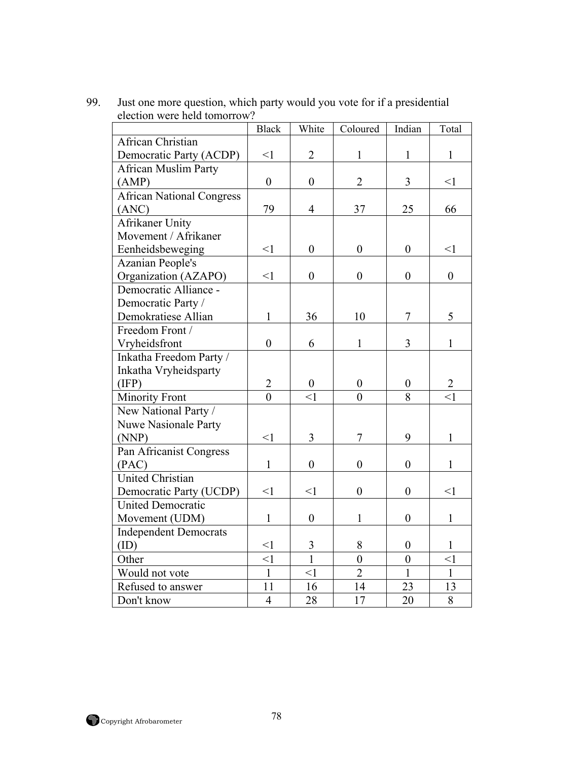| election were neig tomotion      | <b>Black</b>     | White            | Coloured         | Indian           | Total            |
|----------------------------------|------------------|------------------|------------------|------------------|------------------|
| African Christian                |                  |                  |                  |                  |                  |
| Democratic Party (ACDP)          | $\leq$ 1         | $\overline{2}$   | $\mathbf{1}$     | $\mathbf{1}$     | $\mathbf{1}$     |
| <b>African Muslim Party</b>      |                  |                  |                  |                  |                  |
| (AMP)                            | $\boldsymbol{0}$ | $\boldsymbol{0}$ | $\overline{2}$   | $\overline{3}$   | $\leq$ 1         |
| <b>African National Congress</b> |                  |                  |                  |                  |                  |
| (ANC)                            | 79               | $\overline{4}$   | 37               | 25               | 66               |
| <b>Afrikaner Unity</b>           |                  |                  |                  |                  |                  |
| Movement / Afrikaner             |                  |                  |                  |                  |                  |
| Eenheidsbeweging                 | $\leq$ 1         | $\boldsymbol{0}$ | $\boldsymbol{0}$ | $\overline{0}$   | $\leq$ 1         |
| <b>Azanian People's</b>          |                  |                  |                  |                  |                  |
| Organization (AZAPO)             | $\leq$ 1         | $\boldsymbol{0}$ | $\boldsymbol{0}$ | $\boldsymbol{0}$ | $\boldsymbol{0}$ |
| Democratic Alliance -            |                  |                  |                  |                  |                  |
| Democratic Party /               |                  |                  |                  |                  |                  |
| Demokratiese Allian              | $\mathbf{1}$     | 36               | 10               | 7                | 5                |
| Freedom Front /                  |                  |                  |                  |                  |                  |
| Vryheidsfront                    | $\boldsymbol{0}$ | 6                | $\mathbf{1}$     | 3                | $\mathbf{1}$     |
| Inkatha Freedom Party /          |                  |                  |                  |                  |                  |
| Inkatha Vryheidsparty            |                  |                  |                  |                  |                  |
| (IFP)                            | $\overline{2}$   | $\boldsymbol{0}$ | $\boldsymbol{0}$ | $\boldsymbol{0}$ | $\overline{2}$   |
| Minority Front                   | $\overline{0}$   | $\leq$ 1         | $\theta$         | 8                | $\leq$ 1         |
| New National Party /             |                  |                  |                  |                  |                  |
| Nuwe Nasionale Party             |                  |                  |                  |                  |                  |
| (NNP)                            | $\leq$ 1         | $\overline{3}$   | $\overline{7}$   | 9                | $\mathbf{1}$     |
| Pan Africanist Congress          |                  |                  |                  |                  |                  |
| (PAC)                            | $\mathbf{1}$     | $\boldsymbol{0}$ | $\boldsymbol{0}$ | $\boldsymbol{0}$ | $\mathbf{1}$     |
| <b>United Christian</b>          |                  |                  |                  |                  |                  |
| Democratic Party (UCDP)          | $\leq$ 1         | $\leq$ 1         | $\boldsymbol{0}$ | $\boldsymbol{0}$ | $<$ 1            |
| <b>United Democratic</b>         |                  |                  |                  |                  |                  |
| Movement (UDM)                   | $\mathbf{1}$     | $\boldsymbol{0}$ | 1                | $\boldsymbol{0}$ | $\mathbf{1}$     |
| <b>Independent Democrats</b>     |                  |                  |                  |                  |                  |
| (ID)                             | $\leq$ 1         | 3                | 8                | $\boldsymbol{0}$ | 1                |
| Other                            | $\leq$ 1         | $\overline{1}$   | $\boldsymbol{0}$ | $\boldsymbol{0}$ | $\leq$ 1         |
| Would not vote                   | $\overline{1}$   | $\leq$ 1         | $\overline{2}$   | $\mathbf{1}$     | $\mathbf{1}$     |
| Refused to answer                | 11               | 16               | 14               | 23               | 13               |
| Don't know                       | $\overline{4}$   | 28               | 17               | 20               | 8                |

99. Just one more question, which party would you vote for if a presidential election were held tomorrow?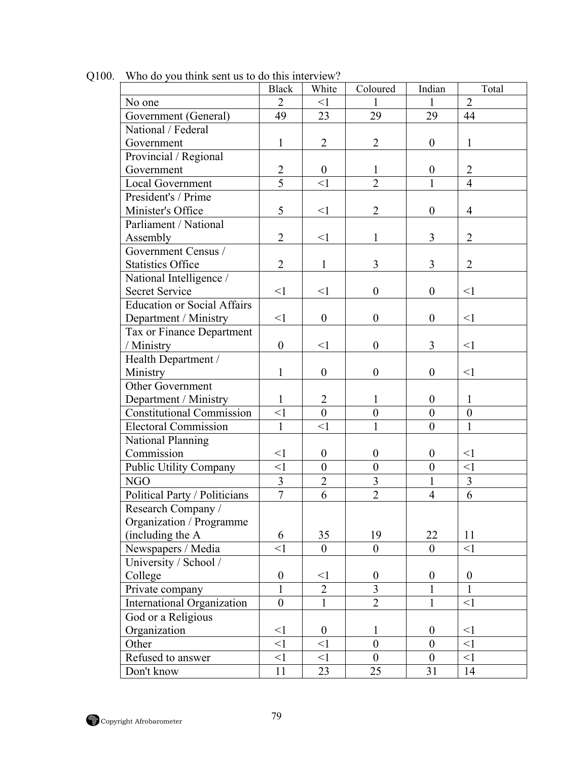|                                    | <b>Black</b>     | White            | Coloured         | Indian           | Total            |
|------------------------------------|------------------|------------------|------------------|------------------|------------------|
| No one                             | $\overline{2}$   | <1               | 1                | $\mathbf{1}$     | $\overline{2}$   |
| Government (General)               | 49               | 23               | 29               | 29               | 44               |
| National / Federal                 |                  |                  |                  |                  |                  |
| Government                         | $\mathbf{1}$     | $\overline{2}$   | $\overline{2}$   | $\overline{0}$   | $\mathbf{1}$     |
| Provincial / Regional              |                  |                  |                  |                  |                  |
| Government                         | $\overline{2}$   | $\mathbf{0}$     | 1                | $\boldsymbol{0}$ | $\overline{2}$   |
| Local Government                   | 5                | $\leq$ 1         | $\overline{2}$   | 1                | $\overline{4}$   |
| President's / Prime                |                  |                  |                  |                  |                  |
| Minister's Office                  | 5                | $\leq$ 1         | $\overline{2}$   | $\overline{0}$   | $\overline{4}$   |
| Parliament / National              |                  |                  |                  |                  |                  |
| Assembly                           | $\overline{2}$   | $\leq$ 1         | 1                | 3                | $\overline{2}$   |
| Government Census /                |                  |                  |                  |                  |                  |
| <b>Statistics Office</b>           | $\overline{2}$   | $\mathbf{1}$     | 3                | 3                | $\overline{2}$   |
| National Intelligence /            |                  |                  |                  |                  |                  |
| <b>Secret Service</b>              | $<$ 1            | $\leq$ 1         | $\boldsymbol{0}$ | $\overline{0}$   | $\leq$ 1         |
| <b>Education or Social Affairs</b> |                  |                  |                  |                  |                  |
| Department / Ministry              | $<$ 1            | $\boldsymbol{0}$ | $\boldsymbol{0}$ | $\boldsymbol{0}$ | $\leq$ 1         |
| Tax or Finance Department          |                  |                  |                  |                  |                  |
| / Ministry                         | $\boldsymbol{0}$ | $\leq$ 1         | $\boldsymbol{0}$ | $\overline{3}$   | <1               |
| Health Department /                |                  |                  |                  |                  |                  |
| Ministry                           | $\mathbf{1}$     | $\boldsymbol{0}$ | $\boldsymbol{0}$ | $\boldsymbol{0}$ | $\leq$ 1         |
| Other Government                   |                  |                  |                  |                  |                  |
| Department / Ministry              | $\mathbf{1}$     | $\overline{2}$   | 1                | $\boldsymbol{0}$ | $\mathbf{1}$     |
| <b>Constitutional Commission</b>   | $\leq$ 1         | $\theta$         | $\boldsymbol{0}$ | $\boldsymbol{0}$ | $\boldsymbol{0}$ |
| <b>Electoral Commission</b>        | $\mathbf{1}$     | $\leq$ 1         |                  | $\boldsymbol{0}$ | $\mathbf{1}$     |
| National Planning                  |                  |                  |                  |                  |                  |
| Commission                         | $<$ 1            | $\boldsymbol{0}$ | $\boldsymbol{0}$ | $\boldsymbol{0}$ | $\leq$ 1         |
| Public Utility Company             | $<$ 1            | $\theta$         | $\overline{0}$   | $\boldsymbol{0}$ | $\leq$ 1         |
| NGO                                | 3                | $\overline{2}$   | 3                | $\mathbf{1}$     | 3                |
| Political Party / Politicians      | $\overline{7}$   | 6                | $\overline{2}$   | $\overline{4}$   | 6                |
| Research Company /                 |                  |                  |                  |                  |                  |
| Organization / Programme           |                  |                  |                  |                  |                  |
| (including the A                   | 6                | 35               | 19               | 22               | 11               |
| Newspapers / Media                 | $\leq$ 1         | $\mathbf{0}$     | $\overline{0}$   | $\overline{0}$   | <1               |
| University / School /              |                  |                  |                  |                  |                  |
| College                            | $\boldsymbol{0}$ | $<$ l            | $\boldsymbol{0}$ | $\boldsymbol{0}$ | $\boldsymbol{0}$ |
| Private company                    | 1                | $\overline{2}$   | 3                | 1                | 1                |
| International Organization         | $\boldsymbol{0}$ | 1                | $\overline{2}$   | $\mathbf{1}$     | $\leq$ 1         |
| God or a Religious                 |                  |                  |                  |                  |                  |
| Organization                       | $<$ 1            | $\boldsymbol{0}$ | 1                | $\boldsymbol{0}$ | $<$ 1            |
| Other                              | $\leq$ 1         | $\leq$ 1         | $\overline{0}$   | $\overline{0}$   | $\leq$ 1         |
| Refused to answer                  | $\leq$ 1         | <1               | $\boldsymbol{0}$ | $\boldsymbol{0}$ | <1               |
| Don't know                         | 11               | 23               | 25               | 31               | 14               |

Q100. Who do you think sent us to do this interview?